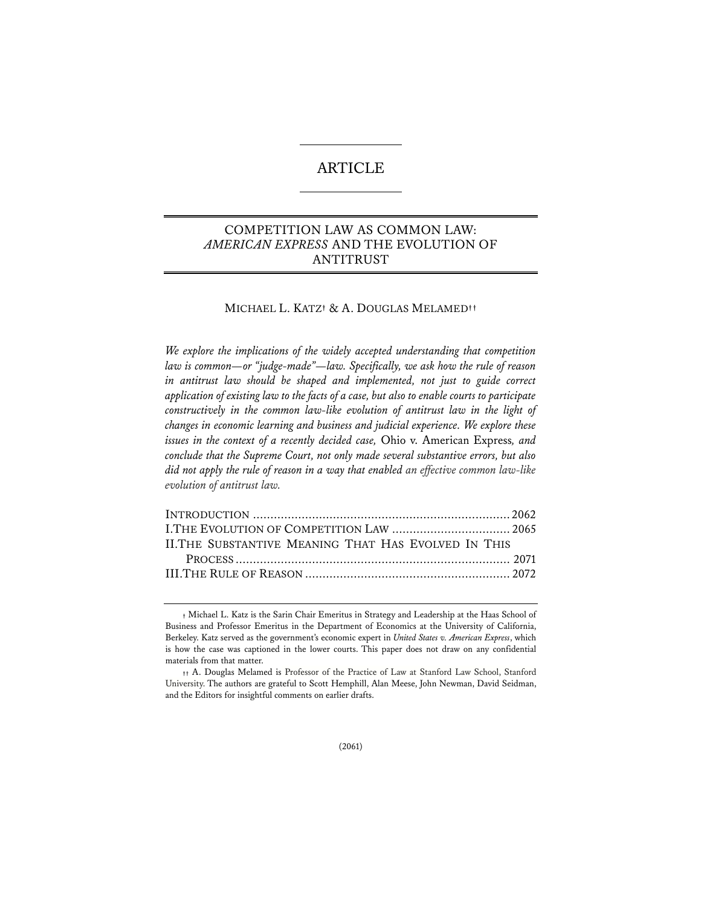# ARTICLE

# COMPETITION LAW AS COMMON LAW: *AMERICAN EXPRESS* AND THE EVOLUTION OF ANTITRUST

# MICHAEL L. KATZ**†** & A. DOUGLAS MELAMED**††**

*We explore the implications of the widely accepted understanding that competition law is common—or "judge-made"—law. Specifically, we ask how the rule of reason in antitrust law should be shaped and implemented, not just to guide correct application of existing law to the facts of a case, but also to enable courts to participate constructively in the common law-like evolution of antitrust law in the light of changes in economic learning and business and judicial experience. We explore these issues in the context of a recently decided case,* Ohio v. American Express*, and conclude that the Supreme Court, not only made several substantive errors, but also did not apply the rule of reason in a way that enabled an effective common law-like evolution of antitrust law.*

| II.THE SUBSTANTIVE MEANING THAT HAS EVOLVED IN THIS |  |
|-----------------------------------------------------|--|
|                                                     |  |
|                                                     |  |
|                                                     |  |

**<sup>†</sup>** Michael L. Katz is the Sarin Chair Emeritus in Strategy and Leadership at the Haas School of Business and Professor Emeritus in the Department of Economics at the University of California, Berkeley. Katz served as the government's economic expert in *United States v. American Express*, which is how the case was captioned in the lower courts. This paper does not draw on any confidential materials from that matter.

**<sup>††</sup>** A. Douglas Melamed is Professor of the Practice of Law at Stanford Law School, Stanford University. The authors are grateful to Scott Hemphill, Alan Meese, John Newman, David Seidman, and the Editors for insightful comments on earlier drafts.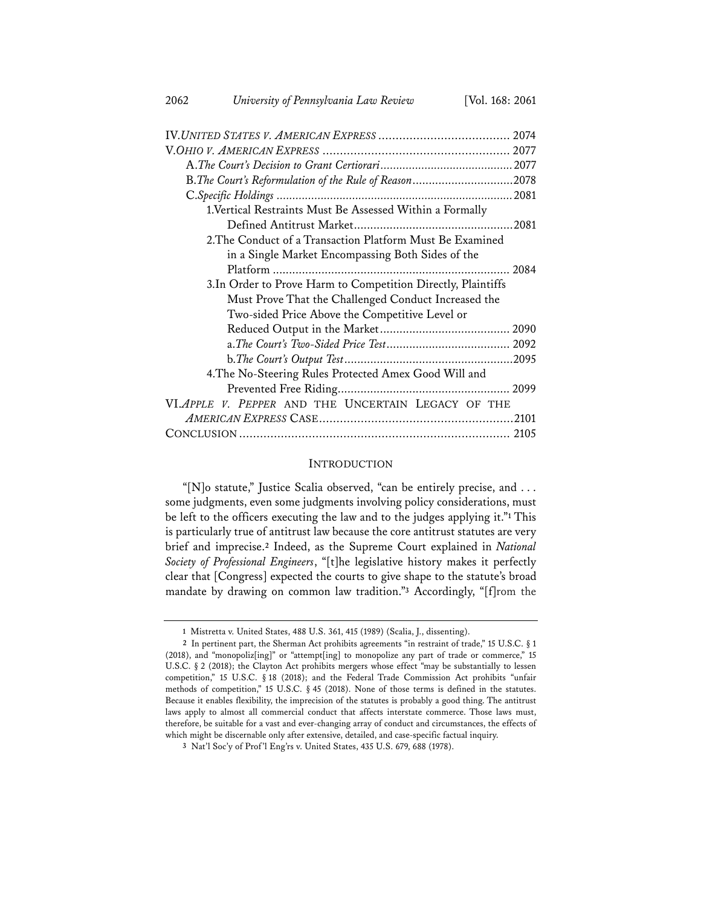| B.The Court's Reformulation of the Rule of Reason2078         |
|---------------------------------------------------------------|
|                                                               |
| 1.Vertical Restraints Must Be Assessed Within a Formally      |
|                                                               |
| 2. The Conduct of a Transaction Platform Must Be Examined     |
| in a Single Market Encompassing Both Sides of the             |
|                                                               |
| 3. In Order to Prove Harm to Competition Directly, Plaintiffs |
| Must Prove That the Challenged Conduct Increased the          |
| Two-sided Price Above the Competitive Level or                |
|                                                               |
|                                                               |
|                                                               |
| 4. The No-Steering Rules Protected Amex Good Will and         |
|                                                               |
| VI.APPLE V. PEPPER AND THE UNCERTAIN LEGACY OF THE            |
|                                                               |
|                                                               |

#### INTRODUCTION

"[N]o statute," Justice Scalia observed, "can be entirely precise, and . . . some judgments, even some judgments involving policy considerations, must be left to the officers executing the law and to the judges applying it."**<sup>1</sup>** This is particularly true of antitrust law because the core antitrust statutes are very brief and imprecise.**<sup>2</sup>** Indeed, as the Supreme Court explained in *National Society of Professional Engineers*, "[t]he legislative history makes it perfectly clear that [Congress] expected the courts to give shape to the statute's broad mandate by drawing on common law tradition."**<sup>3</sup>** Accordingly, "[f]rom the

**<sup>1</sup>** Mistretta v. United States, 488 U.S. 361, 415 (1989) (Scalia, J., dissenting).

**<sup>2</sup>** In pertinent part, the Sherman Act prohibits agreements "in restraint of trade," 15 U.S.C. § 1 (2018), and "monopoliz[ing]" or "attempt[ing] to monopolize any part of trade or commerce," 15 U.S.C. § 2 (2018); the Clayton Act prohibits mergers whose effect "may be substantially to lessen competition," 15 U.S.C. § 18 (2018); and the Federal Trade Commission Act prohibits "unfair methods of competition," 15 U.S.C. § 45 (2018). None of those terms is defined in the statutes. Because it enables flexibility, the imprecision of the statutes is probably a good thing. The antitrust laws apply to almost all commercial conduct that affects interstate commerce. Those laws must, therefore, be suitable for a vast and ever-changing array of conduct and circumstances, the effects of which might be discernable only after extensive, detailed, and case-specific factual inquiry.

**<sup>3</sup>** Nat'l Soc'y of Prof'l Eng'rs v. United States, 435 U.S. 679, 688 (1978).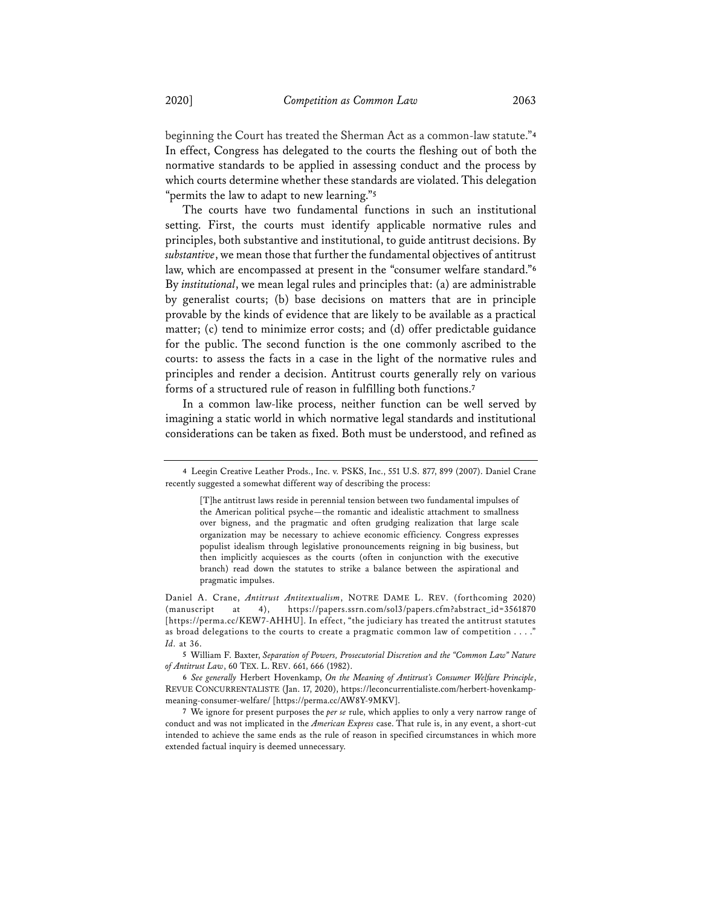beginning the Court has treated the Sherman Act as a common-law statute."**<sup>4</sup>** In effect, Congress has delegated to the courts the fleshing out of both the normative standards to be applied in assessing conduct and the process by which courts determine whether these standards are violated. This delegation "permits the law to adapt to new learning."**<sup>5</sup>**

The courts have two fundamental functions in such an institutional setting. First, the courts must identify applicable normative rules and principles, both substantive and institutional, to guide antitrust decisions. By *substantive*, we mean those that further the fundamental objectives of antitrust law, which are encompassed at present in the "consumer welfare standard."**<sup>6</sup>** By *institutional*, we mean legal rules and principles that: (a) are administrable by generalist courts; (b) base decisions on matters that are in principle provable by the kinds of evidence that are likely to be available as a practical matter; (c) tend to minimize error costs; and (d) offer predictable guidance for the public. The second function is the one commonly ascribed to the courts: to assess the facts in a case in the light of the normative rules and principles and render a decision. Antitrust courts generally rely on various forms of a structured rule of reason in fulfilling both functions.**<sup>7</sup>**

In a common law-like process, neither function can be well served by imagining a static world in which normative legal standards and institutional considerations can be taken as fixed. Both must be understood, and refined as

Daniel A. Crane, *Antitrust Antitextualism*, NOTRE DAME L. REV. (forthcoming 2020) (manuscript at 4), https://papers.ssrn.com/sol3/papers.cfm?abstract\_id=3561870 [https://perma.cc/KEW7-AHHU]. In effect, "the judiciary has treated the antitrust statutes as broad delegations to the courts to create a pragmatic common law of competition . . . ." *Id.* at 36.

**5** William F. Baxter, *Separation of Powers, Prosecutorial Discretion and the "Common Law" Nature of Antitrust Law*, 60 TEX. L. REV. 661, 666 (1982).

**6** *See generally* Herbert Hovenkamp, *On the Meaning of Antitrust's Consumer Welfare Principle*, REVUE CONCURRENTALISTE (Jan. 17, 2020), https://leconcurrentialiste.com/herbert-hovenkampmeaning-consumer-welfare/ [https://perma.cc/AW8Y-9MKV].

**7** We ignore for present purposes the *per se* rule, which applies to only a very narrow range of conduct and was not implicated in the *American Express* case. That rule is, in any event, a short-cut intended to achieve the same ends as the rule of reason in specified circumstances in which more extended factual inquiry is deemed unnecessary.

**<sup>4</sup>** Leegin Creative Leather Prods., Inc. v. PSKS, Inc., 551 U.S. 877, 899 (2007). Daniel Crane recently suggested a somewhat different way of describing the process:

<sup>[</sup>T]he antitrust laws reside in perennial tension between two fundamental impulses of the American political psyche—the romantic and idealistic attachment to smallness over bigness, and the pragmatic and often grudging realization that large scale organization may be necessary to achieve economic efficiency. Congress expresses populist idealism through legislative pronouncements reigning in big business, but then implicitly acquiesces as the courts (often in conjunction with the executive branch) read down the statutes to strike a balance between the aspirational and pragmatic impulses.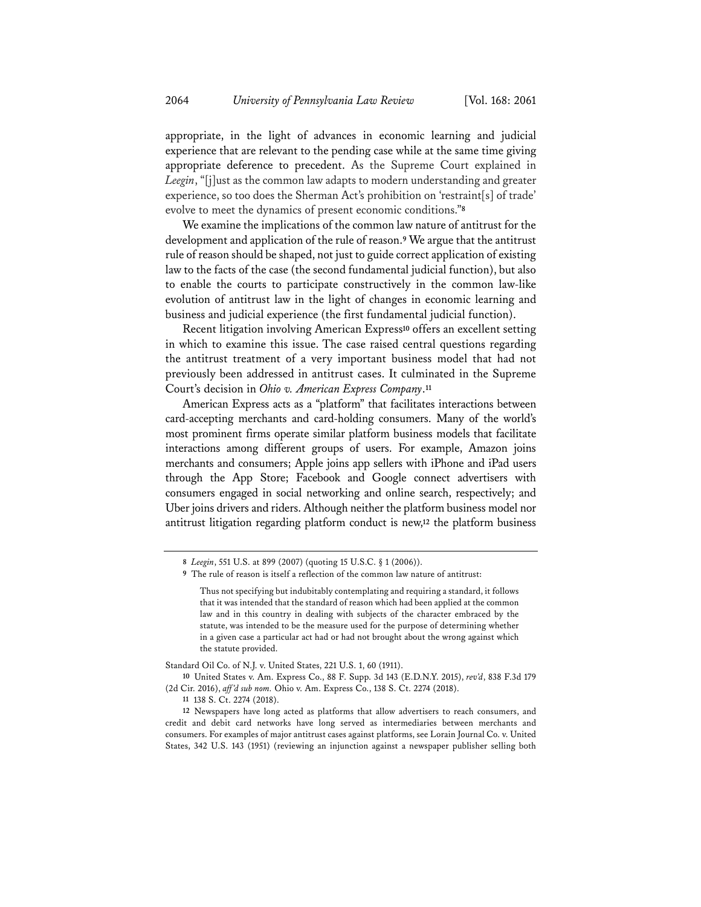appropriate, in the light of advances in economic learning and judicial experience that are relevant to the pending case while at the same time giving appropriate deference to precedent. As the Supreme Court explained in *Leegin*, "[j]ust as the common law adapts to modern understanding and greater experience, so too does the Sherman Act's prohibition on 'restraint[s] of trade' evolve to meet the dynamics of present economic conditions."**<sup>8</sup>**

We examine the implications of the common law nature of antitrust for the development and application of the rule of reason.**<sup>9</sup>** We argue that the antitrust rule of reason should be shaped, not just to guide correct application of existing law to the facts of the case (the second fundamental judicial function), but also to enable the courts to participate constructively in the common law-like evolution of antitrust law in the light of changes in economic learning and business and judicial experience (the first fundamental judicial function).

Recent litigation involving American Express**<sup>10</sup>** offers an excellent setting in which to examine this issue. The case raised central questions regarding the antitrust treatment of a very important business model that had not previously been addressed in antitrust cases. It culminated in the Supreme Court's decision in *Ohio v. American Express Company*.**<sup>11</sup>**

American Express acts as a "platform" that facilitates interactions between card-accepting merchants and card-holding consumers. Many of the world's most prominent firms operate similar platform business models that facilitate interactions among different groups of users. For example, Amazon joins merchants and consumers; Apple joins app sellers with iPhone and iPad users through the App Store; Facebook and Google connect advertisers with consumers engaged in social networking and online search, respectively; and Uber joins drivers and riders. Although neither the platform business model nor antitrust litigation regarding platform conduct is new,**<sup>12</sup>** the platform business

Standard Oil Co. of N.J. v. United States, 221 U.S. 1, 60 (1911).

**<sup>8</sup>** *Leegin*, 551 U.S. at 899 (2007) (quoting 15 U.S.C. § 1 (2006)).

**<sup>9</sup>** The rule of reason is itself a reflection of the common law nature of antitrust:

Thus not specifying but indubitably contemplating and requiring a standard, it follows that it was intended that the standard of reason which had been applied at the common law and in this country in dealing with subjects of the character embraced by the statute, was intended to be the measure used for the purpose of determining whether in a given case a particular act had or had not brought about the wrong against which the statute provided.

**<sup>10</sup>** United States v. Am. Express Co., 88 F. Supp. 3d 143 (E.D.N.Y. 2015), *rev'd*, 838 F.3d 179 (2d Cir. 2016), *aff 'd sub nom.* Ohio v. Am. Express Co., 138 S. Ct. 2274 (2018).

**<sup>11</sup>** 138 S. Ct. 2274 (2018).

**<sup>12</sup>** Newspapers have long acted as platforms that allow advertisers to reach consumers, and credit and debit card networks have long served as intermediaries between merchants and consumers. For examples of major antitrust cases against platforms, see Lorain Journal Co. v. United States, 342 U.S. 143 (1951) (reviewing an injunction against a newspaper publisher selling both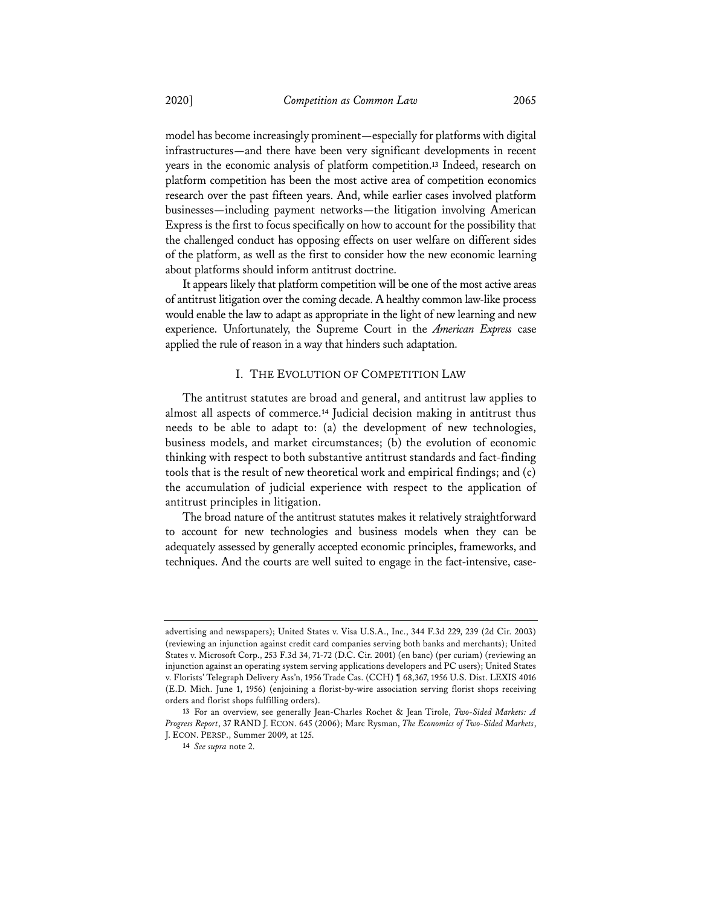model has become increasingly prominent—especially for platforms with digital infrastructures—and there have been very significant developments in recent years in the economic analysis of platform competition.**<sup>13</sup>** Indeed, research on platform competition has been the most active area of competition economics research over the past fifteen years. And, while earlier cases involved platform businesses—including payment networks—the litigation involving American Express is the first to focus specifically on how to account for the possibility that the challenged conduct has opposing effects on user welfare on different sides of the platform, as well as the first to consider how the new economic learning about platforms should inform antitrust doctrine.

It appears likely that platform competition will be one of the most active areas of antitrust litigation over the coming decade. A healthy common law-like process would enable the law to adapt as appropriate in the light of new learning and new experience. Unfortunately, the Supreme Court in the *American Express* case applied the rule of reason in a way that hinders such adaptation.

#### I. THE EVOLUTION OF COMPETITION LAW

The antitrust statutes are broad and general, and antitrust law applies to almost all aspects of commerce.**<sup>14</sup>** Judicial decision making in antitrust thus needs to be able to adapt to: (a) the development of new technologies, business models, and market circumstances; (b) the evolution of economic thinking with respect to both substantive antitrust standards and fact-finding tools that is the result of new theoretical work and empirical findings; and (c) the accumulation of judicial experience with respect to the application of antitrust principles in litigation.

The broad nature of the antitrust statutes makes it relatively straightforward to account for new technologies and business models when they can be adequately assessed by generally accepted economic principles, frameworks, and techniques. And the courts are well suited to engage in the fact-intensive, case-

advertising and newspapers); United States v. Visa U.S.A., Inc., 344 F.3d 229, 239 (2d Cir. 2003) (reviewing an injunction against credit card companies serving both banks and merchants); United States v. Microsoft Corp., 253 F.3d 34, 71-72 (D.C. Cir. 2001) (en banc) (per curiam) (reviewing an injunction against an operating system serving applications developers and PC users); United States v. Florists' Telegraph Delivery Ass'n, 1956 Trade Cas. (CCH) ¶ 68,367, 1956 U.S. Dist. LEXIS 4016 (E.D. Mich. June 1, 1956) (enjoining a florist-by-wire association serving florist shops receiving orders and florist shops fulfilling orders).

**<sup>13</sup>** For an overview, see generally Jean-Charles Rochet & Jean Tirole, *Two-Sided Markets: A Progress Report*, 37 RAND J. ECON. 645 (2006); Marc Rysman, *The Economics of Two-Sided Markets*, J. ECON. PERSP., Summer 2009, at 125.

**<sup>14</sup>** *See supra* note 2.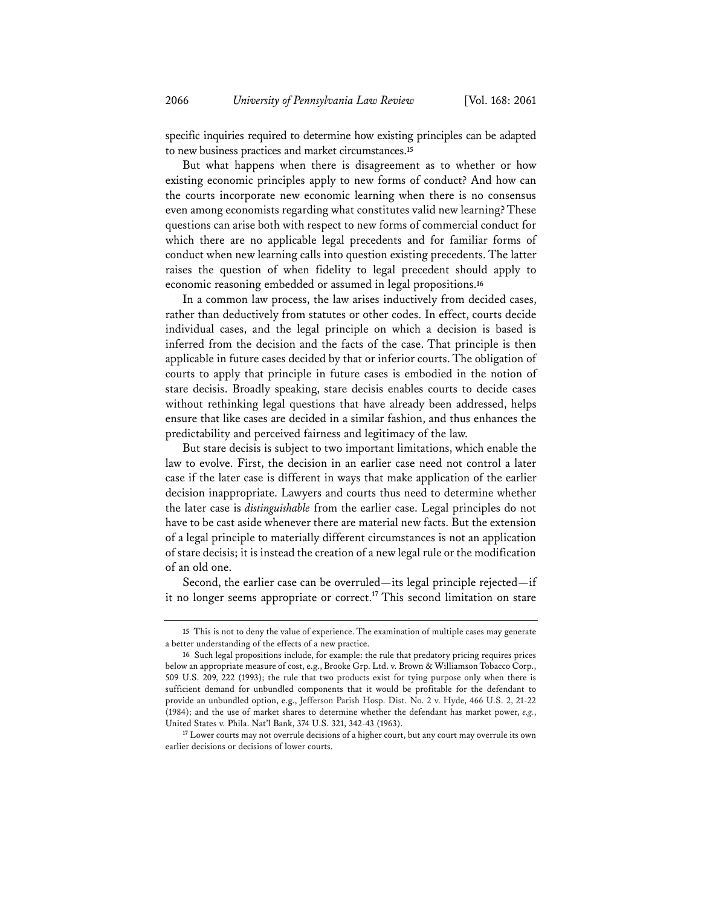specific inquiries required to determine how existing principles can be adapted to new business practices and market circumstances.**<sup>15</sup>**

But what happens when there is disagreement as to whether or how existing economic principles apply to new forms of conduct? And how can the courts incorporate new economic learning when there is no consensus even among economists regarding what constitutes valid new learning? These questions can arise both with respect to new forms of commercial conduct for which there are no applicable legal precedents and for familiar forms of conduct when new learning calls into question existing precedents. The latter raises the question of when fidelity to legal precedent should apply to economic reasoning embedded or assumed in legal propositions.**<sup>16</sup>**

In a common law process, the law arises inductively from decided cases, rather than deductively from statutes or other codes. In effect, courts decide individual cases, and the legal principle on which a decision is based is inferred from the decision and the facts of the case. That principle is then applicable in future cases decided by that or inferior courts. The obligation of courts to apply that principle in future cases is embodied in the notion of stare decisis. Broadly speaking, stare decisis enables courts to decide cases without rethinking legal questions that have already been addressed, helps ensure that like cases are decided in a similar fashion, and thus enhances the predictability and perceived fairness and legitimacy of the law.

But stare decisis is subject to two important limitations, which enable the law to evolve. First, the decision in an earlier case need not control a later case if the later case is different in ways that make application of the earlier decision inappropriate. Lawyers and courts thus need to determine whether the later case is *distinguishable* from the earlier case. Legal principles do not have to be cast aside whenever there are material new facts. But the extension of a legal principle to materially different circumstances is not an application of stare decisis; it is instead the creation of a new legal rule or the modification of an old one.

Second, the earlier case can be overruled—its legal principle rejected—if it no longer seems appropriate or correct.**<sup>17</sup>** This second limitation on stare

**<sup>15</sup>** This is not to deny the value of experience. The examination of multiple cases may generate a better understanding of the effects of a new practice.

**<sup>16</sup>** Such legal propositions include, for example: the rule that predatory pricing requires prices below an appropriate measure of cost, e.g., Brooke Grp. Ltd. v. Brown & Williamson Tobacco Corp., 509 U.S. 209, 222 (1993); the rule that two products exist for tying purpose only when there is sufficient demand for unbundled components that it would be profitable for the defendant to provide an unbundled option, e.g., Jefferson Parish Hosp. Dist. No. 2 v. Hyde, 466 U.S. 2, 21-22 (1984); and the use of market shares to determine whether the defendant has market power, *e.g.*, United States v. Phila. Nat'l Bank, 374 U.S. 321, 342-43 (1963).

<sup>&</sup>lt;sup>17</sup> Lower courts may not overrule decisions of a higher court, but any court may overrule its own earlier decisions or decisions of lower courts.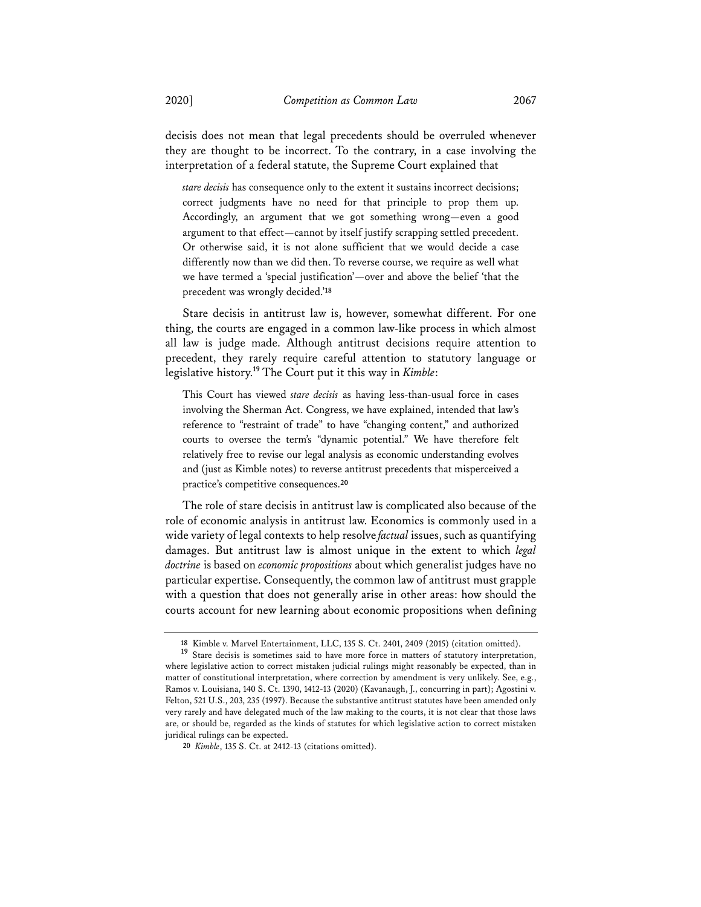decisis does not mean that legal precedents should be overruled whenever they are thought to be incorrect. To the contrary, in a case involving the interpretation of a federal statute, the Supreme Court explained that

*stare decisis* has consequence only to the extent it sustains incorrect decisions; correct judgments have no need for that principle to prop them up. Accordingly, an argument that we got something wrong—even a good argument to that effect—cannot by itself justify scrapping settled precedent. Or otherwise said, it is not alone sufficient that we would decide a case differently now than we did then. To reverse course, we require as well what we have termed a 'special justification'—over and above the belief 'that the precedent was wrongly decided.'**<sup>18</sup>**

Stare decisis in antitrust law is, however, somewhat different. For one thing, the courts are engaged in a common law-like process in which almost all law is judge made. Although antitrust decisions require attention to precedent, they rarely require careful attention to statutory language or legislative history.**<sup>19</sup>** The Court put it this way in *Kimble*:

This Court has viewed *stare decisis* as having less-than-usual force in cases involving the Sherman Act. Congress, we have explained, intended that law's reference to "restraint of trade" to have "changing content," and authorized courts to oversee the term's "dynamic potential." We have therefore felt relatively free to revise our legal analysis as economic understanding evolves and (just as Kimble notes) to reverse antitrust precedents that misperceived a practice's competitive consequences.**<sup>20</sup>**

The role of stare decisis in antitrust law is complicated also because of the role of economic analysis in antitrust law. Economics is commonly used in a wide variety of legal contexts to help resolve *factual* issues, such as quantifying damages. But antitrust law is almost unique in the extent to which *legal doctrine* is based on *economic propositions* about which generalist judges have no particular expertise. Consequently, the common law of antitrust must grapple with a question that does not generally arise in other areas: how should the courts account for new learning about economic propositions when defining

**<sup>18</sup>** Kimble v. Marvel Entertainment, LLC, 135 S. Ct. 2401, 2409 (2015) (citation omitted). **<sup>19</sup>** Stare decisis is sometimes said to have more force in matters of statutory interpretation, where legislative action to correct mistaken judicial rulings might reasonably be expected, than in matter of constitutional interpretation, where correction by amendment is very unlikely. See, e.g., Ramos v. Louisiana, 140 S. Ct. 1390, 1412-13 (2020) (Kavanaugh, J., concurring in part); Agostini v. Felton, 521 U.S., 203, 235 (1997). Because the substantive antitrust statutes have been amended only very rarely and have delegated much of the law making to the courts, it is not clear that those laws are, or should be, regarded as the kinds of statutes for which legislative action to correct mistaken juridical rulings can be expected.

**<sup>20</sup>** *Kimble*, 135 S. Ct. at 2412-13 (citations omitted).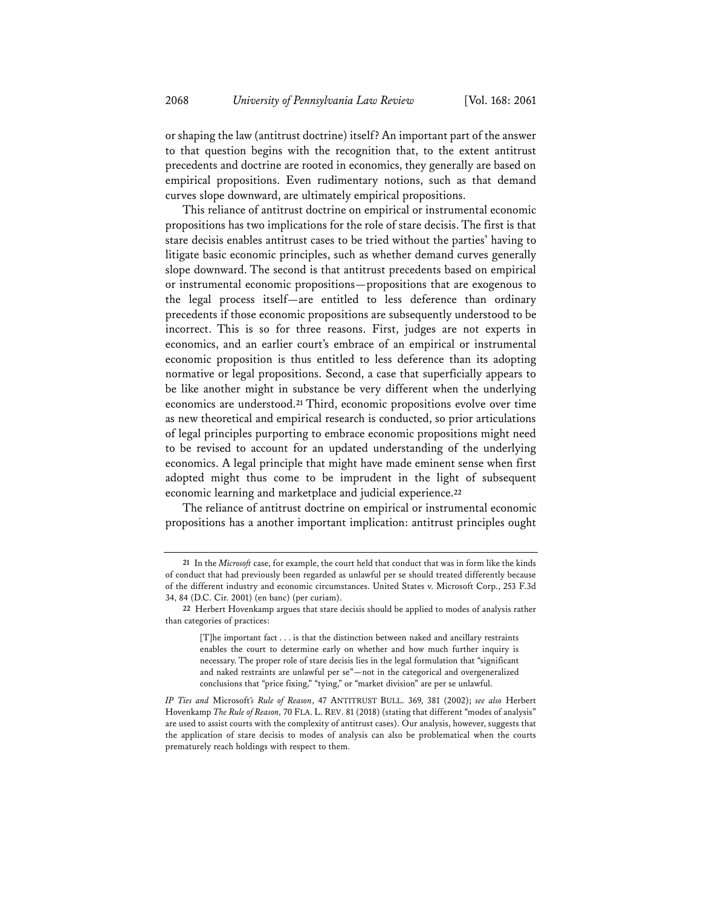or shaping the law (antitrust doctrine) itself? An important part of the answer to that question begins with the recognition that, to the extent antitrust precedents and doctrine are rooted in economics, they generally are based on empirical propositions. Even rudimentary notions, such as that demand curves slope downward, are ultimately empirical propositions.

This reliance of antitrust doctrine on empirical or instrumental economic propositions has two implications for the role of stare decisis. The first is that stare decisis enables antitrust cases to be tried without the parties' having to litigate basic economic principles, such as whether demand curves generally slope downward. The second is that antitrust precedents based on empirical or instrumental economic propositions—propositions that are exogenous to the legal process itself—are entitled to less deference than ordinary precedents if those economic propositions are subsequently understood to be incorrect. This is so for three reasons. First, judges are not experts in economics, and an earlier court's embrace of an empirical or instrumental economic proposition is thus entitled to less deference than its adopting normative or legal propositions. Second, a case that superficially appears to be like another might in substance be very different when the underlying economics are understood.**<sup>21</sup>** Third, economic propositions evolve over time as new theoretical and empirical research is conducted, so prior articulations of legal principles purporting to embrace economic propositions might need to be revised to account for an updated understanding of the underlying economics. A legal principle that might have made eminent sense when first adopted might thus come to be imprudent in the light of subsequent economic learning and marketplace and judicial experience.**<sup>22</sup>**

The reliance of antitrust doctrine on empirical or instrumental economic propositions has a another important implication: antitrust principles ought

**<sup>21</sup>** In the *Microsoft* case, for example, the court held that conduct that was in form like the kinds of conduct that had previously been regarded as unlawful per se should treated differently because of the different industry and economic circumstances. United States v. Microsoft Corp., 253 F.3d 34, 84 (D.C. Cir. 2001) (en banc) (per curiam).

**<sup>22</sup>** Herbert Hovenkamp argues that stare decisis should be applied to modes of analysis rather than categories of practices:

<sup>[</sup>T]he important fact . . . is that the distinction between naked and ancillary restraints enables the court to determine early on whether and how much further inquiry is necessary. The proper role of stare decisis lies in the legal formulation that "significant and naked restraints are unlawful per se"—not in the categorical and overgeneralized conclusions that "price fixing," "tying," or "market division" are per se unlawful.

*IP Ties and* Microsoft*'s Rule of Reason*, 47 ANTITRUST BULL. 369, 381 (2002); *see also* Herbert Hovenkamp *The Rule of Reason,* 70 FLA. L. REV. 81 (2018) (stating that different "modes of analysis" are used to assist courts with the complexity of antitrust cases). Our analysis, however, suggests that the application of stare decisis to modes of analysis can also be problematical when the courts prematurely reach holdings with respect to them.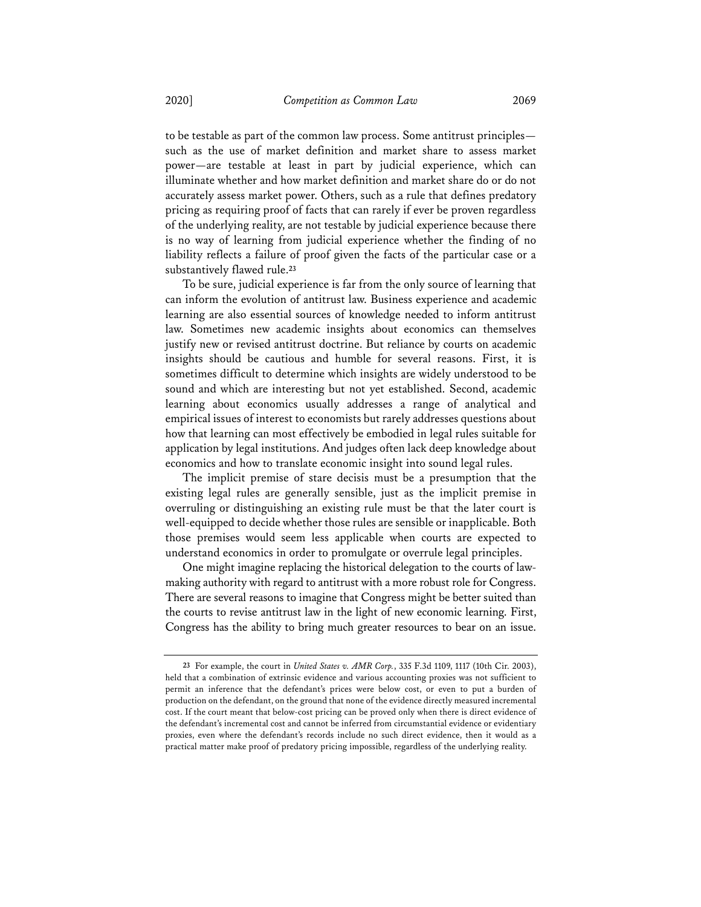to be testable as part of the common law process. Some antitrust principles such as the use of market definition and market share to assess market power—are testable at least in part by judicial experience, which can illuminate whether and how market definition and market share do or do not accurately assess market power. Others, such as a rule that defines predatory pricing as requiring proof of facts that can rarely if ever be proven regardless of the underlying reality, are not testable by judicial experience because there is no way of learning from judicial experience whether the finding of no liability reflects a failure of proof given the facts of the particular case or a substantively flawed rule.**<sup>23</sup>**

To be sure, judicial experience is far from the only source of learning that can inform the evolution of antitrust law. Business experience and academic learning are also essential sources of knowledge needed to inform antitrust law. Sometimes new academic insights about economics can themselves justify new or revised antitrust doctrine. But reliance by courts on academic insights should be cautious and humble for several reasons. First, it is sometimes difficult to determine which insights are widely understood to be sound and which are interesting but not yet established. Second, academic learning about economics usually addresses a range of analytical and empirical issues of interest to economists but rarely addresses questions about how that learning can most effectively be embodied in legal rules suitable for application by legal institutions. And judges often lack deep knowledge about economics and how to translate economic insight into sound legal rules.

The implicit premise of stare decisis must be a presumption that the existing legal rules are generally sensible, just as the implicit premise in overruling or distinguishing an existing rule must be that the later court is well-equipped to decide whether those rules are sensible or inapplicable. Both those premises would seem less applicable when courts are expected to understand economics in order to promulgate or overrule legal principles.

One might imagine replacing the historical delegation to the courts of lawmaking authority with regard to antitrust with a more robust role for Congress. There are several reasons to imagine that Congress might be better suited than the courts to revise antitrust law in the light of new economic learning. First, Congress has the ability to bring much greater resources to bear on an issue.

**<sup>23</sup>** For example, the court in *United States v. AMR Corp.*, 335 F.3d 1109, 1117 (10th Cir. 2003), held that a combination of extrinsic evidence and various accounting proxies was not sufficient to permit an inference that the defendant's prices were below cost, or even to put a burden of production on the defendant, on the ground that none of the evidence directly measured incremental cost. If the court meant that below-cost pricing can be proved only when there is direct evidence of the defendant's incremental cost and cannot be inferred from circumstantial evidence or evidentiary proxies, even where the defendant's records include no such direct evidence, then it would as a practical matter make proof of predatory pricing impossible, regardless of the underlying reality.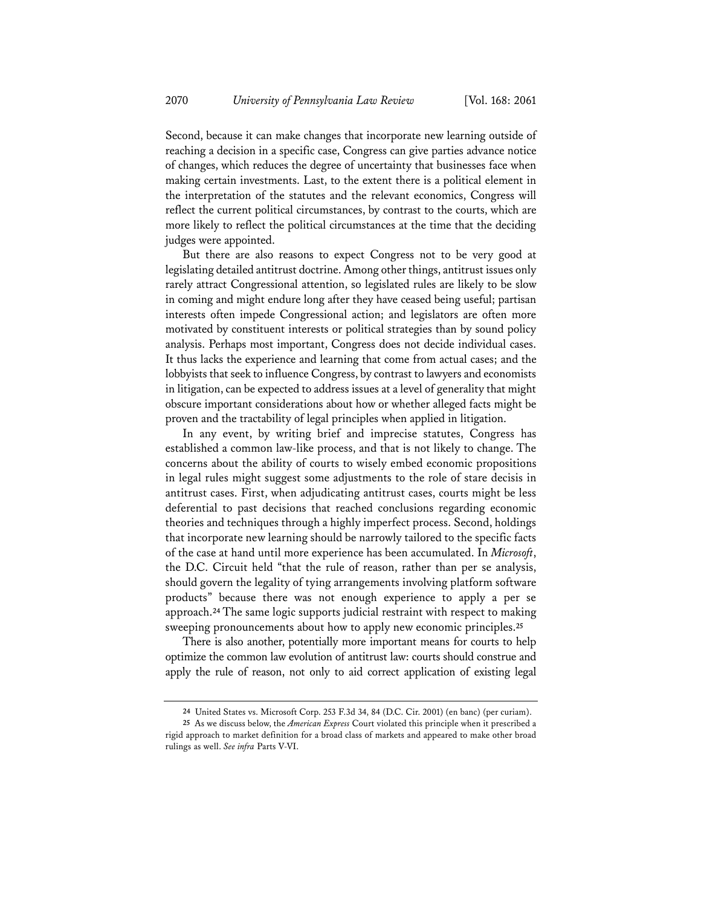Second, because it can make changes that incorporate new learning outside of reaching a decision in a specific case, Congress can give parties advance notice of changes, which reduces the degree of uncertainty that businesses face when making certain investments. Last, to the extent there is a political element in the interpretation of the statutes and the relevant economics, Congress will reflect the current political circumstances, by contrast to the courts, which are more likely to reflect the political circumstances at the time that the deciding judges were appointed.

But there are also reasons to expect Congress not to be very good at legislating detailed antitrust doctrine. Among other things, antitrust issues only rarely attract Congressional attention, so legislated rules are likely to be slow in coming and might endure long after they have ceased being useful; partisan interests often impede Congressional action; and legislators are often more motivated by constituent interests or political strategies than by sound policy analysis. Perhaps most important, Congress does not decide individual cases. It thus lacks the experience and learning that come from actual cases; and the lobbyists that seek to influence Congress, by contrast to lawyers and economists in litigation, can be expected to address issues at a level of generality that might obscure important considerations about how or whether alleged facts might be proven and the tractability of legal principles when applied in litigation.

In any event, by writing brief and imprecise statutes, Congress has established a common law-like process, and that is not likely to change. The concerns about the ability of courts to wisely embed economic propositions in legal rules might suggest some adjustments to the role of stare decisis in antitrust cases. First, when adjudicating antitrust cases, courts might be less deferential to past decisions that reached conclusions regarding economic theories and techniques through a highly imperfect process. Second, holdings that incorporate new learning should be narrowly tailored to the specific facts of the case at hand until more experience has been accumulated. In *Microsoft*, the D.C. Circuit held "that the rule of reason, rather than per se analysis, should govern the legality of tying arrangements involving platform software products" because there was not enough experience to apply a per se approach.**<sup>24</sup>** The same logic supports judicial restraint with respect to making sweeping pronouncements about how to apply new economic principles.**<sup>25</sup>**

There is also another, potentially more important means for courts to help optimize the common law evolution of antitrust law: courts should construe and apply the rule of reason, not only to aid correct application of existing legal

**<sup>24</sup>** United States vs. Microsoft Corp. 253 F.3d 34, 84 (D.C. Cir. 2001) (en banc) (per curiam).

**<sup>25</sup>** As we discuss below, the *American Express* Court violated this principle when it prescribed a rigid approach to market definition for a broad class of markets and appeared to make other broad rulings as well. *See infra* Parts V-VI.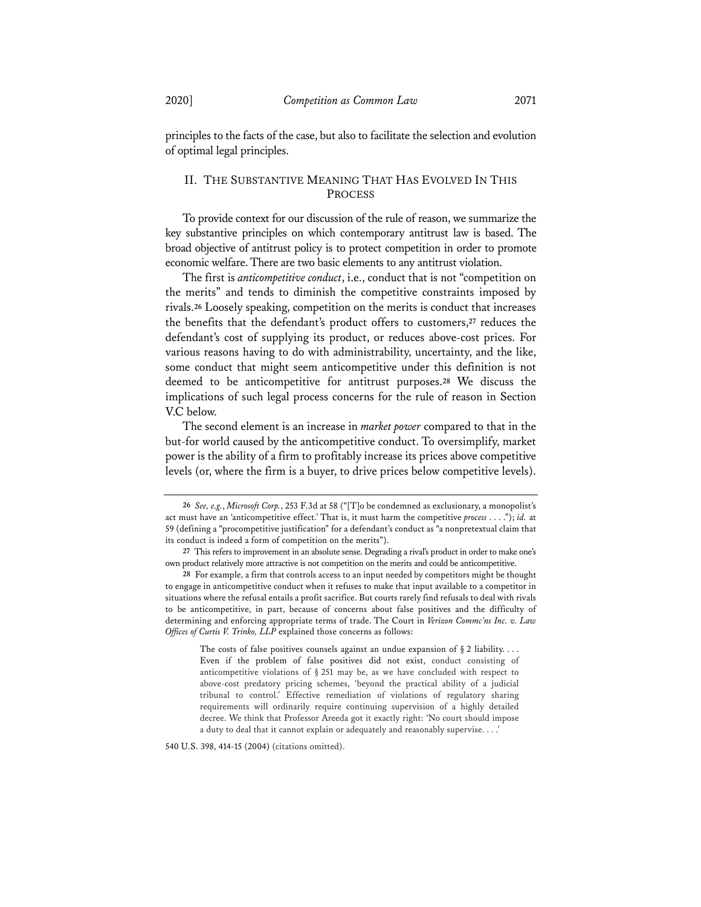principles to the facts of the case, but also to facilitate the selection and evolution of optimal legal principles.

## II. THE SUBSTANTIVE MEANING THAT HAS EVOLVED IN THIS PROCESS

To provide context for our discussion of the rule of reason, we summarize the key substantive principles on which contemporary antitrust law is based. The broad objective of antitrust policy is to protect competition in order to promote economic welfare. There are two basic elements to any antitrust violation.

The first is *anticompetitive conduct*, i.e., conduct that is not "competition on the merits" and tends to diminish the competitive constraints imposed by rivals.**<sup>26</sup>** Loosely speaking, competition on the merits is conduct that increases the benefits that the defendant's product offers to customers,**<sup>27</sup>** reduces the defendant's cost of supplying its product, or reduces above-cost prices. For various reasons having to do with administrability, uncertainty, and the like, some conduct that might seem anticompetitive under this definition is not deemed to be anticompetitive for antitrust purposes.**<sup>28</sup>** We discuss the implications of such legal process concerns for the rule of reason in Section V.C below.

The second element is an increase in *market power* compared to that in the but-for world caused by the anticompetitive conduct. To oversimplify, market power is the ability of a firm to profitably increase its prices above competitive levels (or, where the firm is a buyer, to drive prices below competitive levels).

The costs of false positives counsels against an undue expansion of  $\S 2$  liability.... Even if the problem of false positives did not exist, conduct consisting of anticompetitive violations of § 251 may be, as we have concluded with respect to above-cost predatory pricing schemes, 'beyond the practical ability of a judicial tribunal to control.' Effective remediation of violations of regulatory sharing requirements will ordinarily require continuing supervision of a highly detailed decree. We think that Professor Areeda got it exactly right: 'No court should impose a duty to deal that it cannot explain or adequately and reasonably supervise. . . .'

540 U.S. 398, 414-15 (2004) (citations omitted).

**<sup>26</sup>** *See, e.g.*, *Microsoft Corp.*, 253 F.3d at 58 ("[T]o be condemned as exclusionary, a monopolist's act must have an 'anticompetitive effect.' That is, it must harm the competitive *process* . . . ."); *id.* at 59 (defining a "procompetitive justification" for a defendant's conduct as "a nonpretextual claim that its conduct is indeed a form of competition on the merits").

**<sup>27</sup>** This refers to improvement in an absolute sense. Degrading a rival's product in order to make one's own product relatively more attractive is not competition on the merits and could be anticompetitive.

**<sup>28</sup>** For example, a firm that controls access to an input needed by competitors might be thought to engage in anticompetitive conduct when it refuses to make that input available to a competitor in situations where the refusal entails a profit sacrifice. But courts rarely find refusals to deal with rivals to be anticompetitive, in part, because of concerns about false positives and the difficulty of determining and enforcing appropriate terms of trade. The Court in *Verizon Commc'ns Inc. v. Law Offices of Curtis V. Trinko, LLP* explained those concerns as follows: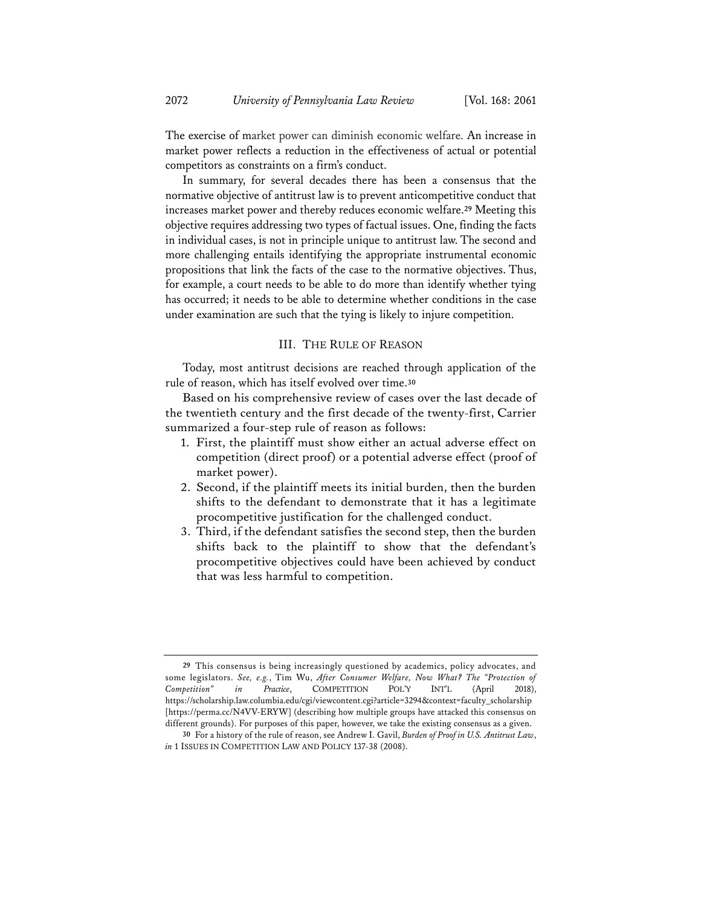The exercise of market power can diminish economic welfare. An increase in market power reflects a reduction in the effectiveness of actual or potential competitors as constraints on a firm's conduct.

In summary, for several decades there has been a consensus that the normative objective of antitrust law is to prevent anticompetitive conduct that increases market power and thereby reduces economic welfare.**<sup>29</sup>** Meeting this objective requires addressing two types of factual issues. One, finding the facts in individual cases, is not in principle unique to antitrust law. The second and more challenging entails identifying the appropriate instrumental economic propositions that link the facts of the case to the normative objectives. Thus, for example, a court needs to be able to do more than identify whether tying has occurred; it needs to be able to determine whether conditions in the case under examination are such that the tying is likely to injure competition.

#### III. THE RULE OF REASON

Today, most antitrust decisions are reached through application of the rule of reason, which has itself evolved over time.**<sup>30</sup>**

Based on his comprehensive review of cases over the last decade of the twentieth century and the first decade of the twenty-first, Carrier summarized a four-step rule of reason as follows:

- 1. First, the plaintiff must show either an actual adverse effect on competition (direct proof) or a potential adverse effect (proof of market power).
- 2. Second, if the plaintiff meets its initial burden, then the burden shifts to the defendant to demonstrate that it has a legitimate procompetitive justification for the challenged conduct.
- 3. Third, if the defendant satisfies the second step, then the burden shifts back to the plaintiff to show that the defendant's procompetitive objectives could have been achieved by conduct that was less harmful to competition.

**<sup>29</sup>** This consensus is being increasingly questioned by academics, policy advocates, and some legislators. *See, e.g.*, Tim Wu, *After Consumer Welfare, Now What? The "Protection of Competition" in Practice*, COMPETITION POL'Y INT'L (April 2018), https://scholarship.law.columbia.edu/cgi/viewcontent.cgi?article=3294&context=faculty\_scholarship [https://perma.cc/N4VV-ERYW] (describing how multiple groups have attacked this consensus on different grounds). For purposes of this paper, however, we take the existing consensus as a given.

**<sup>30</sup>** For a history of the rule of reason, see Andrew I. Gavil, *Burden of Proof in U.S. Antitrust Law*, *in* 1 ISSUES IN COMPETITION LAW AND POLICY 137-38 (2008).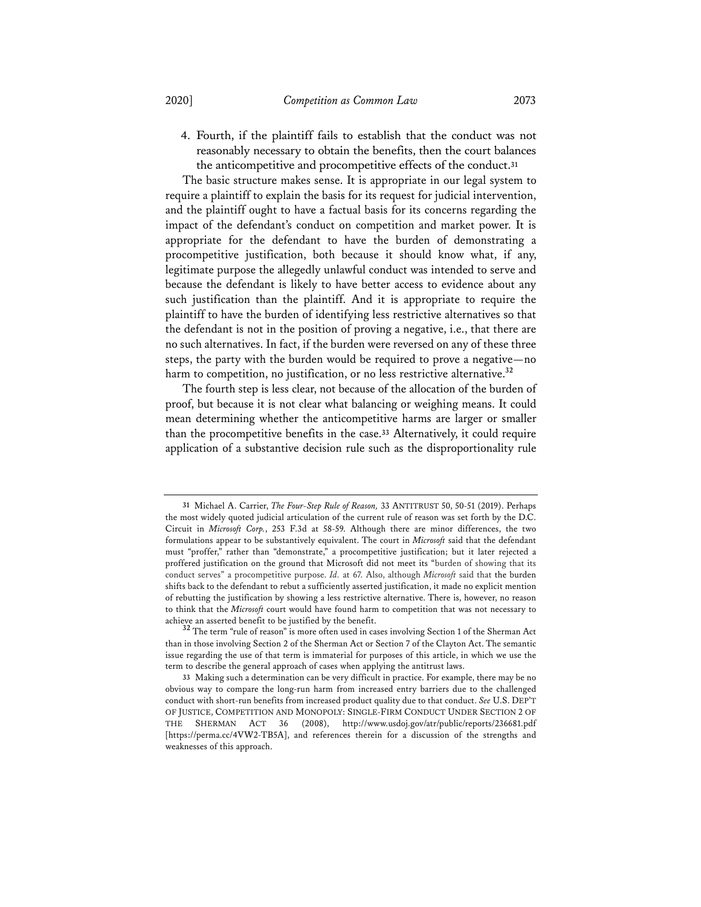4. Fourth, if the plaintiff fails to establish that the conduct was not reasonably necessary to obtain the benefits, then the court balances the anticompetitive and procompetitive effects of the conduct.**<sup>31</sup>**

The basic structure makes sense. It is appropriate in our legal system to require a plaintiff to explain the basis for its request for judicial intervention, and the plaintiff ought to have a factual basis for its concerns regarding the impact of the defendant's conduct on competition and market power. It is appropriate for the defendant to have the burden of demonstrating a procompetitive justification, both because it should know what, if any, legitimate purpose the allegedly unlawful conduct was intended to serve and because the defendant is likely to have better access to evidence about any such justification than the plaintiff. And it is appropriate to require the plaintiff to have the burden of identifying less restrictive alternatives so that the defendant is not in the position of proving a negative, i.e., that there are no such alternatives. In fact, if the burden were reversed on any of these three steps, the party with the burden would be required to prove a negative—no harm to competition, no justification, or no less restrictive alternative. **32**

The fourth step is less clear, not because of the allocation of the burden of proof, but because it is not clear what balancing or weighing means. It could mean determining whether the anticompetitive harms are larger or smaller than the procompetitive benefits in the case.**<sup>33</sup>** Alternatively, it could require application of a substantive decision rule such as the disproportionality rule

**<sup>31</sup>** Michael A. Carrier, *The Four-Step Rule of Reason,* 33 ANTITRUST 50, 50-51 (2019). Perhaps the most widely quoted judicial articulation of the current rule of reason was set forth by the D.C. Circuit in *Microsoft Corp.*, 253 F.3d at 58-59. Although there are minor differences, the two formulations appear to be substantively equivalent. The court in *Microsoft* said that the defendant must "proffer," rather than "demonstrate," a procompetitive justification; but it later rejected a proffered justification on the ground that Microsoft did not meet its "burden of showing that its conduct serves" a procompetitive purpose. *Id.* at 67. Also, although *Microsoft* said that the burden shifts back to the defendant to rebut a sufficiently asserted justification, it made no explicit mention of rebutting the justification by showing a less restrictive alternative. There is, however, no reason to think that the *Microsoft* court would have found harm to competition that was not necessary to achieve an asserted benefit to be justified by the benefit. **<sup>32</sup>** The term "rule of reason" is more often used in cases involving Section 1 of the Sherman Act

than in those involving Section 2 of the Sherman Act or Section 7 of the Clayton Act. The semantic issue regarding the use of that term is immaterial for purposes of this article, in which we use the term to describe the general approach of cases when applying the antitrust laws.

**<sup>33</sup>** Making such a determination can be very difficult in practice. For example, there may be no obvious way to compare the long-run harm from increased entry barriers due to the challenged conduct with short-run benefits from increased product quality due to that conduct. *See* U.S. DEP'T OF JUSTICE, COMPETITION AND MONOPOLY: SINGLE-FIRM CONDUCT UNDER SECTION 2 OF THE SHERMAN ACT 36 (2008), http://www.usdoj.gov/atr/public/reports/236681.pdf [https://perma.cc/4VW2-TB5A], and references therein for a discussion of the strengths and weaknesses of this approach.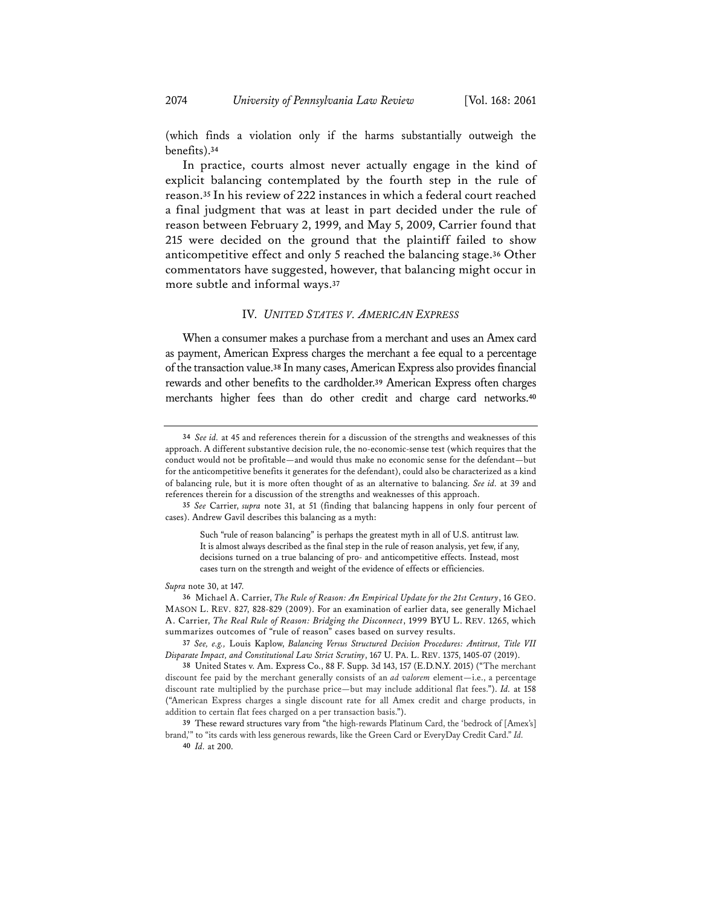(which finds a violation only if the harms substantially outweigh the benefits).**<sup>34</sup>**

In practice, courts almost never actually engage in the kind of explicit balancing contemplated by the fourth step in the rule of reason.**<sup>35</sup>** In his review of 222 instances in which a federal court reached a final judgment that was at least in part decided under the rule of reason between February 2, 1999, and May 5, 2009, Carrier found that 215 were decided on the ground that the plaintiff failed to show anticompetitive effect and only 5 reached the balancing stage.**<sup>36</sup>** Other commentators have suggested, however, that balancing might occur in more subtle and informal ways.**<sup>37</sup>**

## IV. *UNITED STATES V. AMERICAN EXPRESS*

When a consumer makes a purchase from a merchant and uses an Amex card as payment, American Express charges the merchant a fee equal to a percentage of the transaction value.**<sup>38</sup>** In many cases, American Express also provides financial rewards and other benefits to the cardholder.**<sup>39</sup>** American Express often charges merchants higher fees than do other credit and charge card networks.**<sup>40</sup>**

*Supra* note 30, at 147.

**<sup>34</sup>** *See id.* at 45 and references therein for a discussion of the strengths and weaknesses of this approach. A different substantive decision rule, the no-economic-sense test (which requires that the conduct would not be profitable—and would thus make no economic sense for the defendant—but for the anticompetitive benefits it generates for the defendant), could also be characterized as a kind of balancing rule, but it is more often thought of as an alternative to balancing. *See id.* at 39 and references therein for a discussion of the strengths and weaknesses of this approach.

**<sup>35</sup>** *See* Carrier, *supra* note 31, at 51 (finding that balancing happens in only four percent of cases). Andrew Gavil describes this balancing as a myth:

Such "rule of reason balancing" is perhaps the greatest myth in all of U.S. antitrust law. It is almost always described as the final step in the rule of reason analysis, yet few, if any, decisions turned on a true balancing of pro- and anticompetitive effects. Instead, most cases turn on the strength and weight of the evidence of effects or efficiencies.

**<sup>36</sup>** Michael A. Carrier, *The Rule of Reason: An Empirical Update for the 21st Century*, 16 GEO. MASON L. REV. 827, 828-829 (2009). For an examination of earlier data, see generally Michael A. Carrier, *The Real Rule of Reason: Bridging the Disconnect*, 1999 BYU L. REV. 1265, which summarizes outcomes of "rule of reason" cases based on survey results.

**<sup>37</sup>** *See, e.g.,* Louis Kaplow, *Balancing Versus Structured Decision Procedures: Antitrust, Title VII Disparate Impact, and Constitutional Law Strict Scrutiny*, 167 U. PA. L. REV. 1375, 1405-07 (2019).

**<sup>38</sup>** United States v. Am. Express Co., 88 F. Supp. 3d 143, 157 (E.D.N.Y. 2015) ("The merchant discount fee paid by the merchant generally consists of an *ad valorem* element—i.e., a percentage discount rate multiplied by the purchase price—but may include additional flat fees."). *Id.* at 158 ("American Express charges a single discount rate for all Amex credit and charge products, in addition to certain flat fees charged on a per transaction basis.").

**<sup>39</sup>** These reward structures vary from "the high-rewards Platinum Card, the 'bedrock of [Amex's] brand,'" to "its cards with less generous rewards, like the Green Card or EveryDay Credit Card." *Id.*

**<sup>40</sup>** *Id.* at 200.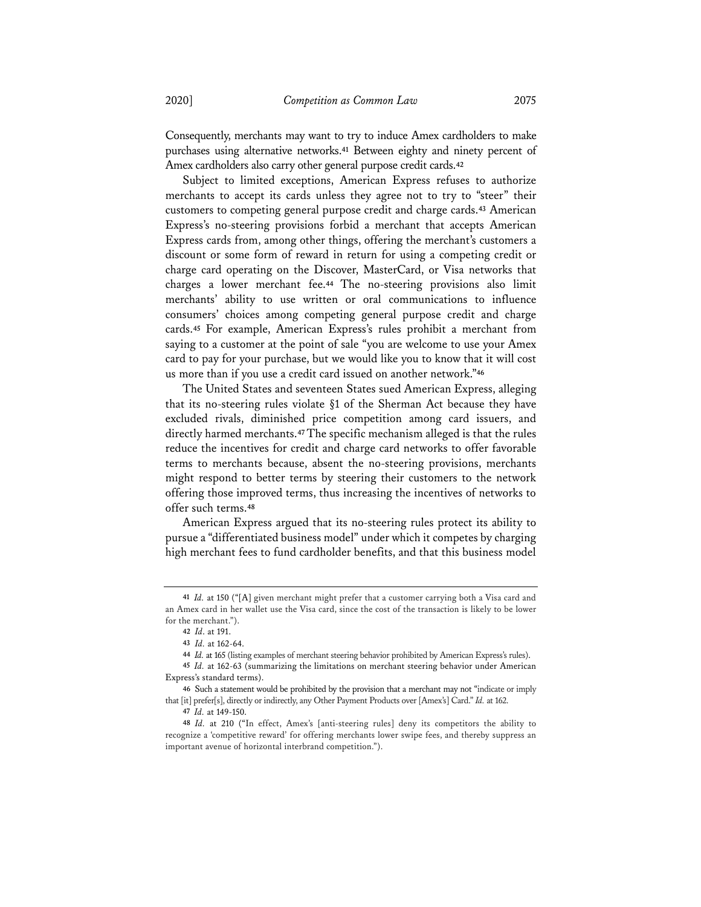Consequently, merchants may want to try to induce Amex cardholders to make purchases using alternative networks.**<sup>41</sup>** Between eighty and ninety percent of Amex cardholders also carry other general purpose credit cards.**<sup>42</sup>**

Subject to limited exceptions, American Express refuses to authorize merchants to accept its cards unless they agree not to try to "steer" their customers to competing general purpose credit and charge cards.**<sup>43</sup>** American Express's no-steering provisions forbid a merchant that accepts American Express cards from, among other things, offering the merchant's customers a discount or some form of reward in return for using a competing credit or charge card operating on the Discover, MasterCard, or Visa networks that charges a lower merchant fee.**<sup>44</sup>** The no-steering provisions also limit merchants' ability to use written or oral communications to influence consumers' choices among competing general purpose credit and charge cards.**<sup>45</sup>** For example, American Express's rules prohibit a merchant from saying to a customer at the point of sale "you are welcome to use your Amex card to pay for your purchase, but we would like you to know that it will cost us more than if you use a credit card issued on another network."**<sup>46</sup>**

The United States and seventeen States sued American Express, alleging that its no-steering rules violate  $\S1$  of the Sherman Act because they have excluded rivals, diminished price competition among card issuers, and directly harmed merchants.**47**The specific mechanism alleged is that the rules reduce the incentives for credit and charge card networks to offer favorable terms to merchants because, absent the no-steering provisions, merchants might respond to better terms by steering their customers to the network offering those improved terms, thus increasing the incentives of networks to offer such terms.**<sup>48</sup>**

American Express argued that its no-steering rules protect its ability to pursue a "differentiated business model" under which it competes by charging high merchant fees to fund cardholder benefits, and that this business model

**<sup>41</sup>** *Id.* at 150 ("[A] given merchant might prefer that a customer carrying both a Visa card and an Amex card in her wallet use the Visa card, since the cost of the transaction is likely to be lower for the merchant.").

**<sup>42</sup>** *Id*. at 191.

**<sup>43</sup>** *Id.* at 162-64.

**<sup>44</sup>** *Id.* at 165 (listing examples of merchant steering behavior prohibited by American Express's rules).

**<sup>45</sup>** *Id.* at 162-63 (summarizing the limitations on merchant steering behavior under American Express's standard terms).

**<sup>46</sup>** Such a statement would be prohibited by the provision that a merchant may not "indicate or imply that [it] prefer[s], directly or indirectly, any Other Payment Products over [Amex's] Card." *Id.* at 162.

**<sup>47</sup>** *Id.* at 149-150.

**<sup>48</sup>** *Id.* at 210 ("In effect, Amex's [anti-steering rules] deny its competitors the ability to recognize a 'competitive reward' for offering merchants lower swipe fees, and thereby suppress an important avenue of horizontal interbrand competition.").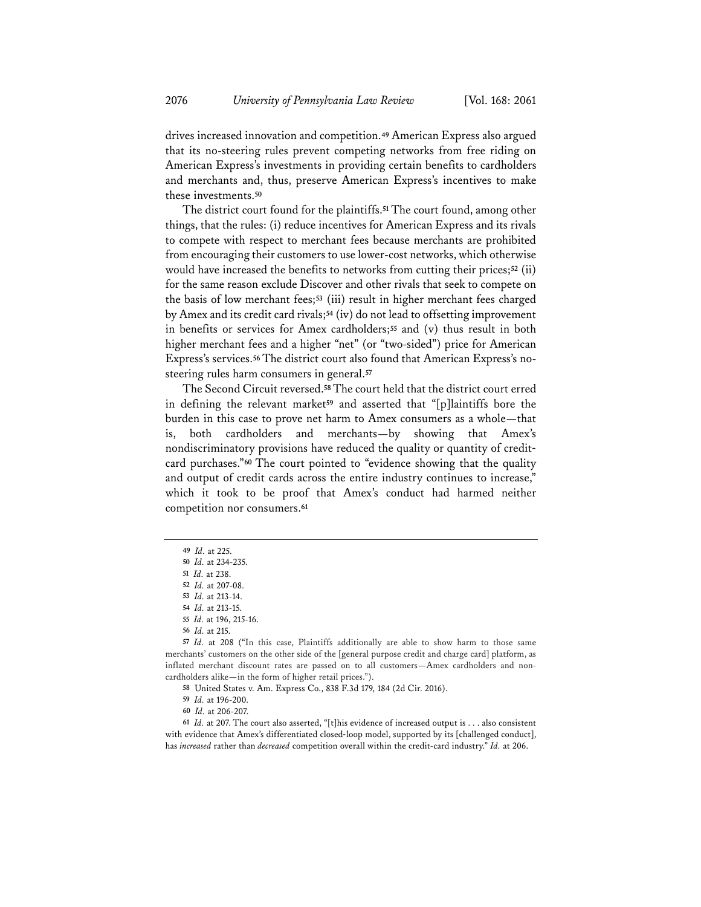drives increased innovation and competition.**<sup>49</sup>** American Express also argued that its no-steering rules prevent competing networks from free riding on American Express's investments in providing certain benefits to cardholders and merchants and, thus, preserve American Express's incentives to make these investments.**<sup>50</sup>**

The district court found for the plaintiffs.**<sup>51</sup>** The court found, among other things, that the rules: (i) reduce incentives for American Express and its rivals to compete with respect to merchant fees because merchants are prohibited from encouraging their customers to use lower-cost networks, which otherwise would have increased the benefits to networks from cutting their prices;**<sup>52</sup>** (ii) for the same reason exclude Discover and other rivals that seek to compete on the basis of low merchant fees;**<sup>53</sup>** (iii) result in higher merchant fees charged by Amex and its credit card rivals;**<sup>54</sup>** (iv) do not lead to offsetting improvement in benefits or services for Amex cardholders;**<sup>55</sup>** and (v) thus result in both higher merchant fees and a higher "net" (or "two-sided") price for American Express's services.**<sup>56</sup>** The district court also found that American Express's nosteering rules harm consumers in general.**<sup>57</sup>**

The Second Circuit reversed.**58**The court held that the district court erred in defining the relevant market**<sup>59</sup>** and asserted that "[p]laintiffs bore the burden in this case to prove net harm to Amex consumers as a whole—that is, both cardholders and merchants—by showing that Amex's nondiscriminatory provisions have reduced the quality or quantity of creditcard purchases."**<sup>60</sup>** The court pointed to "evidence showing that the quality and output of credit cards across the entire industry continues to increase," which it took to be proof that Amex's conduct had harmed neither competition nor consumers.**<sup>61</sup>**

**61** *Id.* at 207. The court also asserted, "[t]his evidence of increased output is . . . also consistent with evidence that Amex's differentiated closed-loop model, supported by its [challenged conduct], has *increased* rather than *decreased* competition overall within the credit-card industry." *Id.* at 206.

**<sup>49</sup>** *Id.* at 225.

**<sup>50</sup>** *Id.* at 234-235.

**<sup>51</sup>** *Id.* at 238.

**<sup>52</sup>** *Id.* at 207-08.

**<sup>53</sup>** *Id.* at 213-14.

**<sup>54</sup>** *Id.* at 213-15.

**<sup>55</sup>** *Id.* at 196, 215-16.

**<sup>56</sup>** *Id.* at 215.

**<sup>57</sup>** *Id.* at 208 ("In this case, Plaintiffs additionally are able to show harm to those same merchants' customers on the other side of the [general purpose credit and charge card] platform, as inflated merchant discount rates are passed on to all customers—Amex cardholders and noncardholders alike—in the form of higher retail prices.").

**<sup>58</sup>** United States v. Am. Express Co., 838 F.3d 179, 184 (2d Cir. 2016).

**<sup>59</sup>** *Id.* at 196-200.

**<sup>60</sup>** *Id.* at 206-207.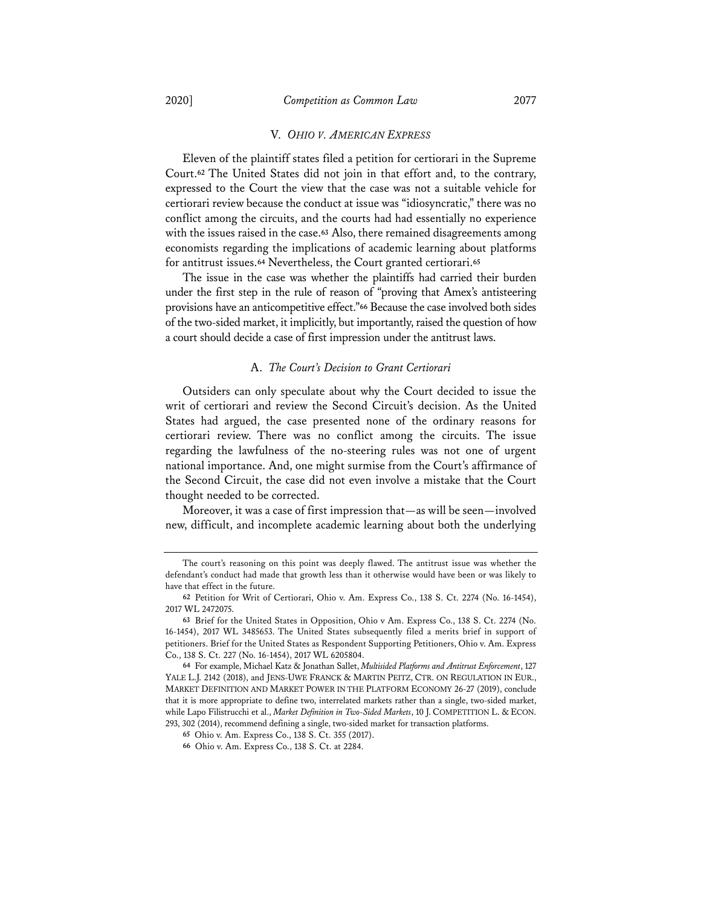#### V. *OHIO V. AMERICAN EXPRESS*

Eleven of the plaintiff states filed a petition for certiorari in the Supreme Court.**<sup>62</sup>** The United States did not join in that effort and, to the contrary, expressed to the Court the view that the case was not a suitable vehicle for certiorari review because the conduct at issue was "idiosyncratic," there was no conflict among the circuits, and the courts had had essentially no experience with the issues raised in the case.**<sup>63</sup>** Also, there remained disagreements among economists regarding the implications of academic learning about platforms for antitrust issues.**<sup>64</sup>** Nevertheless, the Court granted certiorari.**<sup>65</sup>**

The issue in the case was whether the plaintiffs had carried their burden under the first step in the rule of reason of "proving that Amex's antisteering provisions have an anticompetitive effect."**<sup>66</sup>** Because the case involved both sides of the two-sided market, it implicitly, but importantly, raised the question of how a court should decide a case of first impression under the antitrust laws.

## A. *The Court's Decision to Grant Certiorari*

Outsiders can only speculate about why the Court decided to issue the writ of certiorari and review the Second Circuit's decision. As the United States had argued, the case presented none of the ordinary reasons for certiorari review. There was no conflict among the circuits. The issue regarding the lawfulness of the no-steering rules was not one of urgent national importance. And, one might surmise from the Court's affirmance of the Second Circuit, the case did not even involve a mistake that the Court thought needed to be corrected.

Moreover, it was a case of first impression that—as will be seen—involved new, difficult, and incomplete academic learning about both the underlying

The court's reasoning on this point was deeply flawed. The antitrust issue was whether the defendant's conduct had made that growth less than it otherwise would have been or was likely to have that effect in the future.

**<sup>62</sup>** Petition for Writ of Certiorari, Ohio v. Am. Express Co., 138 S. Ct. 2274 (No. 16-1454), 2017 WL 2472075.

**<sup>63</sup>** Brief for the United States in Opposition, Ohio v Am. Express Co., 138 S. Ct. 2274 (No. 16-1454), 2017 WL 3485653. The United States subsequently filed a merits brief in support of petitioners. Brief for the United States as Respondent Supporting Petitioners, Ohio v. Am. Express Co., 138 S. Ct. 227 (No. 16-1454), 2017 WL 6205804.

**<sup>64</sup>** For example, Michael Katz & Jonathan Sallet, *Multisided Platforms and Antitrust Enforcement*, 127 YALE L.J. 2142 (2018), and JENS-UWE FRANCK & MARTIN PEITZ, CTR. ON REGULATION IN EUR., MARKET DEFINITION AND MARKET POWER IN THE PLATFORM ECONOMY 26-27 (2019), conclude that it is more appropriate to define two, interrelated markets rather than a single, two-sided market, while Lapo Filistrucchi et al., *Market Definition in Two-Sided Markets*, 10 J. COMPETITION L. & ECON. 293, 302 (2014), recommend defining a single, two-sided market for transaction platforms.

**<sup>65</sup>** Ohio v. Am. Express Co., 138 S. Ct. 355 (2017).

**<sup>66</sup>** Ohio v. Am. Express Co., 138 S. Ct. at 2284.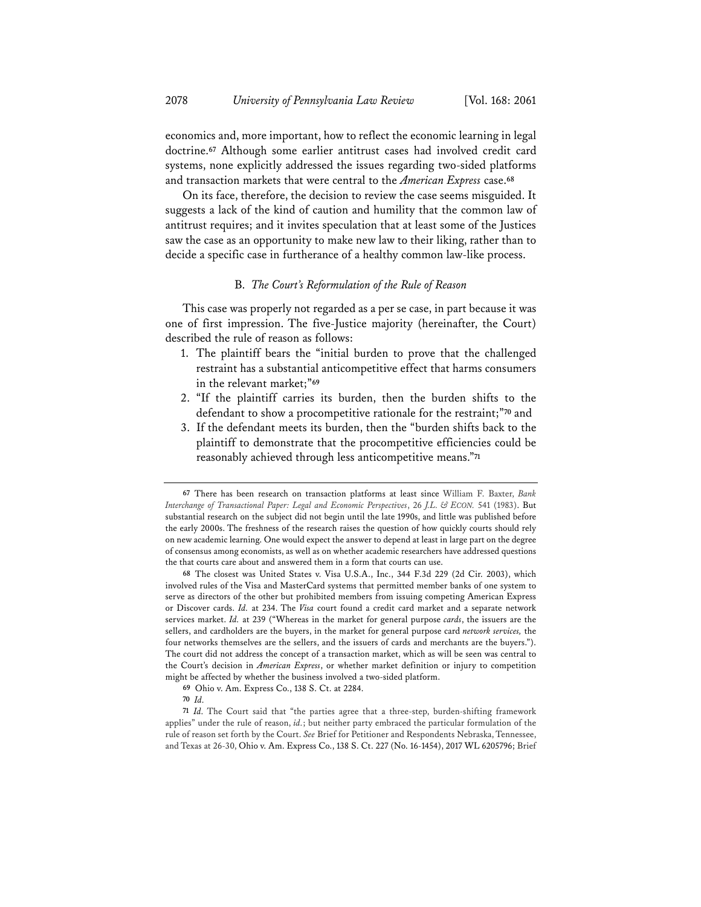economics and, more important, how to reflect the economic learning in legal doctrine.**<sup>67</sup>** Although some earlier antitrust cases had involved credit card systems, none explicitly addressed the issues regarding two-sided platforms and transaction markets that were central to the *American Express* case.**<sup>68</sup>**

On its face, therefore, the decision to review the case seems misguided. It suggests a lack of the kind of caution and humility that the common law of antitrust requires; and it invites speculation that at least some of the Justices saw the case as an opportunity to make new law to their liking, rather than to decide a specific case in furtherance of a healthy common law-like process.

# B. *The Court's Reformulation of the Rule of Reason*

This case was properly not regarded as a per se case, in part because it was one of first impression. The five-Justice majority (hereinafter, the Court) described the rule of reason as follows:

- 1. The plaintiff bears the "initial burden to prove that the challenged restraint has a substantial anticompetitive effect that harms consumers in the relevant market;"**<sup>69</sup>**
- 2. "If the plaintiff carries its burden, then the burden shifts to the defendant to show a procompetitive rationale for the restraint;"**<sup>70</sup>** and
- 3. If the defendant meets its burden, then the "burden shifts back to the plaintiff to demonstrate that the procompetitive efficiencies could be reasonably achieved through less anticompetitive means."**<sup>71</sup>**

**<sup>67</sup>** There has been research on transaction platforms at least since William F. Baxter, *Bank Interchange of Transactional Paper: Legal and Economic Perspectives*, 26 *J.L. & ECON.* 541 (1983). But substantial research on the subject did not begin until the late 1990s, and little was published before the early 2000s. The freshness of the research raises the question of how quickly courts should rely on new academic learning. One would expect the answer to depend at least in large part on the degree of consensus among economists, as well as on whether academic researchers have addressed questions the that courts care about and answered them in a form that courts can use.

**<sup>68</sup>** The closest was United States v. Visa U.S.A., Inc., 344 F.3d 229 (2d Cir. 2003), which involved rules of the Visa and MasterCard systems that permitted member banks of one system to serve as directors of the other but prohibited members from issuing competing American Express or Discover cards. *Id.* at 234. The *Visa* court found a credit card market and a separate network services market. *Id.* at 239 ("Whereas in the market for general purpose *cards*, the issuers are the sellers, and cardholders are the buyers, in the market for general purpose card *network services,* the four networks themselves are the sellers, and the issuers of cards and merchants are the buyers."). The court did not address the concept of a transaction market, which as will be seen was central to the Court's decision in *American Express*, or whether market definition or injury to competition might be affected by whether the business involved a two-sided platform.

**<sup>69</sup>** Ohio v. Am. Express Co., 138 S. Ct. at 2284.

**<sup>70</sup>** *Id.*

**<sup>71</sup>** *Id.* The Court said that "the parties agree that a three-step, burden-shifting framework applies" under the rule of reason, *id.*; but neither party embraced the particular formulation of the rule of reason set forth by the Court. *See* Brief for Petitioner and Respondents Nebraska, Tennessee, and Texas at 26-30, Ohio v. Am. Express Co., 138 S. Ct. 227 (No. 16-1454), 2017 WL 6205796; Brief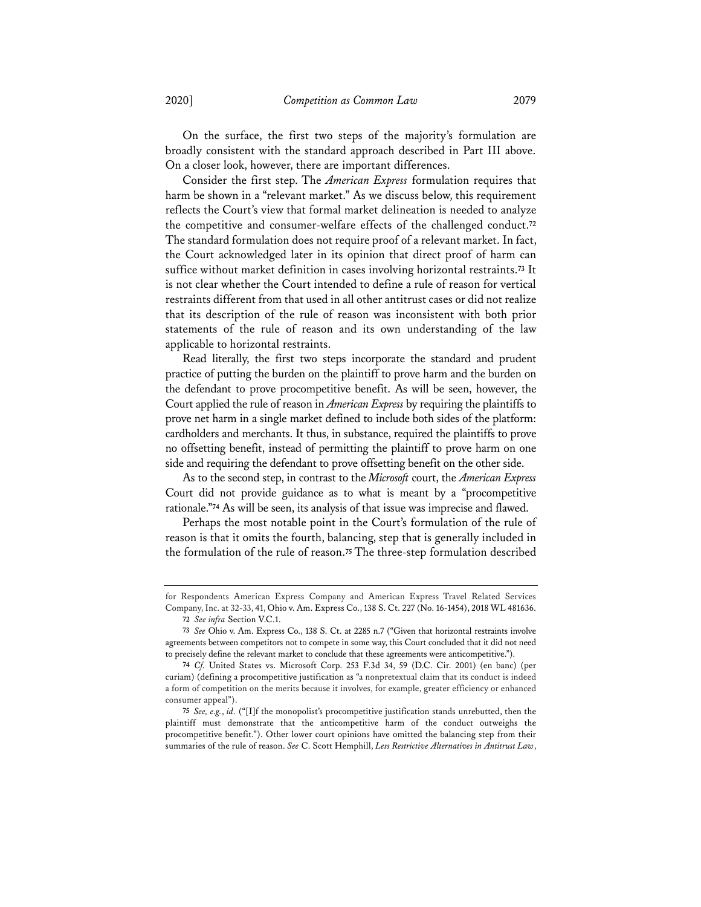On the surface, the first two steps of the majority's formulation are broadly consistent with the standard approach described in Part III above. On a closer look, however, there are important differences.

Consider the first step. The *American Express* formulation requires that harm be shown in a "relevant market." As we discuss below, this requirement reflects the Court's view that formal market delineation is needed to analyze the competitive and consumer-welfare effects of the challenged conduct.**<sup>72</sup>** The standard formulation does not require proof of a relevant market. In fact, the Court acknowledged later in its opinion that direct proof of harm can suffice without market definition in cases involving horizontal restraints.**<sup>73</sup>** It is not clear whether the Court intended to define a rule of reason for vertical restraints different from that used in all other antitrust cases or did not realize that its description of the rule of reason was inconsistent with both prior statements of the rule of reason and its own understanding of the law applicable to horizontal restraints.

Read literally, the first two steps incorporate the standard and prudent practice of putting the burden on the plaintiff to prove harm and the burden on the defendant to prove procompetitive benefit. As will be seen, however, the Court applied the rule of reason in *American Express* by requiring the plaintiffs to prove net harm in a single market defined to include both sides of the platform: cardholders and merchants. It thus, in substance, required the plaintiffs to prove no offsetting benefit, instead of permitting the plaintiff to prove harm on one side and requiring the defendant to prove offsetting benefit on the other side.

As to the second step, in contrast to the *Microsoft* court, the *American Express*  Court did not provide guidance as to what is meant by a "procompetitive rationale."**<sup>74</sup>** As will be seen, its analysis of that issue was imprecise and flawed.

Perhaps the most notable point in the Court's formulation of the rule of reason is that it omits the fourth, balancing, step that is generally included in the formulation of the rule of reason.**<sup>75</sup>** The three-step formulation described

for Respondents American Express Company and American Express Travel Related Services Company, Inc. at 32-33, 41, Ohio v. Am. Express Co., 138 S. Ct. 227 (No. 16-1454), 2018 WL 481636.

**<sup>72</sup>** *See infra* Section V.C.1.

**<sup>73</sup>** *See* Ohio v. Am. Express Co., 138 S. Ct. at 2285 n.7 ("Given that horizontal restraints involve agreements between competitors not to compete in some way, this Court concluded that it did not need to precisely define the relevant market to conclude that these agreements were anticompetitive.").

**<sup>74</sup>** *Cf.* United States vs. Microsoft Corp. 253 F.3d 34, 59 (D.C. Cir. 2001) (en banc) (per curiam) (defining a procompetitive justification as "a nonpretextual claim that its conduct is indeed a form of competition on the merits because it involves, for example, greater efficiency or enhanced consumer appeal").

**<sup>75</sup>** *See, e.g.*, *id.* ("[I]f the monopolist's procompetitive justification stands unrebutted, then the plaintiff must demonstrate that the anticompetitive harm of the conduct outweighs the procompetitive benefit."). Other lower court opinions have omitted the balancing step from their summaries of the rule of reason. *See* C. Scott Hemphill, *Less Restrictive Alternatives in Antitrust Law*,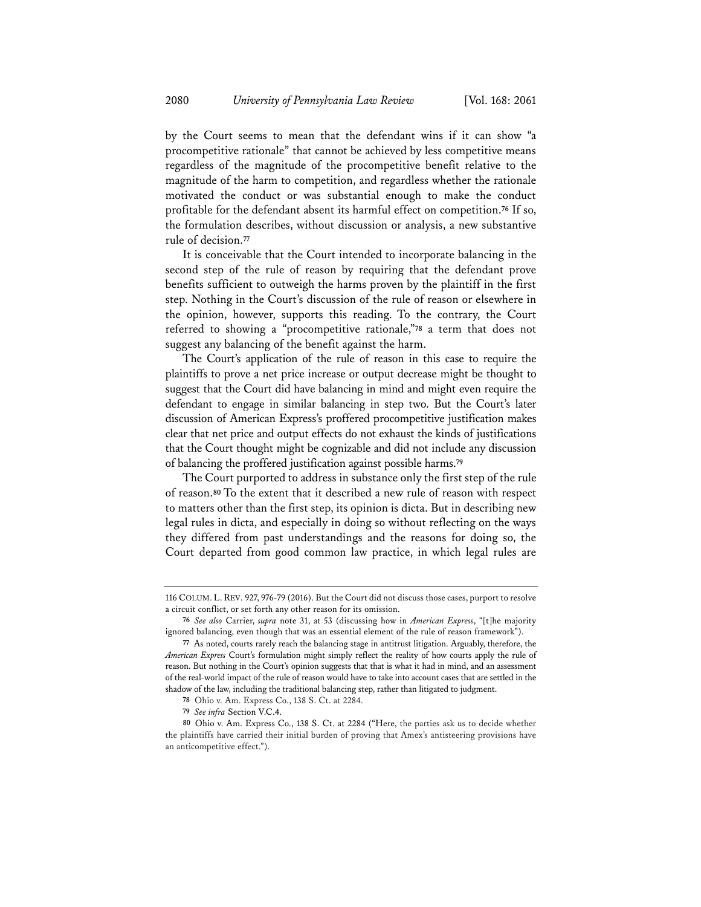by the Court seems to mean that the defendant wins if it can show "a procompetitive rationale" that cannot be achieved by less competitive means regardless of the magnitude of the procompetitive benefit relative to the magnitude of the harm to competition, and regardless whether the rationale motivated the conduct or was substantial enough to make the conduct profitable for the defendant absent its harmful effect on competition.**<sup>76</sup>** If so, the formulation describes, without discussion or analysis, a new substantive rule of decision.**<sup>77</sup>**

It is conceivable that the Court intended to incorporate balancing in the second step of the rule of reason by requiring that the defendant prove benefits sufficient to outweigh the harms proven by the plaintiff in the first step. Nothing in the Court's discussion of the rule of reason or elsewhere in the opinion, however, supports this reading. To the contrary, the Court referred to showing a "procompetitive rationale,"**<sup>78</sup>** a term that does not suggest any balancing of the benefit against the harm.

The Court's application of the rule of reason in this case to require the plaintiffs to prove a net price increase or output decrease might be thought to suggest that the Court did have balancing in mind and might even require the defendant to engage in similar balancing in step two. But the Court's later discussion of American Express's proffered procompetitive justification makes clear that net price and output effects do not exhaust the kinds of justifications that the Court thought might be cognizable and did not include any discussion of balancing the proffered justification against possible harms.**<sup>79</sup>**

The Court purported to address in substance only the first step of the rule of reason.**<sup>80</sup>** To the extent that it described a new rule of reason with respect to matters other than the first step, its opinion is dicta. But in describing new legal rules in dicta, and especially in doing so without reflecting on the ways they differed from past understandings and the reasons for doing so, the Court departed from good common law practice, in which legal rules are

<sup>116</sup> COLUM. L.REV. 927, 976-79 (2016). But the Court did not discuss those cases, purport to resolve a circuit conflict, or set forth any other reason for its omission.

**<sup>76</sup>** *See also* Carrier, *supra* note 31, at 53 (discussing how in *American Express*, "[t]he majority ignored balancing, even though that was an essential element of the rule of reason framework").

**<sup>77</sup>** As noted, courts rarely reach the balancing stage in antitrust litigation. Arguably, therefore, the *American Express* Court's formulation might simply reflect the reality of how courts apply the rule of reason. But nothing in the Court's opinion suggests that that is what it had in mind, and an assessment of the real-world impact of the rule of reason would have to take into account cases that are settled in the shadow of the law, including the traditional balancing step, rather than litigated to judgment.

**<sup>78</sup>** Ohio v. Am. Express Co., 138 S. Ct. at 2284.

**<sup>79</sup>** *See infra* Section V.C.4.

**<sup>80</sup>** Ohio v. Am. Express Co., 138 S. Ct. at 2284 ("Here, the parties ask us to decide whether the plaintiffs have carried their initial burden of proving that Amex's antisteering provisions have an anticompetitive effect.").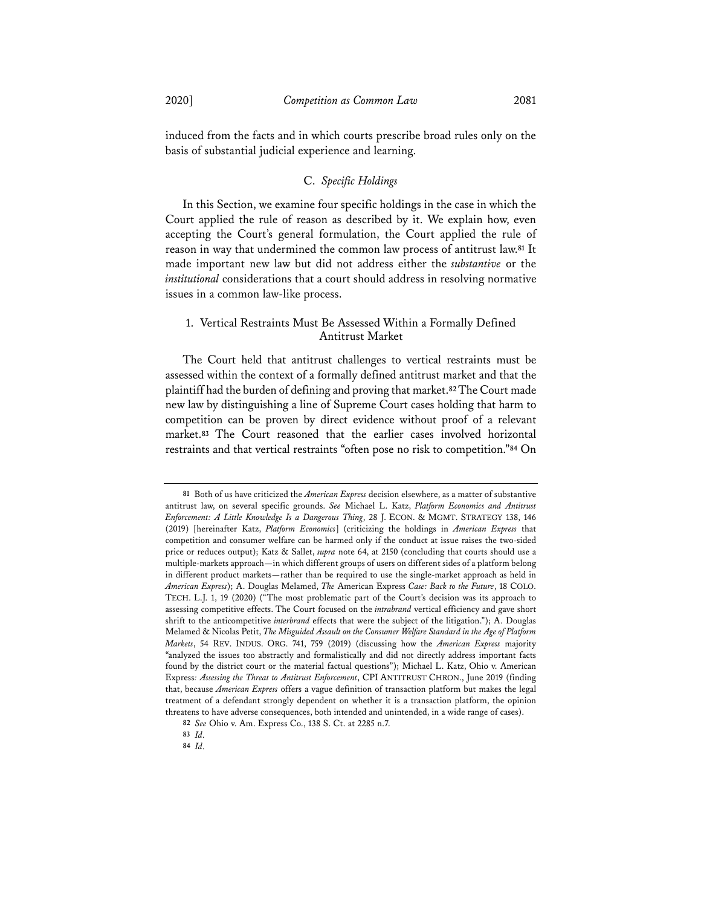induced from the facts and in which courts prescribe broad rules only on the

#### C. *Specific Holdings*

basis of substantial judicial experience and learning.

In this Section, we examine four specific holdings in the case in which the Court applied the rule of reason as described by it. We explain how, even accepting the Court's general formulation, the Court applied the rule of reason in way that undermined the common law process of antitrust law.**<sup>81</sup>** It made important new law but did not address either the *substantive* or the *institutional* considerations that a court should address in resolving normative issues in a common law-like process.

## 1. Vertical Restraints Must Be Assessed Within a Formally Defined Antitrust Market

The Court held that antitrust challenges to vertical restraints must be assessed within the context of a formally defined antitrust market and that the plaintiff had the burden of defining and proving that market.**82**The Court made new law by distinguishing a line of Supreme Court cases holding that harm to competition can be proven by direct evidence without proof of a relevant market.**<sup>83</sup>** The Court reasoned that the earlier cases involved horizontal restraints and that vertical restraints "often pose no risk to competition."**<sup>84</sup>** On

**<sup>81</sup>** Both of us have criticized the *American Express* decision elsewhere, as a matter of substantive antitrust law, on several specific grounds. *See* Michael L. Katz, *Platform Economics and Antitrust Enforcement: A Little Knowledge Is a Dangerous Thing*, 28 J. ECON. & MGMT. STRATEGY 138, 146 (2019) [hereinafter Katz, *Platform Economics*] (criticizing the holdings in *American Express* that competition and consumer welfare can be harmed only if the conduct at issue raises the two-sided price or reduces output); Katz & Sallet, *supra* note 64, at 2150 (concluding that courts should use a multiple-markets approach—in which different groups of users on different sides of a platform belong in different product markets—rather than be required to use the single-market approach as held in *American Express*); A. Douglas Melamed, *The* American Express *Case: Back to the Future*, 18 COLO. TECH. L.J. 1, 19 (2020) ("The most problematic part of the Court's decision was its approach to assessing competitive effects. The Court focused on the *intrabrand* vertical efficiency and gave short shrift to the anticompetitive *interbrand* effects that were the subject of the litigation."); A. Douglas Melamed & Nicolas Petit, *The Misguided Assault on the Consumer Welfare Standard in the Age of Platform Markets*, 54 REV. INDUS. ORG. 741, 759 (2019) (discussing how the *American Express* majority "analyzed the issues too abstractly and formalistically and did not directly address important facts found by the district court or the material factual questions"); Michael L. Katz, Ohio v. American Express*: Assessing the Threat to Antitrust Enforcement*, CPI ANTITRUST CHRON., June 2019 (finding that, because *American Express* offers a vague definition of transaction platform but makes the legal treatment of a defendant strongly dependent on whether it is a transaction platform, the opinion threatens to have adverse consequences, both intended and unintended, in a wide range of cases).

**<sup>82</sup>** *See* Ohio v. Am. Express Co., 138 S. Ct. at 2285 n.7.

**<sup>83</sup>** *Id.*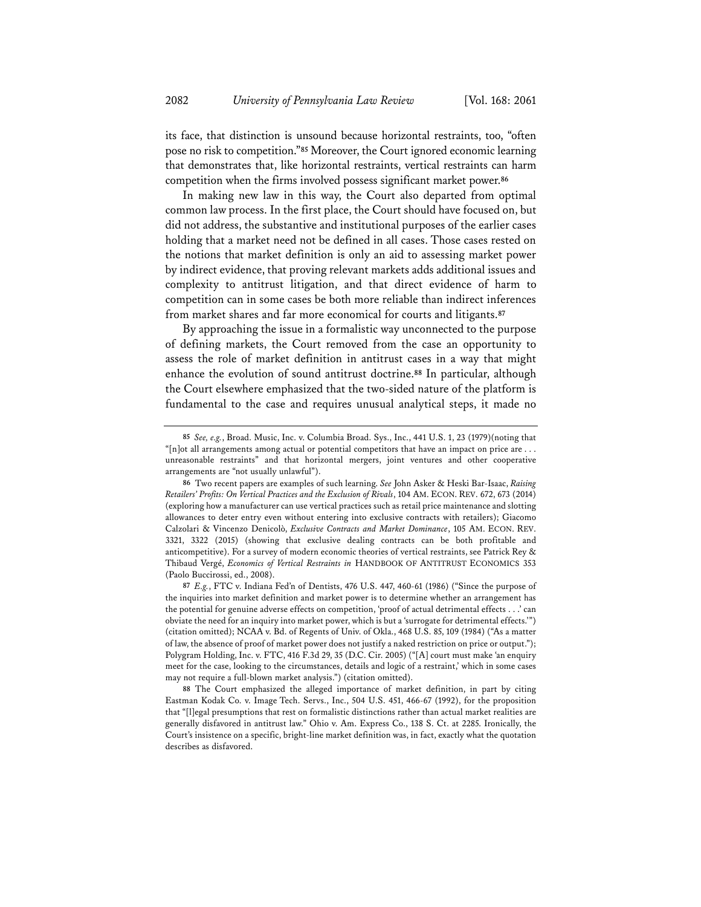its face, that distinction is unsound because horizontal restraints, too, "often pose no risk to competition."**<sup>85</sup>** Moreover, the Court ignored economic learning that demonstrates that, like horizontal restraints, vertical restraints can harm competition when the firms involved possess significant market power.**<sup>86</sup>**

In making new law in this way, the Court also departed from optimal common law process. In the first place, the Court should have focused on, but did not address, the substantive and institutional purposes of the earlier cases holding that a market need not be defined in all cases. Those cases rested on the notions that market definition is only an aid to assessing market power by indirect evidence, that proving relevant markets adds additional issues and complexity to antitrust litigation, and that direct evidence of harm to competition can in some cases be both more reliable than indirect inferences from market shares and far more economical for courts and litigants.**<sup>87</sup>**

By approaching the issue in a formalistic way unconnected to the purpose of defining markets, the Court removed from the case an opportunity to assess the role of market definition in antitrust cases in a way that might enhance the evolution of sound antitrust doctrine.**<sup>88</sup>** In particular, although the Court elsewhere emphasized that the two-sided nature of the platform is fundamental to the case and requires unusual analytical steps, it made no

**<sup>85</sup>** *See, e.g.*, Broad. Music, Inc. v. Columbia Broad. Sys., Inc., 441 U.S. 1, 23 (1979)(noting that "[n]ot all arrangements among actual or potential competitors that have an impact on price are . . . unreasonable restraints" and that horizontal mergers, joint ventures and other cooperative arrangements are "not usually unlawful").

**<sup>86</sup>** Two recent papers are examples of such learning. *See* John Asker & Heski Bar-Isaac, *Raising Retailers' Profits: On Vertical Practices and the Exclusion of Rivals*, 104 AM. ECON. REV. 672, 673 (2014) (exploring how a manufacturer can use vertical practices such as retail price maintenance and slotting allowances to deter entry even without entering into exclusive contracts with retailers); Giacomo Calzolari & Vincenzo Denicolò, *Exclusive Contracts and Market Dominance*, 105 AM. ECON. REV. 3321, 3322 (2015) (showing that exclusive dealing contracts can be both profitable and anticompetitive). For a survey of modern economic theories of vertical restraints, see Patrick Rey & Thibaud Vergé, *Economics of Vertical Restraints in* HANDBOOK OF ANTITRUST ECONOMICS 353 (Paolo Buccirossi, ed., 2008).

**<sup>87</sup>** *E.g.*, FTC v. Indiana Fed'n of Dentists, 476 U.S. 447, 460-61 (1986) ("Since the purpose of the inquiries into market definition and market power is to determine whether an arrangement has the potential for genuine adverse effects on competition, 'proof of actual detrimental effects . . .' can obviate the need for an inquiry into market power, which is but a 'surrogate for detrimental effects.'") (citation omitted); NCAA v. Bd. of Regents of Univ. of Okla., 468 U.S. 85, 109 (1984) ("As a matter of law, the absence of proof of market power does not justify a naked restriction on price or output."); Polygram Holding, Inc. v. FTC, 416 F.3d 29, 35 (D.C. Cir. 2005) ("[A] court must make 'an enquiry meet for the case, looking to the circumstances, details and logic of a restraint,' which in some cases may not require a full-blown market analysis.") (citation omitted).

**<sup>88</sup>** The Court emphasized the alleged importance of market definition, in part by citing Eastman Kodak Co. v. Image Tech. Servs., Inc., 504 U.S. 451, 466-67 (1992), for the proposition that "[l]egal presumptions that rest on formalistic distinctions rather than actual market realities are generally disfavored in antitrust law." Ohio v. Am. Express Co., 138 S. Ct. at 2285. Ironically, the Court's insistence on a specific, bright-line market definition was, in fact, exactly what the quotation describes as disfavored.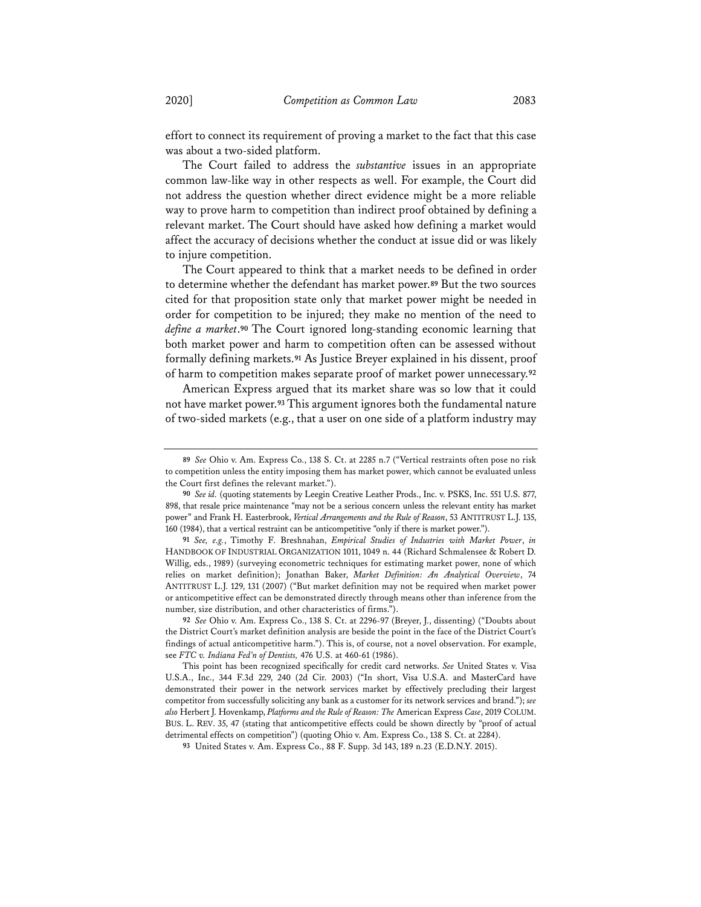effort to connect its requirement of proving a market to the fact that this case was about a two-sided platform.

The Court failed to address the *substantive* issues in an appropriate common law-like way in other respects as well. For example, the Court did not address the question whether direct evidence might be a more reliable way to prove harm to competition than indirect proof obtained by defining a relevant market. The Court should have asked how defining a market would affect the accuracy of decisions whether the conduct at issue did or was likely to injure competition.

The Court appeared to think that a market needs to be defined in order to determine whether the defendant has market power.**<sup>89</sup>** But the two sources cited for that proposition state only that market power might be needed in order for competition to be injured; they make no mention of the need to *define a market*.**<sup>90</sup>** The Court ignored long-standing economic learning that both market power and harm to competition often can be assessed without formally defining markets.**<sup>91</sup>** As Justice Breyer explained in his dissent, proof of harm to competition makes separate proof of market power unnecessary.**<sup>92</sup>**

American Express argued that its market share was so low that it could not have market power.**<sup>93</sup>** This argument ignores both the fundamental nature of two-sided markets (e.g., that a user on one side of a platform industry may

**92** *See* Ohio v. Am. Express Co., 138 S. Ct. at 2296-97 (Breyer, J., dissenting) ("Doubts about the District Court's market definition analysis are beside the point in the face of the District Court's findings of actual anticompetitive harm."). This is, of course, not a novel observation. For example, see *FTC v. Indiana Fed'n of Dentists,* 476 U.S. at 460-61 (1986).

This point has been recognized specifically for credit card networks. *See* United States v. Visa U.S.A., Inc., 344 F.3d 229, 240 (2d Cir. 2003) ("In short, Visa U.S.A. and MasterCard have demonstrated their power in the network services market by effectively precluding their largest competitor from successfully soliciting any bank as a customer for its network services and brand."); *see also* Herbert J. Hovenkamp, *Platforms and the Rule of Reason: The* American Express *Case*, 2019 COLUM. BUS. L. REV. 35, 47 (stating that anticompetitive effects could be shown directly by "proof of actual detrimental effects on competition") (quoting Ohio v. Am. Express Co., 138 S. Ct. at 2284).

**93** United States v. Am. Express Co., 88 F. Supp. 3d 143, 189 n.23 (E.D.N.Y. 2015).

**<sup>89</sup>** *See* Ohio v. Am. Express Co., 138 S. Ct. at 2285 n.7 ("Vertical restraints often pose no risk to competition unless the entity imposing them has market power, which cannot be evaluated unless the Court first defines the relevant market.").

**<sup>90</sup>** *See id.* (quoting statements by Leegin Creative Leather Prods., Inc. v. PSKS, Inc. 551 U.S. 877, 898, that resale price maintenance "may not be a serious concern unless the relevant entity has market power" and Frank H. Easterbrook, *Vertical Arrangements and the Rule of Reason*, 53 ANTITRUST L.J. 135, 160 (1984), that a vertical restraint can be anticompetitive "only if there is market power.").

**<sup>91</sup>** *See, e.g.*, Timothy F. Breshnahan, *Empirical Studies of Industries with Market Power*, *in* HANDBOOK OF INDUSTRIAL ORGANIZATION 1011, 1049 n. 44 (Richard Schmalensee & Robert D. Willig, eds., 1989) (surveying econometric techniques for estimating market power, none of which relies on market definition); Jonathan Baker, *Market Definition: An Analytical Overview*, 74 ANTITRUST L.J. 129, 131 (2007) ("But market definition may not be required when market power or anticompetitive effect can be demonstrated directly through means other than inference from the number, size distribution, and other characteristics of firms.").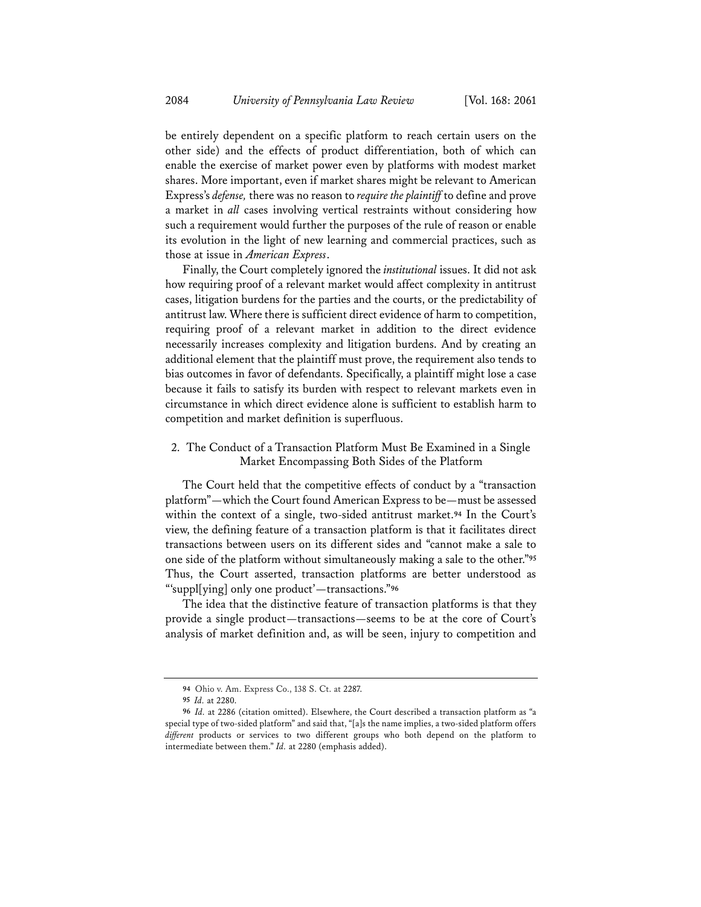be entirely dependent on a specific platform to reach certain users on the other side) and the effects of product differentiation, both of which can enable the exercise of market power even by platforms with modest market shares. More important, even if market shares might be relevant to American Express's *defense,* there was no reason to *require the plaintiff* to define and prove a market in *all* cases involving vertical restraints without considering how such a requirement would further the purposes of the rule of reason or enable its evolution in the light of new learning and commercial practices, such as those at issue in *American Express*.

Finally, the Court completely ignored the *institutional* issues. It did not ask how requiring proof of a relevant market would affect complexity in antitrust cases, litigation burdens for the parties and the courts, or the predictability of antitrust law. Where there is sufficient direct evidence of harm to competition, requiring proof of a relevant market in addition to the direct evidence necessarily increases complexity and litigation burdens. And by creating an additional element that the plaintiff must prove, the requirement also tends to bias outcomes in favor of defendants. Specifically, a plaintiff might lose a case because it fails to satisfy its burden with respect to relevant markets even in circumstance in which direct evidence alone is sufficient to establish harm to competition and market definition is superfluous.

# 2. The Conduct of a Transaction Platform Must Be Examined in a Single Market Encompassing Both Sides of the Platform

The Court held that the competitive effects of conduct by a "transaction platform"—which the Court found American Express to be—must be assessed within the context of a single, two-sided antitrust market.**<sup>94</sup>** In the Court's view, the defining feature of a transaction platform is that it facilitates direct transactions between users on its different sides and "cannot make a sale to one side of the platform without simultaneously making a sale to the other."**<sup>95</sup>** Thus, the Court asserted, transaction platforms are better understood as "'suppl[ying] only one product'—transactions."**<sup>96</sup>**

The idea that the distinctive feature of transaction platforms is that they provide a single product—transactions—seems to be at the core of Court's analysis of market definition and, as will be seen, injury to competition and

**<sup>94</sup>** Ohio v. Am. Express Co., 138 S. Ct. at 2287.

**<sup>95</sup>** *Id.* at 2280.

**<sup>96</sup>** *Id.* at 2286 (citation omitted). Elsewhere, the Court described a transaction platform as "a special type of two-sided platform" and said that, "[a]s the name implies, a two-sided platform offers *different* products or services to two different groups who both depend on the platform to intermediate between them." *Id.* at 2280 (emphasis added).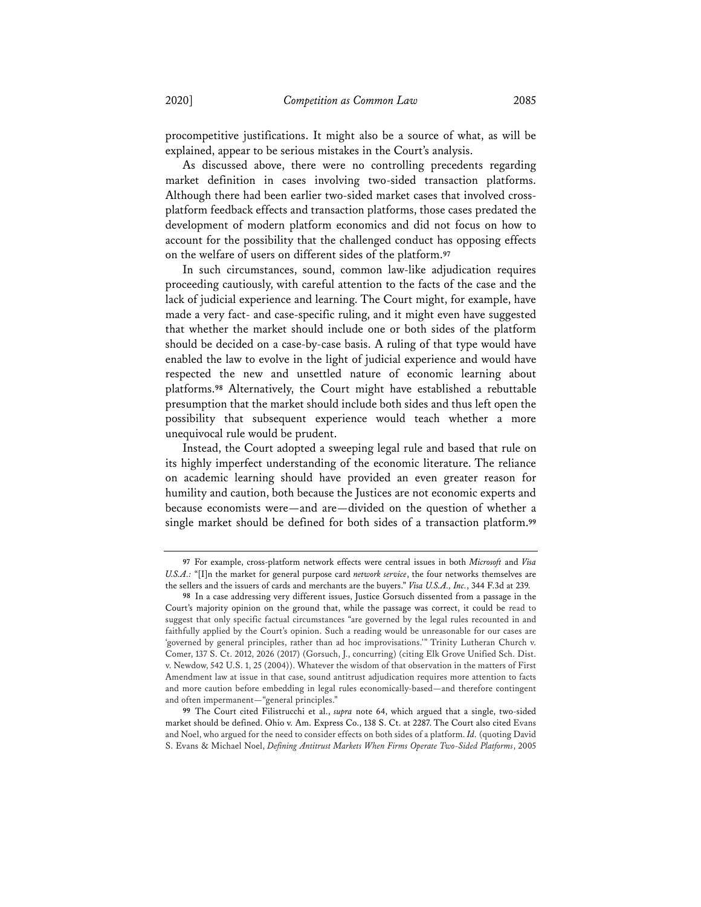procompetitive justifications. It might also be a source of what, as will be explained, appear to be serious mistakes in the Court's analysis.

As discussed above, there were no controlling precedents regarding market definition in cases involving two-sided transaction platforms. Although there had been earlier two-sided market cases that involved crossplatform feedback effects and transaction platforms, those cases predated the development of modern platform economics and did not focus on how to account for the possibility that the challenged conduct has opposing effects on the welfare of users on different sides of the platform.**<sup>97</sup>**

In such circumstances, sound, common law-like adjudication requires proceeding cautiously, with careful attention to the facts of the case and the lack of judicial experience and learning. The Court might, for example, have made a very fact- and case-specific ruling, and it might even have suggested that whether the market should include one or both sides of the platform should be decided on a case-by-case basis. A ruling of that type would have enabled the law to evolve in the light of judicial experience and would have respected the new and unsettled nature of economic learning about platforms.**<sup>98</sup>** Alternatively, the Court might have established a rebuttable presumption that the market should include both sides and thus left open the possibility that subsequent experience would teach whether a more unequivocal rule would be prudent.

Instead, the Court adopted a sweeping legal rule and based that rule on its highly imperfect understanding of the economic literature. The reliance on academic learning should have provided an even greater reason for humility and caution, both because the Justices are not economic experts and because economists were—and are—divided on the question of whether a single market should be defined for both sides of a transaction platform.**<sup>99</sup>**

**<sup>97</sup>** For example, cross-platform network effects were central issues in both *Microsoft* and *Visa U.S.A.:* "[I]n the market for general purpose card *network service*, the four networks themselves are the sellers and the issuers of cards and merchants are the buyers." *Visa U.S.A., Inc.*, 344 F.3d at 239.

**<sup>98</sup>** In a case addressing very different issues, Justice Gorsuch dissented from a passage in the Court's majority opinion on the ground that, while the passage was correct, it could be read to suggest that only specific factual circumstances "are governed by the legal rules recounted in and faithfully applied by the Court's opinion. Such a reading would be unreasonable for our cases are 'governed by general principles, rather than ad hoc improvisations.'" Trinity Lutheran Church v. Comer, 137 S. Ct. 2012, 2026 (2017) (Gorsuch, J., concurring) (citing Elk Grove Unified Sch. Dist. v. Newdow, 542 U.S. 1, 25 (2004)). Whatever the wisdom of that observation in the matters of First Amendment law at issue in that case, sound antitrust adjudication requires more attention to facts and more caution before embedding in legal rules economically-based—and therefore contingent and often impermanent—"general principles."

**<sup>99</sup>** The Court cited Filistrucchi et al., *supra* note 64, which argued that a single, two-sided market should be defined. Ohio v. Am. Express Co., 138 S. Ct. at 2287. The Court also cited Evans and Noel, who argued for the need to consider effects on both sides of a platform. *Id.* (quoting David S. Evans & Michael Noel, *Defining Antitrust Markets When Firms Operate Two-Sided Platforms*, 2005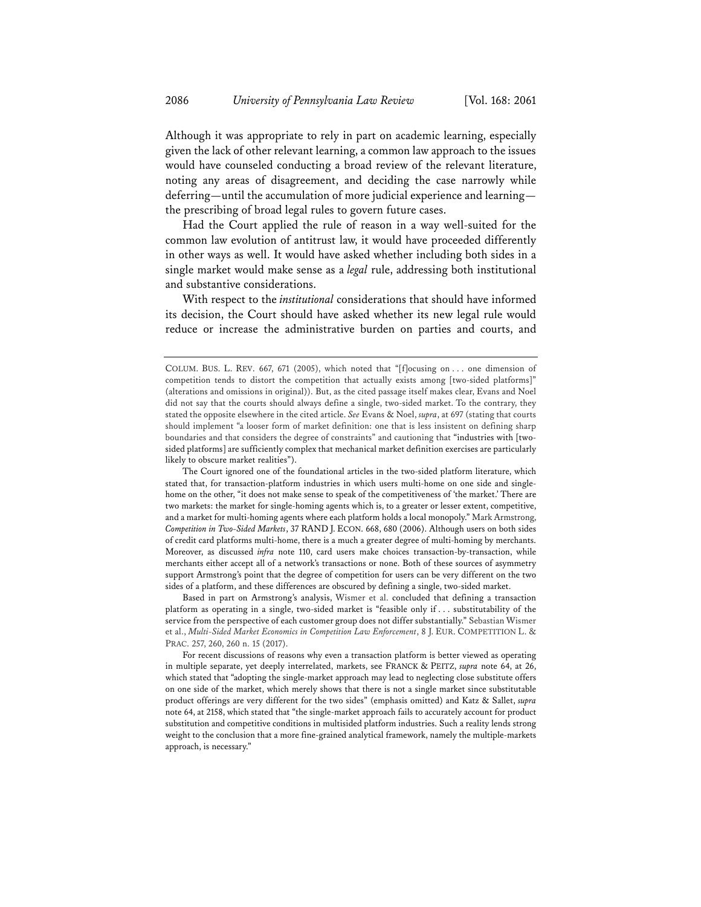Although it was appropriate to rely in part on academic learning, especially given the lack of other relevant learning, a common law approach to the issues would have counseled conducting a broad review of the relevant literature, noting any areas of disagreement, and deciding the case narrowly while deferring—until the accumulation of more judicial experience and learning the prescribing of broad legal rules to govern future cases.

Had the Court applied the rule of reason in a way well-suited for the common law evolution of antitrust law, it would have proceeded differently in other ways as well. It would have asked whether including both sides in a single market would make sense as a *legal* rule, addressing both institutional and substantive considerations.

With respect to the *institutional* considerations that should have informed its decision, the Court should have asked whether its new legal rule would reduce or increase the administrative burden on parties and courts, and

Based in part on Armstrong's analysis, Wismer et al. concluded that defining a transaction platform as operating in a single, two-sided market is "feasible only if . . . substitutability of the service from the perspective of each customer group does not differ substantially." Sebastian Wismer et al., *Multi-Sided Market Economics in Competition Law Enforcement*, 8 J. EUR. COMPETITION L. & PRAC. 257, 260, 260 n. 15 (2017).

COLUM. BUS. L. REV. 667, 671 (2005), which noted that "[f]ocusing on . . . one dimension of competition tends to distort the competition that actually exists among [two-sided platforms]" (alterations and omissions in original)). But, as the cited passage itself makes clear, Evans and Noel did not say that the courts should always define a single, two-sided market. To the contrary, they stated the opposite elsewhere in the cited article. *See* Evans & Noel, *supra*, at 697 (stating that courts should implement "a looser form of market definition: one that is less insistent on defining sharp boundaries and that considers the degree of constraints" and cautioning that "industries with [twosided platforms] are sufficiently complex that mechanical market definition exercises are particularly likely to obscure market realities").

The Court ignored one of the foundational articles in the two-sided platform literature, which stated that, for transaction-platform industries in which users multi-home on one side and singlehome on the other, "it does not make sense to speak of the competitiveness of 'the market.' There are two markets: the market for single-homing agents which is, to a greater or lesser extent, competitive, and a market for multi-homing agents where each platform holds a local monopoly." Mark Armstrong, *Competition in Two-Sided Markets*, 37 RAND J. ECON. 668, 680 (2006). Although users on both sides of credit card platforms multi-home, there is a much a greater degree of multi-homing by merchants. Moreover, as discussed *infra* note 110, card users make choices transaction-by-transaction, while merchants either accept all of a network's transactions or none. Both of these sources of asymmetry support Armstrong's point that the degree of competition for users can be very different on the two sides of a platform, and these differences are obscured by defining a single, two-sided market.

For recent discussions of reasons why even a transaction platform is better viewed as operating in multiple separate, yet deeply interrelated, markets, see FRANCK & PEITZ, *supra* note 64, at 26, which stated that "adopting the single-market approach may lead to neglecting close substitute offers on one side of the market, which merely shows that there is not a single market since substitutable product offerings are very different for the two sides" (emphasis omitted) and Katz & Sallet, *supra* note 64, at 2158, which stated that "the single-market approach fails to accurately account for product substitution and competitive conditions in multisided platform industries. Such a reality lends strong weight to the conclusion that a more fine-grained analytical framework, namely the multiple-markets approach, is necessary."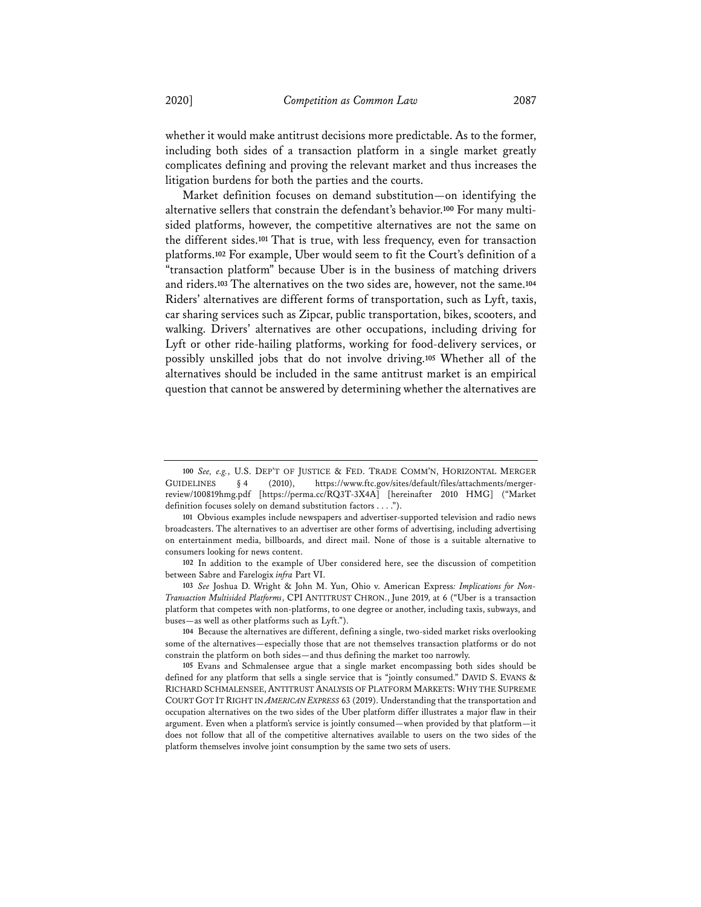whether it would make antitrust decisions more predictable. As to the former, including both sides of a transaction platform in a single market greatly complicates defining and proving the relevant market and thus increases the litigation burdens for both the parties and the courts.

Market definition focuses on demand substitution—on identifying the alternative sellers that constrain the defendant's behavior.**<sup>100</sup>** For many multisided platforms, however, the competitive alternatives are not the same on the different sides.**<sup>101</sup>** That is true, with less frequency, even for transaction platforms.**<sup>102</sup>** For example, Uber would seem to fit the Court's definition of a "transaction platform" because Uber is in the business of matching drivers and riders.**<sup>103</sup>** The alternatives on the two sides are, however, not the same.**<sup>104</sup>** Riders' alternatives are different forms of transportation, such as Lyft, taxis, car sharing services such as Zipcar, public transportation, bikes, scooters, and walking. Drivers' alternatives are other occupations, including driving for Lyft or other ride-hailing platforms, working for food-delivery services, or possibly unskilled jobs that do not involve driving.**<sup>105</sup>** Whether all of the alternatives should be included in the same antitrust market is an empirical question that cannot be answered by determining whether the alternatives are

**<sup>100</sup>** *See, e.g.*, U.S. DEP'T OF JUSTICE & FED. TRADE COMM'N, HORIZONTAL MERGER GUIDELINES § 4 (2010), https://www.ftc.gov/sites/default/files/attachments/mergerreview/100819hmg.pdf [https://perma.cc/RQ3T-3X4A] [hereinafter 2010 HMG] ("Market definition focuses solely on demand substitution factors . . . .").

**<sup>101</sup>** Obvious examples include newspapers and advertiser-supported television and radio news broadcasters. The alternatives to an advertiser are other forms of advertising, including advertising on entertainment media, billboards, and direct mail. None of those is a suitable alternative to consumers looking for news content.

**<sup>102</sup>** In addition to the example of Uber considered here, see the discussion of competition between Sabre and Farelogix *infra* Part VI.

**<sup>103</sup>** *See* Joshua D. Wright & John M. Yun, Ohio v. American Express*: Implications for Non-Transaction Multisided Platforms*, CPI ANTITRUST CHRON., June 2019, at 6 ("Uber is a transaction platform that competes with non-platforms, to one degree or another, including taxis, subways, and buses—as well as other platforms such as Lyft.").

**<sup>104</sup>** Because the alternatives are different, defining a single, two-sided market risks overlooking some of the alternatives—especially those that are not themselves transaction platforms or do not constrain the platform on both sides—and thus defining the market too narrowly.

**<sup>105</sup>** Evans and Schmalensee argue that a single market encompassing both sides should be defined for any platform that sells a single service that is "jointly consumed." DAVID S. EVANS & RICHARD SCHMALENSEE, ANTITRUST ANALYSIS OF PLATFORM MARKETS: WHY THE SUPREME COURT GOT IT RIGHT IN *AMERICAN EXPRESS* 63 (2019). Understanding that the transportation and occupation alternatives on the two sides of the Uber platform differ illustrates a major flaw in their argument. Even when a platform's service is jointly consumed—when provided by that platform—it does not follow that all of the competitive alternatives available to users on the two sides of the platform themselves involve joint consumption by the same two sets of users.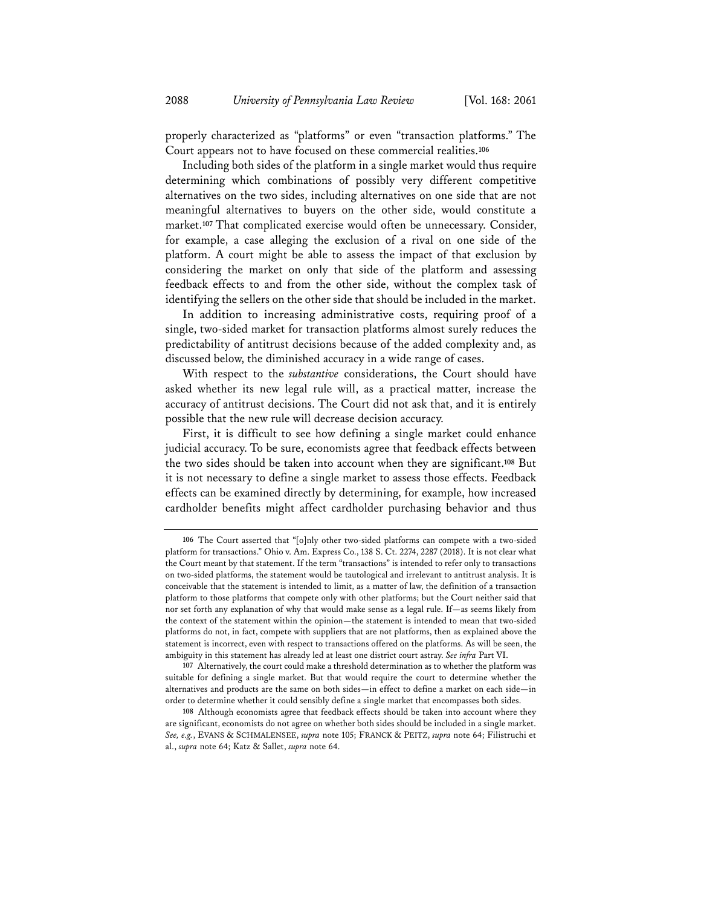properly characterized as "platforms" or even "transaction platforms." The Court appears not to have focused on these commercial realities.**<sup>106</sup>**

Including both sides of the platform in a single market would thus require determining which combinations of possibly very different competitive alternatives on the two sides, including alternatives on one side that are not meaningful alternatives to buyers on the other side, would constitute a market.**<sup>107</sup>** That complicated exercise would often be unnecessary. Consider, for example, a case alleging the exclusion of a rival on one side of the platform. A court might be able to assess the impact of that exclusion by considering the market on only that side of the platform and assessing feedback effects to and from the other side, without the complex task of identifying the sellers on the other side that should be included in the market.

In addition to increasing administrative costs, requiring proof of a single, two-sided market for transaction platforms almost surely reduces the predictability of antitrust decisions because of the added complexity and, as discussed below, the diminished accuracy in a wide range of cases.

With respect to the *substantive* considerations, the Court should have asked whether its new legal rule will, as a practical matter, increase the accuracy of antitrust decisions. The Court did not ask that, and it is entirely possible that the new rule will decrease decision accuracy.

First, it is difficult to see how defining a single market could enhance judicial accuracy. To be sure, economists agree that feedback effects between the two sides should be taken into account when they are significant.**<sup>108</sup>** But it is not necessary to define a single market to assess those effects. Feedback effects can be examined directly by determining, for example, how increased cardholder benefits might affect cardholder purchasing behavior and thus

**<sup>106</sup>** The Court asserted that "[o]nly other two-sided platforms can compete with a two-sided platform for transactions." Ohio v. Am. Express Co., 138 S. Ct. 2274, 2287 (2018). It is not clear what the Court meant by that statement. If the term "transactions" is intended to refer only to transactions on two-sided platforms, the statement would be tautological and irrelevant to antitrust analysis. It is conceivable that the statement is intended to limit, as a matter of law, the definition of a transaction platform to those platforms that compete only with other platforms; but the Court neither said that nor set forth any explanation of why that would make sense as a legal rule. If—as seems likely from the context of the statement within the opinion—the statement is intended to mean that two-sided platforms do not, in fact, compete with suppliers that are not platforms, then as explained above the statement is incorrect, even with respect to transactions offered on the platforms. As will be seen, the ambiguity in this statement has already led at least one district court astray. *See infra* Part VI.

**<sup>107</sup>** Alternatively, the court could make a threshold determination as to whether the platform was suitable for defining a single market. But that would require the court to determine whether the alternatives and products are the same on both sides—in effect to define a market on each side—in order to determine whether it could sensibly define a single market that encompasses both sides.

**<sup>108</sup>** Although economists agree that feedback effects should be taken into account where they are significant, economists do not agree on whether both sides should be included in a single market. *See, e.g.*, EVANS & SCHMALENSEE, *supra* note 105; FRANCK & PEITZ, *supra* note 64; Filistruchi et al., *supra* note 64; Katz & Sallet, *supra* note 64.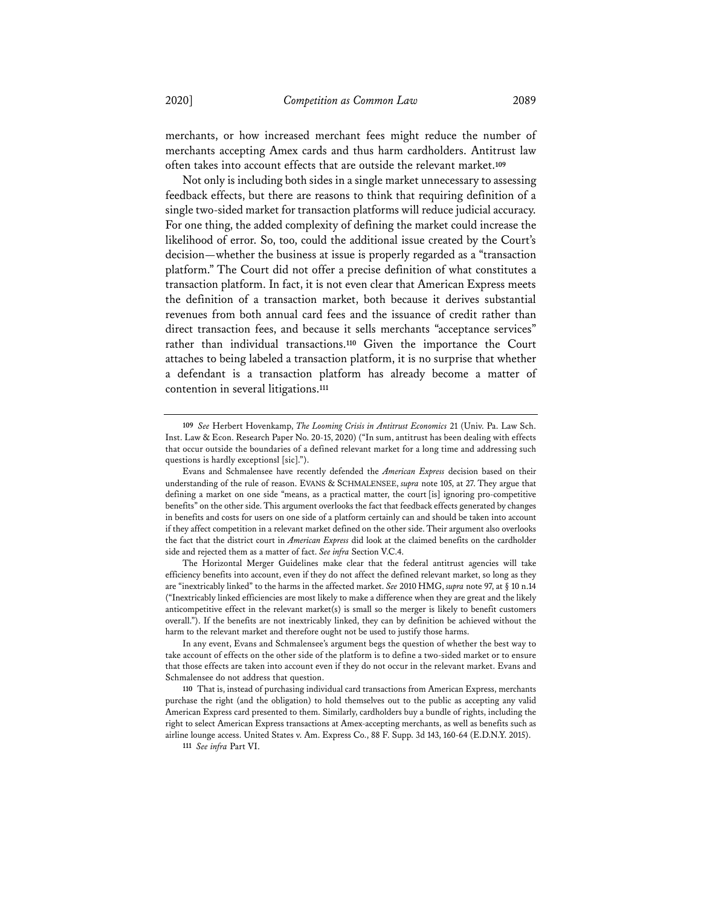merchants, or how increased merchant fees might reduce the number of merchants accepting Amex cards and thus harm cardholders. Antitrust law often takes into account effects that are outside the relevant market.**<sup>109</sup>**

Not only is including both sides in a single market unnecessary to assessing feedback effects, but there are reasons to think that requiring definition of a single two-sided market for transaction platforms will reduce judicial accuracy. For one thing, the added complexity of defining the market could increase the likelihood of error. So, too, could the additional issue created by the Court's decision—whether the business at issue is properly regarded as a "transaction platform." The Court did not offer a precise definition of what constitutes a transaction platform. In fact, it is not even clear that American Express meets the definition of a transaction market, both because it derives substantial revenues from both annual card fees and the issuance of credit rather than direct transaction fees, and because it sells merchants "acceptance services" rather than individual transactions.**<sup>110</sup>** Given the importance the Court attaches to being labeled a transaction platform, it is no surprise that whether a defendant is a transaction platform has already become a matter of contention in several litigations.**<sup>111</sup>**

The Horizontal Merger Guidelines make clear that the federal antitrust agencies will take efficiency benefits into account, even if they do not affect the defined relevant market, so long as they are "inextricably linked" to the harms in the affected market. *See* 2010 HMG, *supra* note 97, at § 10 n.14 ("Inextricably linked efficiencies are most likely to make a difference when they are great and the likely anticompetitive effect in the relevant market(s) is small so the merger is likely to benefit customers overall."). If the benefits are not inextricably linked, they can by definition be achieved without the harm to the relevant market and therefore ought not be used to justify those harms.

In any event, Evans and Schmalensee's argument begs the question of whether the best way to take account of effects on the other side of the platform is to define a two-sided market or to ensure that those effects are taken into account even if they do not occur in the relevant market. Evans and Schmalensee do not address that question.

**110** That is, instead of purchasing individual card transactions from American Express, merchants purchase the right (and the obligation) to hold themselves out to the public as accepting any valid American Express card presented to them. Similarly, cardholders buy a bundle of rights, including the right to select American Express transactions at Amex-accepting merchants, as well as benefits such as airline lounge access. United States v. Am. Express Co., 88 F. Supp. 3d 143, 160-64 (E.D.N.Y. 2015).

**111** *See infra* Part VI.

**<sup>109</sup>** *See* Herbert Hovenkamp, *The Looming Crisis in Antitrust Economics* 21 (Univ. Pa. Law Sch. Inst. Law & Econ. Research Paper No. 20-15, 2020) ("In sum, antitrust has been dealing with effects that occur outside the boundaries of a defined relevant market for a long time and addressing such questions is hardly exceptionsl [sic].").

Evans and Schmalensee have recently defended the *American Express* decision based on their understanding of the rule of reason. EVANS & SCHMALENSEE, *supra* note 105, at 27. They argue that defining a market on one side "means, as a practical matter, the court [is] ignoring pro-competitive benefits" on the other side. This argument overlooks the fact that feedback effects generated by changes in benefits and costs for users on one side of a platform certainly can and should be taken into account if they affect competition in a relevant market defined on the other side. Their argument also overlooks the fact that the district court in *American Express* did look at the claimed benefits on the cardholder side and rejected them as a matter of fact. *See infra* Section V.C.4.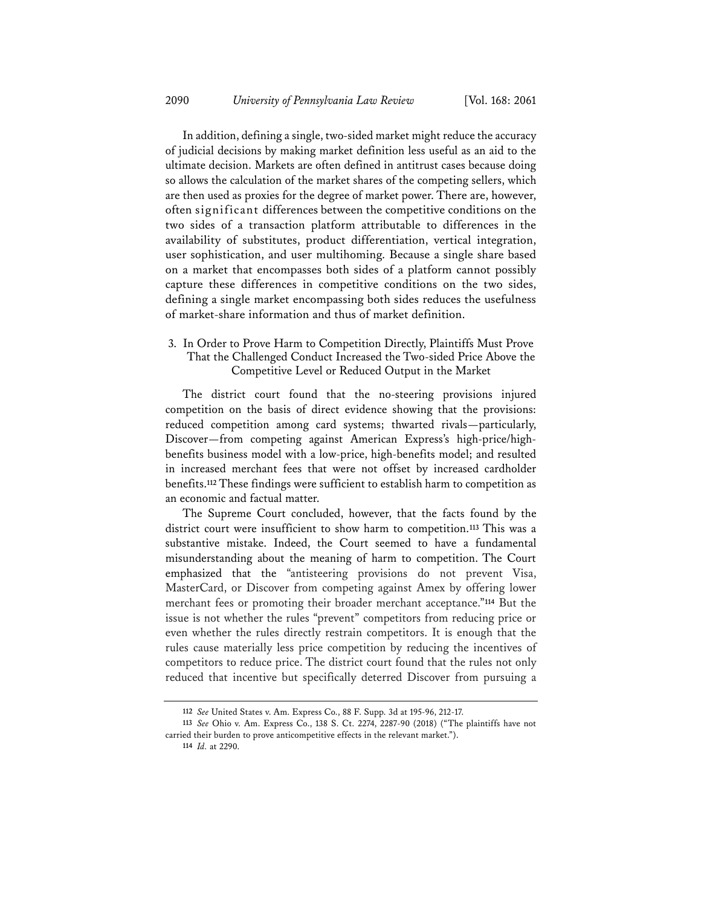In addition, defining a single, two-sided market might reduce the accuracy of judicial decisions by making market definition less useful as an aid to the ultimate decision. Markets are often defined in antitrust cases because doing so allows the calculation of the market shares of the competing sellers, which are then used as proxies for the degree of market power. There are, however, often significant differences between the competitive conditions on the two sides of a transaction platform attributable to differences in the availability of substitutes, product differentiation, vertical integration, user sophistication, and user multihoming. Because a single share based on a market that encompasses both sides of a platform cannot possibly capture these differences in competitive conditions on the two sides, defining a single market encompassing both sides reduces the usefulness of market-share information and thus of market definition.

# 3. In Order to Prove Harm to Competition Directly, Plaintiffs Must Prove That the Challenged Conduct Increased the Two-sided Price Above the Competitive Level or Reduced Output in the Market

The district court found that the no-steering provisions injured competition on the basis of direct evidence showing that the provisions: reduced competition among card systems; thwarted rivals—particularly, Discover—from competing against American Express's high-price/highbenefits business model with a low-price, high-benefits model; and resulted in increased merchant fees that were not offset by increased cardholder benefits.**<sup>112</sup>** These findings were sufficient to establish harm to competition as an economic and factual matter.

The Supreme Court concluded, however, that the facts found by the district court were insufficient to show harm to competition.**<sup>113</sup>** This was a substantive mistake. Indeed, the Court seemed to have a fundamental misunderstanding about the meaning of harm to competition. The Court emphasized that the "antisteering provisions do not prevent Visa, MasterCard, or Discover from competing against Amex by offering lower merchant fees or promoting their broader merchant acceptance."**<sup>114</sup>** But the issue is not whether the rules "prevent" competitors from reducing price or even whether the rules directly restrain competitors. It is enough that the rules cause materially less price competition by reducing the incentives of competitors to reduce price. The district court found that the rules not only reduced that incentive but specifically deterred Discover from pursuing a

**<sup>112</sup>** *See* United States v. Am. Express Co., 88 F. Supp. 3d at 195-96, 212-17.

**<sup>113</sup>** *See* Ohio v. Am. Express Co., 138 S. Ct. 2274, 2287-90 (2018) ("The plaintiffs have not carried their burden to prove anticompetitive effects in the relevant market.").

**<sup>114</sup>** *Id.* at 2290.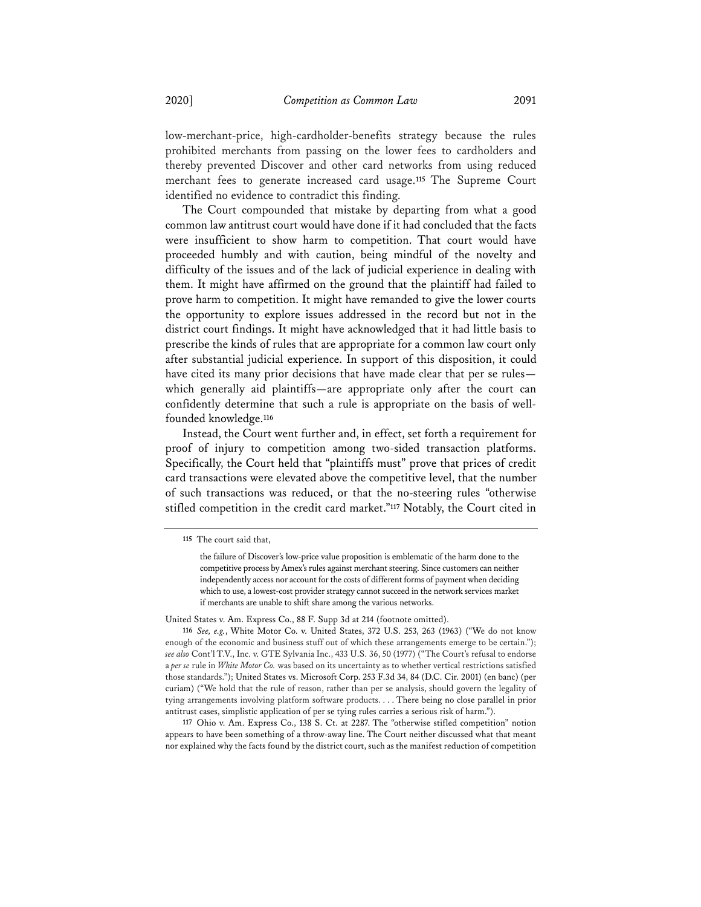low-merchant-price, high-cardholder-benefits strategy because the rules prohibited merchants from passing on the lower fees to cardholders and thereby prevented Discover and other card networks from using reduced merchant fees to generate increased card usage.**<sup>115</sup>** The Supreme Court identified no evidence to contradict this finding.

The Court compounded that mistake by departing from what a good common law antitrust court would have done if it had concluded that the facts were insufficient to show harm to competition. That court would have proceeded humbly and with caution, being mindful of the novelty and difficulty of the issues and of the lack of judicial experience in dealing with them. It might have affirmed on the ground that the plaintiff had failed to prove harm to competition. It might have remanded to give the lower courts the opportunity to explore issues addressed in the record but not in the district court findings. It might have acknowledged that it had little basis to prescribe the kinds of rules that are appropriate for a common law court only after substantial judicial experience. In support of this disposition, it could have cited its many prior decisions that have made clear that per se rules which generally aid plaintiffs—are appropriate only after the court can confidently determine that such a rule is appropriate on the basis of wellfounded knowledge.**<sup>116</sup>**

Instead, the Court went further and, in effect, set forth a requirement for proof of injury to competition among two-sided transaction platforms. Specifically, the Court held that "plaintiffs must" prove that prices of credit card transactions were elevated above the competitive level, that the number of such transactions was reduced, or that the no-steering rules "otherwise stifled competition in the credit card market."**<sup>117</sup>** Notably, the Court cited in

United States v. Am. Express Co., 88 F. Supp 3d at 214 (footnote omitted).

**116** *See, e.g.*, White Motor Co. v. United States, 372 U.S. 253, 263 (1963) ("We do not know enough of the economic and business stuff out of which these arrangements emerge to be certain."); *see also* Cont'l T.V., Inc. v. GTE Sylvania Inc., 433 U.S. 36, 50 (1977) ("The Court's refusal to endorse a *per se* rule in *White Motor Co.* was based on its uncertainty as to whether vertical restrictions satisfied those standards."); United States vs. Microsoft Corp. 253 F.3d 34, 84 (D.C. Cir. 2001) (en banc) (per curiam) ("We hold that the rule of reason, rather than per se analysis, should govern the legality of tying arrangements involving platform software products. . . . There being no close parallel in prior antitrust cases, simplistic application of per se tying rules carries a serious risk of harm.").

**117** Ohio v. Am. Express Co., 138 S. Ct. at 2287. The "otherwise stifled competition" notion appears to have been something of a throw-away line. The Court neither discussed what that meant nor explained why the facts found by the district court, such as the manifest reduction of competition

**<sup>115</sup>** The court said that,

the failure of Discover's low-price value proposition is emblematic of the harm done to the competitive process by Amex's rules against merchant steering. Since customers can neither independently access nor account for the costs of different forms of payment when deciding which to use, a lowest-cost provider strategy cannot succeed in the network services market if merchants are unable to shift share among the various networks.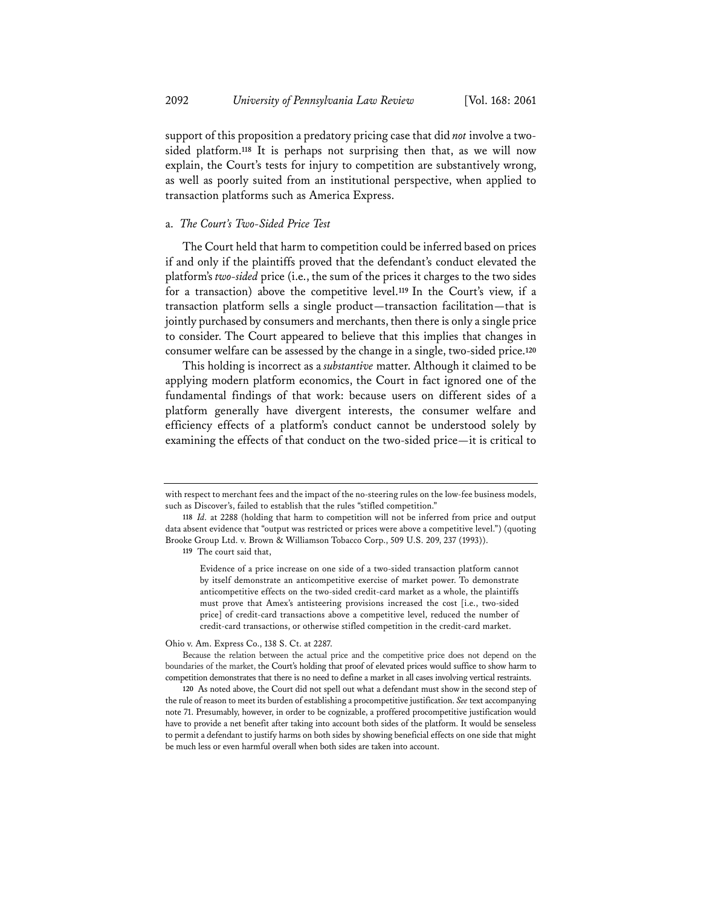support of this proposition a predatory pricing case that did *not* involve a twosided platform.**<sup>118</sup>** It is perhaps not surprising then that, as we will now explain, the Court's tests for injury to competition are substantively wrong, as well as poorly suited from an institutional perspective, when applied to transaction platforms such as America Express.

#### a. *The Court's Two-Sided Price Test*

The Court held that harm to competition could be inferred based on prices if and only if the plaintiffs proved that the defendant's conduct elevated the platform's *two-sided* price (i.e., the sum of the prices it charges to the two sides for a transaction) above the competitive level.**<sup>119</sup>** In the Court's view, if a transaction platform sells a single product—transaction facilitation—that is jointly purchased by consumers and merchants, then there is only a single price to consider. The Court appeared to believe that this implies that changes in consumer welfare can be assessed by the change in a single, two-sided price.**<sup>120</sup>**

This holding is incorrect as a *substantive* matter. Although it claimed to be applying modern platform economics, the Court in fact ignored one of the fundamental findings of that work: because users on different sides of a platform generally have divergent interests, the consumer welfare and efficiency effects of a platform's conduct cannot be understood solely by examining the effects of that conduct on the two-sided price—it is critical to

**119** The court said that,

Evidence of a price increase on one side of a two-sided transaction platform cannot by itself demonstrate an anticompetitive exercise of market power. To demonstrate anticompetitive effects on the two-sided credit-card market as a whole, the plaintiffs must prove that Amex's antisteering provisions increased the cost [i.e., two-sided price] of credit-card transactions above a competitive level, reduced the number of credit-card transactions, or otherwise stifled competition in the credit-card market.

Ohio v. Am. Express Co., 138 S. Ct. at 2287.

Because the relation between the actual price and the competitive price does not depend on the boundaries of the market, the Court's holding that proof of elevated prices would suffice to show harm to competition demonstrates that there is no need to define a market in all cases involving vertical restraints.

**120** As noted above, the Court did not spell out what a defendant must show in the second step of the rule of reason to meet its burden of establishing a procompetitive justification. *See* text accompanying note 71. Presumably, however, in order to be cognizable, a proffered procompetitive justification would have to provide a net benefit after taking into account both sides of the platform. It would be senseless to permit a defendant to justify harms on both sides by showing beneficial effects on one side that might be much less or even harmful overall when both sides are taken into account.

with respect to merchant fees and the impact of the no-steering rules on the low-fee business models, such as Discover's, failed to establish that the rules "stifled competition."

**<sup>118</sup>** *Id.* at 2288 (holding that harm to competition will not be inferred from price and output data absent evidence that "output was restricted or prices were above a competitive level.") (quoting Brooke Group Ltd. v. Brown & Williamson Tobacco Corp., 509 U.S. 209, 237 (1993)).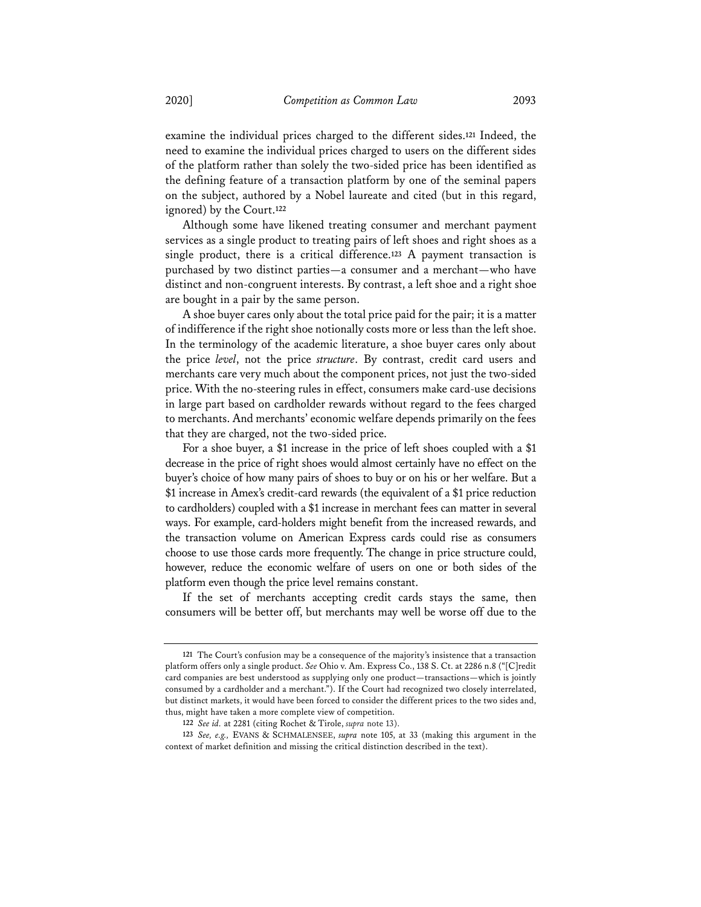examine the individual prices charged to the different sides.**<sup>121</sup>** Indeed, the need to examine the individual prices charged to users on the different sides of the platform rather than solely the two-sided price has been identified as the defining feature of a transaction platform by one of the seminal papers on the subject, authored by a Nobel laureate and cited (but in this regard, ignored) by the Court.**<sup>122</sup>**

Although some have likened treating consumer and merchant payment services as a single product to treating pairs of left shoes and right shoes as a single product, there is a critical difference.**<sup>123</sup>** A payment transaction is purchased by two distinct parties—a consumer and a merchant—who have distinct and non-congruent interests. By contrast, a left shoe and a right shoe are bought in a pair by the same person.

A shoe buyer cares only about the total price paid for the pair; it is a matter of indifference if the right shoe notionally costs more or less than the left shoe. In the terminology of the academic literature, a shoe buyer cares only about the price *level*, not the price *structure*. By contrast, credit card users and merchants care very much about the component prices, not just the two-sided price. With the no-steering rules in effect, consumers make card-use decisions in large part based on cardholder rewards without regard to the fees charged to merchants. And merchants' economic welfare depends primarily on the fees that they are charged, not the two-sided price.

For a shoe buyer, a \$1 increase in the price of left shoes coupled with a \$1 decrease in the price of right shoes would almost certainly have no effect on the buyer's choice of how many pairs of shoes to buy or on his or her welfare. But a \$1 increase in Amex's credit-card rewards (the equivalent of a \$1 price reduction to cardholders) coupled with a \$1 increase in merchant fees can matter in several ways. For example, card-holders might benefit from the increased rewards, and the transaction volume on American Express cards could rise as consumers choose to use those cards more frequently. The change in price structure could, however, reduce the economic welfare of users on one or both sides of the platform even though the price level remains constant.

If the set of merchants accepting credit cards stays the same, then consumers will be better off, but merchants may well be worse off due to the

**<sup>121</sup>** The Court's confusion may be a consequence of the majority's insistence that a transaction platform offers only a single product. *See* Ohio v. Am. Express Co., 138 S. Ct. at 2286 n.8 ("[C]redit card companies are best understood as supplying only one product—transactions—which is jointly consumed by a cardholder and a merchant."). If the Court had recognized two closely interrelated, but distinct markets, it would have been forced to consider the different prices to the two sides and, thus, might have taken a more complete view of competition.

**<sup>122</sup>** *See id.* at 2281 (citing Rochet & Tirole, *supra* note 13).

**<sup>123</sup>** *See, e.g.,* EVANS & SCHMALENSEE, *supra* note 105, at 33 (making this argument in the context of market definition and missing the critical distinction described in the text).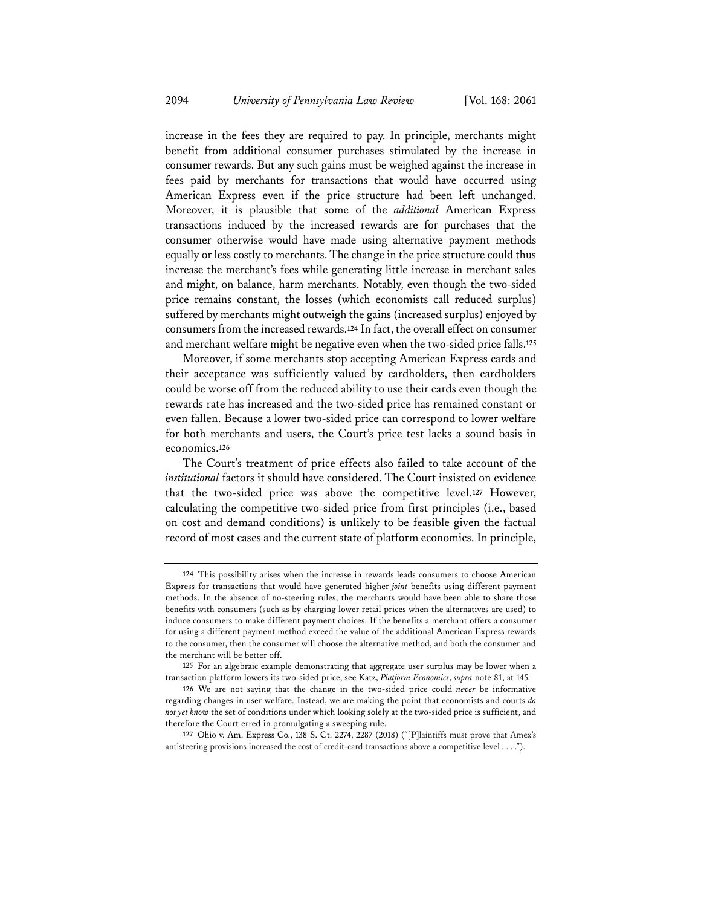increase in the fees they are required to pay. In principle, merchants might benefit from additional consumer purchases stimulated by the increase in consumer rewards. But any such gains must be weighed against the increase in fees paid by merchants for transactions that would have occurred using American Express even if the price structure had been left unchanged. Moreover, it is plausible that some of the *additional* American Express transactions induced by the increased rewards are for purchases that the consumer otherwise would have made using alternative payment methods equally or less costly to merchants. The change in the price structure could thus increase the merchant's fees while generating little increase in merchant sales and might, on balance, harm merchants. Notably, even though the two-sided price remains constant, the losses (which economists call reduced surplus) suffered by merchants might outweigh the gains (increased surplus) enjoyed by consumers from the increased rewards.**<sup>124</sup>** In fact, the overall effect on consumer and merchant welfare might be negative even when the two-sided price falls.**<sup>125</sup>**

Moreover, if some merchants stop accepting American Express cards and their acceptance was sufficiently valued by cardholders, then cardholders could be worse off from the reduced ability to use their cards even though the rewards rate has increased and the two-sided price has remained constant or even fallen. Because a lower two-sided price can correspond to lower welfare for both merchants and users, the Court's price test lacks a sound basis in economics.**<sup>126</sup>**

The Court's treatment of price effects also failed to take account of the *institutional* factors it should have considered. The Court insisted on evidence that the two-sided price was above the competitive level.**<sup>127</sup>** However, calculating the competitive two-sided price from first principles (i.e., based on cost and demand conditions) is unlikely to be feasible given the factual record of most cases and the current state of platform economics. In principle,

**<sup>124</sup>** This possibility arises when the increase in rewards leads consumers to choose American Express for transactions that would have generated higher *joint* benefits using different payment methods. In the absence of no-steering rules, the merchants would have been able to share those benefits with consumers (such as by charging lower retail prices when the alternatives are used) to induce consumers to make different payment choices. If the benefits a merchant offers a consumer for using a different payment method exceed the value of the additional American Express rewards to the consumer, then the consumer will choose the alternative method, and both the consumer and the merchant will be better off.

**<sup>125</sup>** For an algebraic example demonstrating that aggregate user surplus may be lower when a transaction platform lowers its two-sided price, see Katz, *Platform Economics*, *supra* note 81, at 145.

**<sup>126</sup>** We are not saying that the change in the two-sided price could *never* be informative regarding changes in user welfare. Instead, we are making the point that economists and courts *do not yet know* the set of conditions under which looking solely at the two-sided price is sufficient, and therefore the Court erred in promulgating a sweeping rule.

**<sup>127</sup>** Ohio v. Am. Express Co., 138 S. Ct. 2274, 2287 (2018) ("[P]laintiffs must prove that Amex's antisteering provisions increased the cost of credit-card transactions above a competitive level . . . .").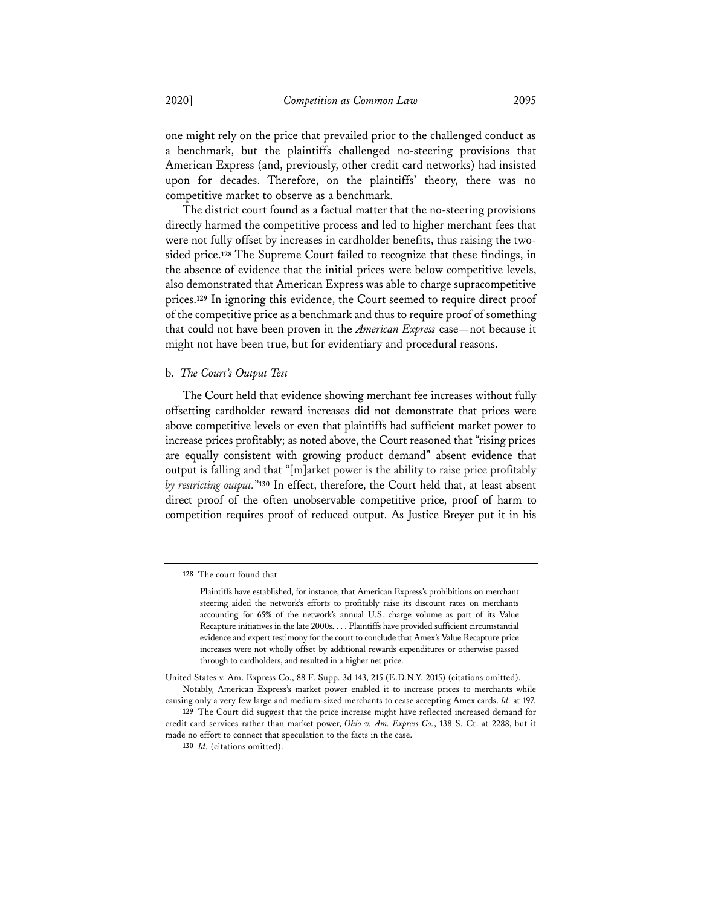one might rely on the price that prevailed prior to the challenged conduct as a benchmark, but the plaintiffs challenged no-steering provisions that American Express (and, previously, other credit card networks) had insisted upon for decades. Therefore, on the plaintiffs' theory, there was no competitive market to observe as a benchmark.

The district court found as a factual matter that the no-steering provisions directly harmed the competitive process and led to higher merchant fees that were not fully offset by increases in cardholder benefits, thus raising the twosided price.**<sup>128</sup>** The Supreme Court failed to recognize that these findings, in the absence of evidence that the initial prices were below competitive levels, also demonstrated that American Express was able to charge supracompetitive prices.**<sup>129</sup>** In ignoring this evidence, the Court seemed to require direct proof of the competitive price as a benchmark and thus to require proof of something that could not have been proven in the *American Express* case—not because it might not have been true, but for evidentiary and procedural reasons.

#### b. *The Court's Output Test*

The Court held that evidence showing merchant fee increases without fully offsetting cardholder reward increases did not demonstrate that prices were above competitive levels or even that plaintiffs had sufficient market power to increase prices profitably; as noted above, the Court reasoned that "rising prices are equally consistent with growing product demand" absent evidence that output is falling and that "[m]arket power is the ability to raise price profitably *by restricting output.*"**<sup>130</sup>** In effect, therefore, the Court held that, at least absent direct proof of the often unobservable competitive price, proof of harm to competition requires proof of reduced output. As Justice Breyer put it in his

**<sup>128</sup>** The court found that

Plaintiffs have established, for instance, that American Express's prohibitions on merchant steering aided the network's efforts to profitably raise its discount rates on merchants accounting for 65% of the network's annual U.S. charge volume as part of its Value Recapture initiatives in the late 2000s. . . . Plaintiffs have provided sufficient circumstantial evidence and expert testimony for the court to conclude that Amex's Value Recapture price increases were not wholly offset by additional rewards expenditures or otherwise passed through to cardholders, and resulted in a higher net price.

United States v. Am. Express Co., 88 F. Supp. 3d 143, 215 (E.D.N.Y. 2015) (citations omitted).

Notably, American Express's market power enabled it to increase prices to merchants while causing only a very few large and medium-sized merchants to cease accepting Amex cards. *Id.* at 197. **129** The Court did suggest that the price increase might have reflected increased demand for credit card services rather than market power, *Ohio v. Am. Express Co.*, 138 S. Ct. at 2288, but it

made no effort to connect that speculation to the facts in the case.

**<sup>130</sup>** *Id.* (citations omitted).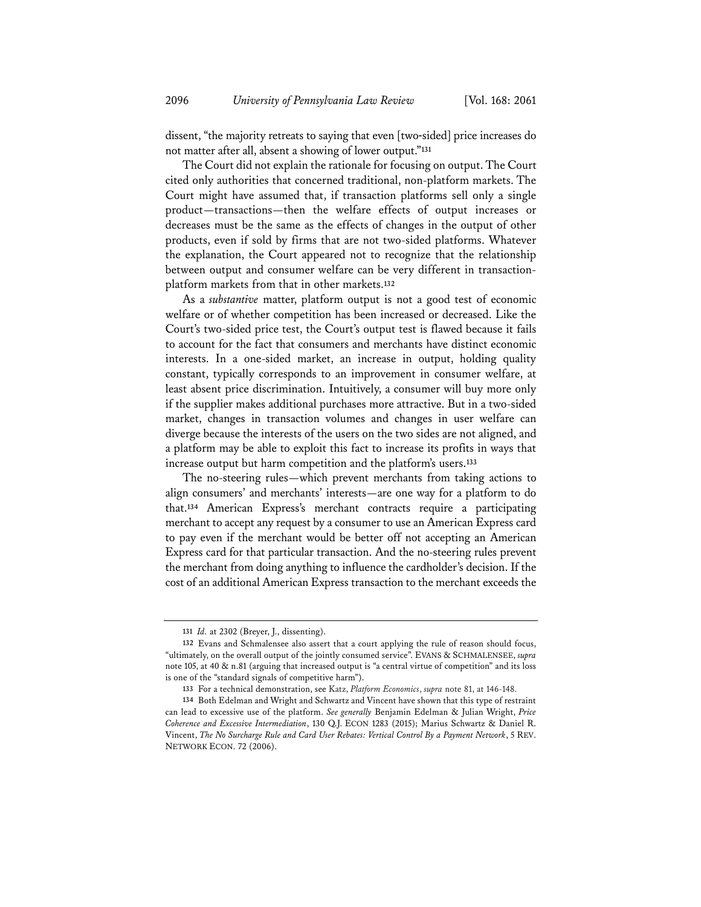dissent, "the majority retreats to saying that even [two-sided] price increases do not matter after all, absent a showing of lower output."**<sup>131</sup>**

The Court did not explain the rationale for focusing on output. The Court cited only authorities that concerned traditional, non-platform markets. The Court might have assumed that, if transaction platforms sell only a single product—transactions—then the welfare effects of output increases or decreases must be the same as the effects of changes in the output of other products, even if sold by firms that are not two-sided platforms. Whatever the explanation, the Court appeared not to recognize that the relationship between output and consumer welfare can be very different in transactionplatform markets from that in other markets.**<sup>132</sup>**

As a *substantive* matter, platform output is not a good test of economic welfare or of whether competition has been increased or decreased. Like the Court's two-sided price test, the Court's output test is flawed because it fails to account for the fact that consumers and merchants have distinct economic interests. In a one-sided market, an increase in output, holding quality constant, typically corresponds to an improvement in consumer welfare, at least absent price discrimination. Intuitively, a consumer will buy more only if the supplier makes additional purchases more attractive. But in a two-sided market, changes in transaction volumes and changes in user welfare can diverge because the interests of the users on the two sides are not aligned, and a platform may be able to exploit this fact to increase its profits in ways that increase output but harm competition and the platform's users.**<sup>133</sup>**

The no-steering rules—which prevent merchants from taking actions to align consumers' and merchants' interests—are one way for a platform to do that.**<sup>134</sup>** American Express's merchant contracts require a participating merchant to accept any request by a consumer to use an American Express card to pay even if the merchant would be better off not accepting an American Express card for that particular transaction. And the no-steering rules prevent the merchant from doing anything to influence the cardholder's decision. If the cost of an additional American Express transaction to the merchant exceeds the

**<sup>131</sup>** *Id.* at 2302 (Breyer, J., dissenting).

**<sup>132</sup>** Evans and Schmalensee also assert that a court applying the rule of reason should focus, "ultimately, on the overall output of the jointly consumed service". EVANS & SCHMALENSEE, *supra* note 105, at 40 & n.81 (arguing that increased output is "a central virtue of competition" and its loss is one of the "standard signals of competitive harm").

**<sup>133</sup>** For a technical demonstration, see Katz, *Platform Economics*, *supra* note 81, at 146-148.

**<sup>134</sup>** Both Edelman and Wright and Schwartz and Vincent have shown that this type of restraint can lead to excessive use of the platform. *See generally* Benjamin Edelman & Julian Wright, *Price Coherence and Excessive Intermediation*, 130 Q.J. ECON 1283 (2015); Marius Schwartz & Daniel R. Vincent, *The No Surcharge Rule and Card User Rebates: Vertical Control By a Payment Network*, 5 REV. NETWORK ECON. 72 (2006).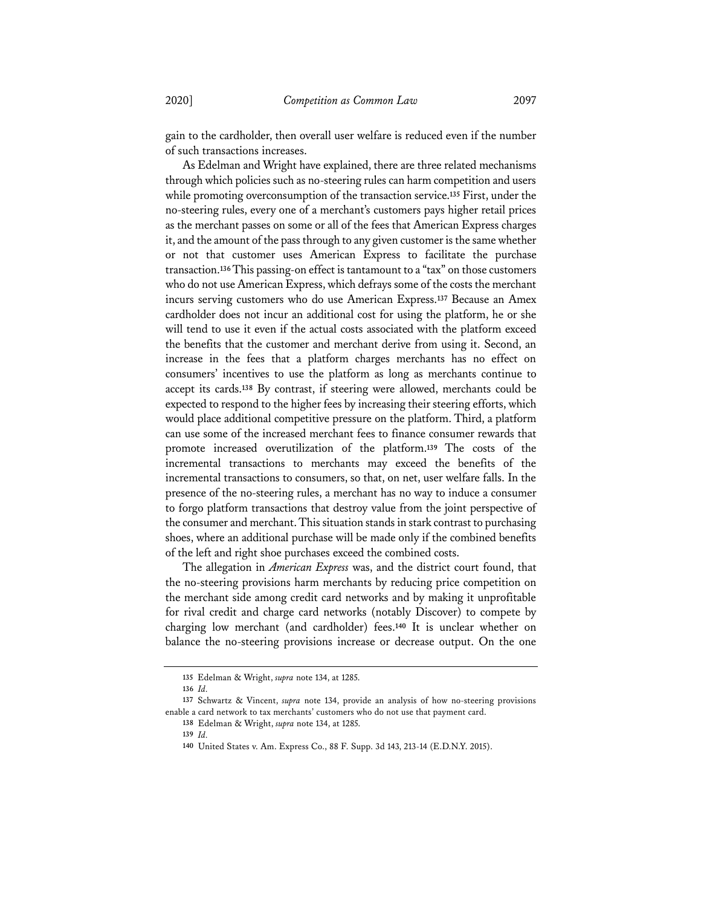gain to the cardholder, then overall user welfare is reduced even if the number of such transactions increases.

As Edelman and Wright have explained, there are three related mechanisms through which policies such as no-steering rules can harm competition and users while promoting overconsumption of the transaction service.**<sup>135</sup>** First, under the no-steering rules, every one of a merchant's customers pays higher retail prices as the merchant passes on some or all of the fees that American Express charges it, and the amount of the pass through to any given customer is the same whether or not that customer uses American Express to facilitate the purchase transaction.**136**This passing-on effect is tantamount to a "tax" on those customers who do not use American Express, which defrays some of the costs the merchant incurs serving customers who do use American Express.**<sup>137</sup>** Because an Amex cardholder does not incur an additional cost for using the platform, he or she will tend to use it even if the actual costs associated with the platform exceed the benefits that the customer and merchant derive from using it. Second, an increase in the fees that a platform charges merchants has no effect on consumers' incentives to use the platform as long as merchants continue to accept its cards.**<sup>138</sup>** By contrast, if steering were allowed, merchants could be expected to respond to the higher fees by increasing their steering efforts, which would place additional competitive pressure on the platform. Third, a platform can use some of the increased merchant fees to finance consumer rewards that promote increased overutilization of the platform.**<sup>139</sup>** The costs of the incremental transactions to merchants may exceed the benefits of the incremental transactions to consumers, so that, on net, user welfare falls. In the presence of the no-steering rules, a merchant has no way to induce a consumer to forgo platform transactions that destroy value from the joint perspective of the consumer and merchant. This situation stands in stark contrast to purchasing shoes, where an additional purchase will be made only if the combined benefits of the left and right shoe purchases exceed the combined costs.

The allegation in *American Express* was, and the district court found, that the no-steering provisions harm merchants by reducing price competition on the merchant side among credit card networks and by making it unprofitable for rival credit and charge card networks (notably Discover) to compete by charging low merchant (and cardholder) fees.**<sup>140</sup>** It is unclear whether on balance the no-steering provisions increase or decrease output. On the one

**<sup>135</sup>** Edelman & Wright, *supra* note 134, at 1285.

**<sup>136</sup>** *Id.*

**<sup>137</sup>** Schwartz & Vincent, *supra* note 134, provide an analysis of how no-steering provisions enable a card network to tax merchants' customers who do not use that payment card.

**<sup>138</sup>** Edelman & Wright, *supra* note 134, at 1285.

**<sup>139</sup>** *Id.*

**<sup>140</sup>** United States v. Am. Express Co., 88 F. Supp. 3d 143, 213-14 (E.D.N.Y. 2015).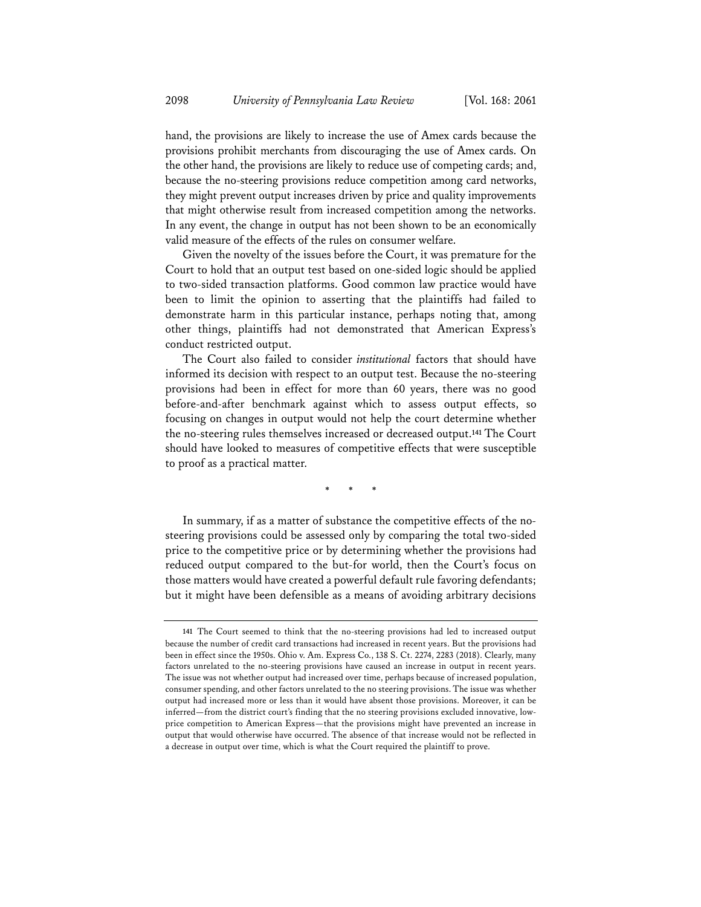hand, the provisions are likely to increase the use of Amex cards because the provisions prohibit merchants from discouraging the use of Amex cards. On the other hand, the provisions are likely to reduce use of competing cards; and, because the no-steering provisions reduce competition among card networks, they might prevent output increases driven by price and quality improvements that might otherwise result from increased competition among the networks. In any event, the change in output has not been shown to be an economically valid measure of the effects of the rules on consumer welfare.

Given the novelty of the issues before the Court, it was premature for the Court to hold that an output test based on one-sided logic should be applied to two-sided transaction platforms. Good common law practice would have been to limit the opinion to asserting that the plaintiffs had failed to demonstrate harm in this particular instance, perhaps noting that, among other things, plaintiffs had not demonstrated that American Express's conduct restricted output.

The Court also failed to consider *institutional* factors that should have informed its decision with respect to an output test. Because the no-steering provisions had been in effect for more than 60 years, there was no good before-and-after benchmark against which to assess output effects, so focusing on changes in output would not help the court determine whether the no-steering rules themselves increased or decreased output.**<sup>141</sup>** The Court should have looked to measures of competitive effects that were susceptible to proof as a practical matter.

\* \* \*

In summary, if as a matter of substance the competitive effects of the nosteering provisions could be assessed only by comparing the total two-sided price to the competitive price or by determining whether the provisions had reduced output compared to the but-for world, then the Court's focus on those matters would have created a powerful default rule favoring defendants; but it might have been defensible as a means of avoiding arbitrary decisions

**<sup>141</sup>** The Court seemed to think that the no-steering provisions had led to increased output because the number of credit card transactions had increased in recent years. But the provisions had been in effect since the 1950s. Ohio v. Am. Express Co., 138 S. Ct. 2274, 2283 (2018). Clearly, many factors unrelated to the no-steering provisions have caused an increase in output in recent years. The issue was not whether output had increased over time, perhaps because of increased population, consumer spending, and other factors unrelated to the no steering provisions. The issue was whether output had increased more or less than it would have absent those provisions. Moreover, it can be inferred—from the district court's finding that the no steering provisions excluded innovative, lowprice competition to American Express—that the provisions might have prevented an increase in output that would otherwise have occurred. The absence of that increase would not be reflected in a decrease in output over time, which is what the Court required the plaintiff to prove.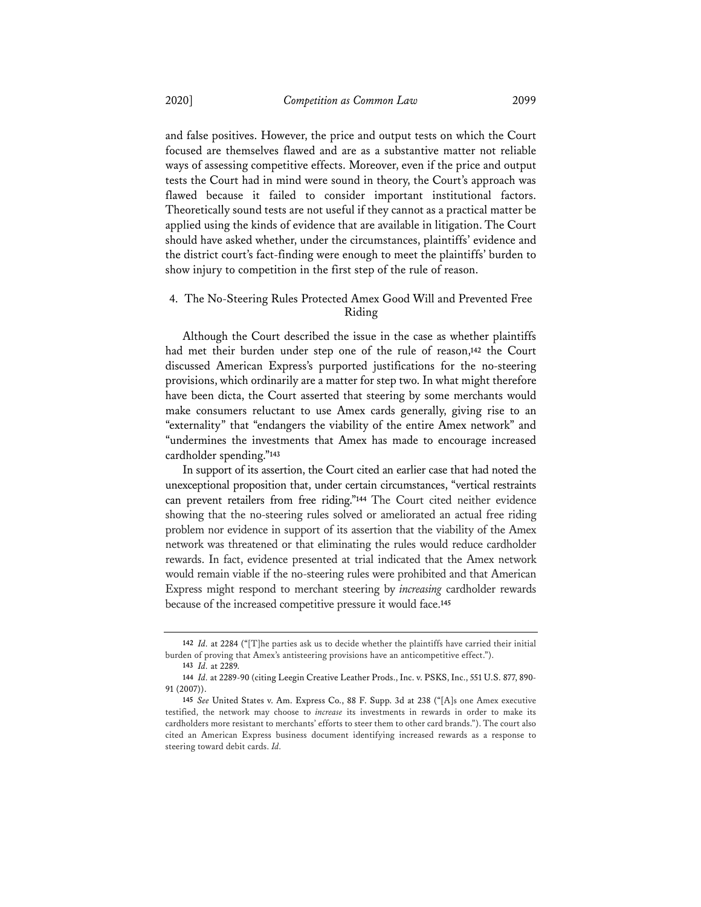and false positives. However, the price and output tests on which the Court focused are themselves flawed and are as a substantive matter not reliable ways of assessing competitive effects. Moreover, even if the price and output tests the Court had in mind were sound in theory, the Court's approach was flawed because it failed to consider important institutional factors. Theoretically sound tests are not useful if they cannot as a practical matter be applied using the kinds of evidence that are available in litigation. The Court should have asked whether, under the circumstances, plaintiffs' evidence and the district court's fact-finding were enough to meet the plaintiffs' burden to show injury to competition in the first step of the rule of reason.

# 4. The No-Steering Rules Protected Amex Good Will and Prevented Free Riding

Although the Court described the issue in the case as whether plaintiffs had met their burden under step one of the rule of reason,**<sup>142</sup>** the Court discussed American Express's purported justifications for the no-steering provisions, which ordinarily are a matter for step two. In what might therefore have been dicta, the Court asserted that steering by some merchants would make consumers reluctant to use Amex cards generally, giving rise to an "externality" that "endangers the viability of the entire Amex network" and "undermines the investments that Amex has made to encourage increased cardholder spending."**<sup>143</sup>**

In support of its assertion, the Court cited an earlier case that had noted the unexceptional proposition that, under certain circumstances, "vertical restraints can prevent retailers from free riding."**<sup>144</sup>** The Court cited neither evidence showing that the no-steering rules solved or ameliorated an actual free riding problem nor evidence in support of its assertion that the viability of the Amex network was threatened or that eliminating the rules would reduce cardholder rewards. In fact, evidence presented at trial indicated that the Amex network would remain viable if the no-steering rules were prohibited and that American Express might respond to merchant steering by *increasing* cardholder rewards because of the increased competitive pressure it would face.**<sup>145</sup>**

**<sup>142</sup>** *Id.* at 2284 ("[T]he parties ask us to decide whether the plaintiffs have carried their initial burden of proving that Amex's antisteering provisions have an anticompetitive effect.").

**<sup>143</sup>** *Id.* at 2289.

**<sup>144</sup>** *Id.* at 2289-90 (citing Leegin Creative Leather Prods., Inc. v. PSKS, Inc., 551 U.S. 877, 890- 91 (2007)).

**<sup>145</sup>** *See* United States v. Am. Express Co., 88 F. Supp. 3d at 238 ("[A]s one Amex executive testified, the network may choose to *increase* its investments in rewards in order to make its cardholders more resistant to merchants' efforts to steer them to other card brands."). The court also cited an American Express business document identifying increased rewards as a response to steering toward debit cards. *Id.*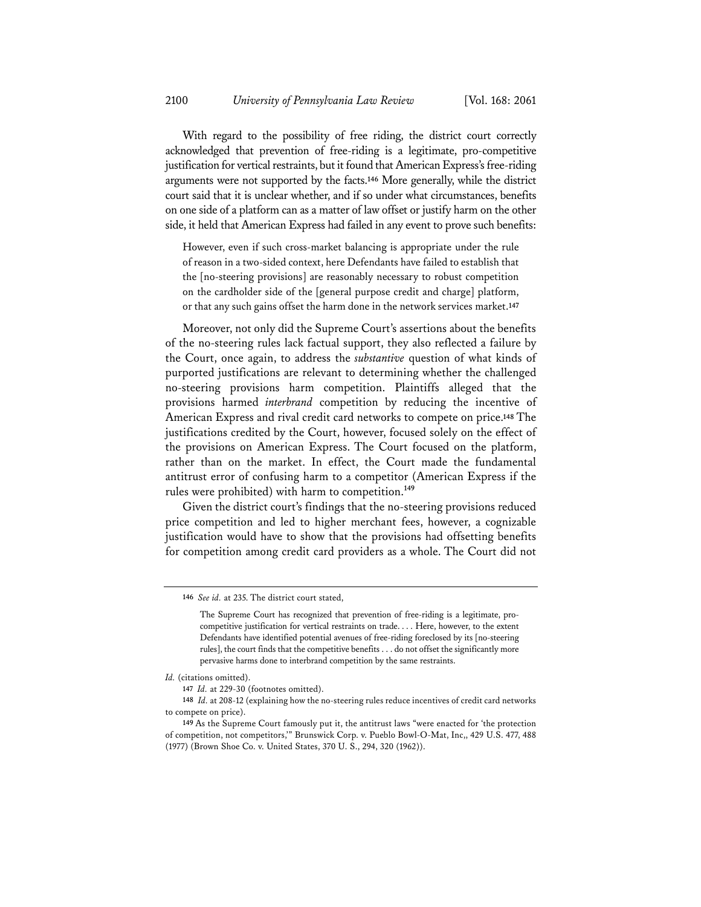With regard to the possibility of free riding, the district court correctly acknowledged that prevention of free-riding is a legitimate, pro-competitive justification for vertical restraints, but it found that American Express's free-riding arguments were not supported by the facts.**<sup>146</sup>** More generally, while the district court said that it is unclear whether, and if so under what circumstances, benefits on one side of a platform can as a matter of law offset or justify harm on the other side, it held that American Express had failed in any event to prove such benefits:

However, even if such cross-market balancing is appropriate under the rule of reason in a two-sided context, here Defendants have failed to establish that the [no-steering provisions] are reasonably necessary to robust competition on the cardholder side of the [general purpose credit and charge] platform, or that any such gains offset the harm done in the network services market.**<sup>147</sup>**

Moreover, not only did the Supreme Court's assertions about the benefits of the no-steering rules lack factual support, they also reflected a failure by the Court, once again, to address the *substantive* question of what kinds of purported justifications are relevant to determining whether the challenged no-steering provisions harm competition. Plaintiffs alleged that the provisions harmed *interbrand* competition by reducing the incentive of American Express and rival credit card networks to compete on price.**<sup>148</sup>** The justifications credited by the Court, however, focused solely on the effect of the provisions on American Express. The Court focused on the platform, rather than on the market. In effect, the Court made the fundamental antitrust error of confusing harm to a competitor (American Express if the rules were prohibited) with harm to competition.**<sup>149</sup>**

Given the district court's findings that the no-steering provisions reduced price competition and led to higher merchant fees, however, a cognizable justification would have to show that the provisions had offsetting benefits for competition among credit card providers as a whole. The Court did not

**<sup>146</sup>** *See id.* at 235. The district court stated,

The Supreme Court has recognized that prevention of free-riding is a legitimate, procompetitive justification for vertical restraints on trade. . . . Here, however, to the extent Defendants have identified potential avenues of free-riding foreclosed by its [no-steering rules], the court finds that the competitive benefits . . . do not offset the significantly more pervasive harms done to interbrand competition by the same restraints.

*Id.* (citations omitted).

**<sup>147</sup>** *Id.* at 229-30 (footnotes omitted).

**<sup>148</sup>** *Id.* at 208-12 (explaining how the no-steering rules reduce incentives of credit card networks to compete on price).

**<sup>149</sup>** As the Supreme Court famously put it, the antitrust laws "were enacted for 'the protection of competition, not competitors,'" Brunswick Corp. v. Pueblo Bowl-O-Mat, Inc,, 429 U.S. 477, 488 (1977) (Brown Shoe Co. v. United States, 370 U. S., 294, 320 (1962)).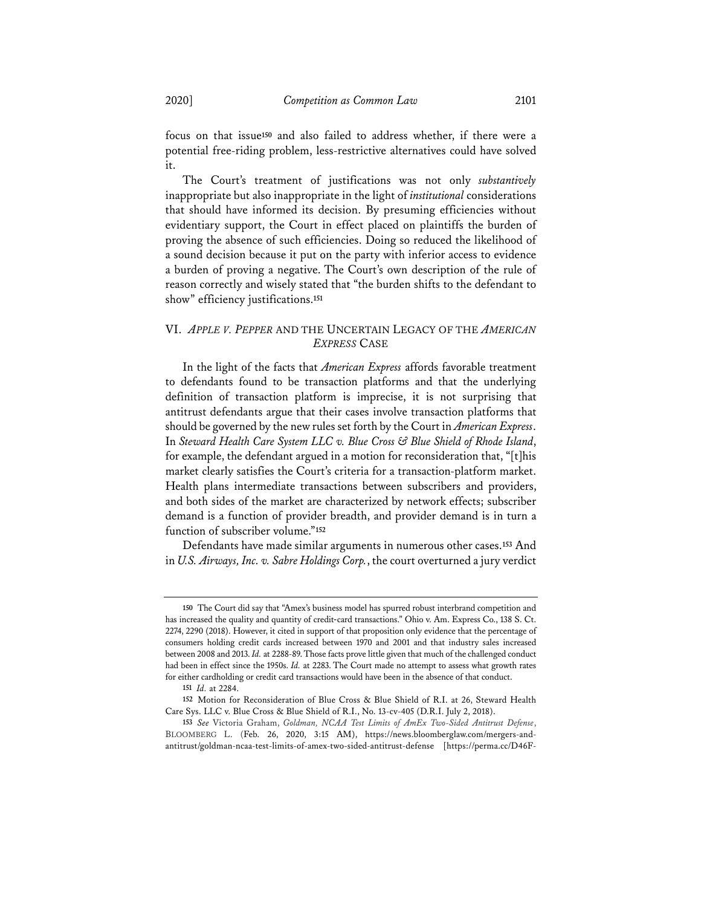focus on that issue**<sup>150</sup>** and also failed to address whether, if there were a potential free-riding problem, less-restrictive alternatives could have solved it.

The Court's treatment of justifications was not only *substantively* inappropriate but also inappropriate in the light of *institutional* considerations that should have informed its decision. By presuming efficiencies without evidentiary support, the Court in effect placed on plaintiffs the burden of proving the absence of such efficiencies. Doing so reduced the likelihood of a sound decision because it put on the party with inferior access to evidence a burden of proving a negative. The Court's own description of the rule of reason correctly and wisely stated that "the burden shifts to the defendant to show" efficiency justifications.**<sup>151</sup>**

## VI. *APPLE V. PEPPER* AND THE UNCERTAIN LEGACY OF THE *AMERICAN EXPRESS* CASE

In the light of the facts that *American Express* affords favorable treatment to defendants found to be transaction platforms and that the underlying definition of transaction platform is imprecise, it is not surprising that antitrust defendants argue that their cases involve transaction platforms that should be governed by the new rules set forth by the Court in *American Express*. In *Steward Health Care System LLC v. Blue Cross & Blue Shield of Rhode Island*, for example, the defendant argued in a motion for reconsideration that, "[t]his market clearly satisfies the Court's criteria for a transaction-platform market. Health plans intermediate transactions between subscribers and providers, and both sides of the market are characterized by network effects; subscriber demand is a function of provider breadth, and provider demand is in turn a function of subscriber volume."**<sup>152</sup>**

Defendants have made similar arguments in numerous other cases.**<sup>153</sup>** And in *U.S. Airways, Inc. v. Sabre Holdings Corp.*, the court overturned a jury verdict

**<sup>150</sup>** The Court did say that "Amex's business model has spurred robust interbrand competition and has increased the quality and quantity of credit-card transactions." Ohio v. Am. Express Co., 138 S. Ct. 2274, 2290 (2018). However, it cited in support of that proposition only evidence that the percentage of consumers holding credit cards increased between 1970 and 2001 and that industry sales increased between 2008 and 2013. *Id.* at 2288-89. Those facts prove little given that much of the challenged conduct had been in effect since the 1950s. *Id.* at 2283. The Court made no attempt to assess what growth rates for either cardholding or credit card transactions would have been in the absence of that conduct.

**<sup>151</sup>** *Id.* at 2284.

**<sup>152</sup>** Motion for Reconsideration of Blue Cross & Blue Shield of R.I. at 26, Steward Health Care Sys. LLC v. Blue Cross & Blue Shield of R.I., No. 13-cv-405 (D.R.I. July 2, 2018).

**<sup>153</sup>** *See* Victoria Graham, *Goldman, NCAA Test Limits of AmEx Two-Sided Antitrust Defense*, BLOOMBERG L. (Feb. 26, 2020, 3:15 AM), https://news.bloomberglaw.com/mergers-andantitrust/goldman-ncaa-test-limits-of-amex-two-sided-antitrust-defense [https://perma.cc/D46F-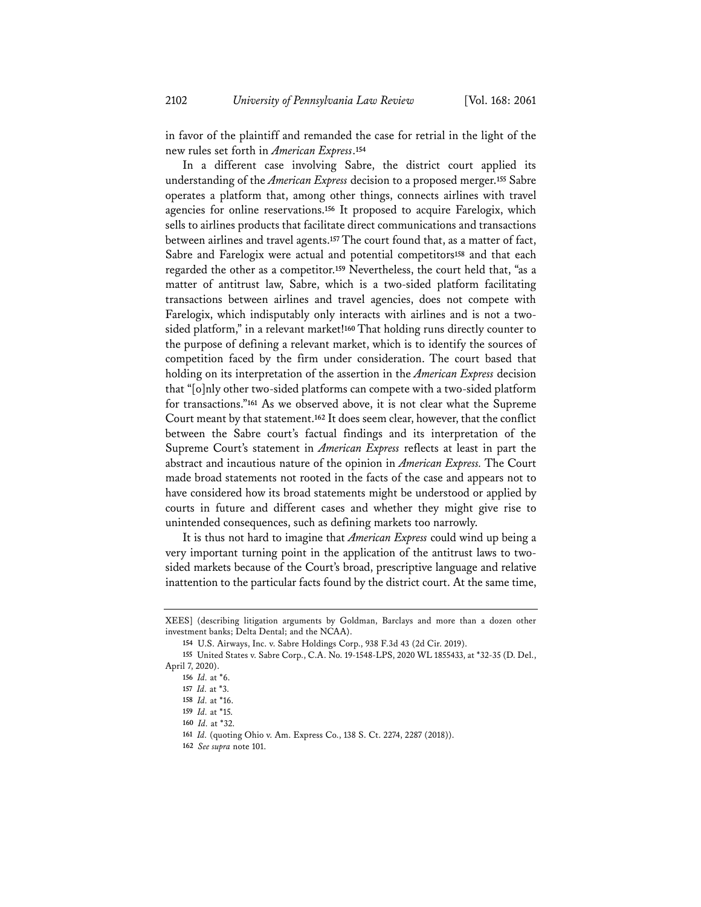in favor of the plaintiff and remanded the case for retrial in the light of the new rules set forth in *American Express*.**<sup>154</sup>**

In a different case involving Sabre, the district court applied its understanding of the *American Express* decision to a proposed merger.**<sup>155</sup>** Sabre operates a platform that, among other things, connects airlines with travel agencies for online reservations.**<sup>156</sup>** It proposed to acquire Farelogix, which sells to airlines products that facilitate direct communications and transactions between airlines and travel agents.**<sup>157</sup>** The court found that, as a matter of fact, Sabre and Farelogix were actual and potential competitors**<sup>158</sup>** and that each regarded the other as a competitor.**<sup>159</sup>** Nevertheless, the court held that, "as a matter of antitrust law, Sabre, which is a two-sided platform facilitating transactions between airlines and travel agencies, does not compete with Farelogix, which indisputably only interacts with airlines and is not a twosided platform," in a relevant market!**<sup>160</sup>** That holding runs directly counter to the purpose of defining a relevant market, which is to identify the sources of competition faced by the firm under consideration. The court based that holding on its interpretation of the assertion in the *American Express* decision that "[o]nly other two-sided platforms can compete with a two-sided platform for transactions."**<sup>161</sup>** As we observed above, it is not clear what the Supreme Court meant by that statement.**<sup>162</sup>** It does seem clear, however, that the conflict between the Sabre court's factual findings and its interpretation of the Supreme Court's statement in *American Express* reflects at least in part the abstract and incautious nature of the opinion in *American Express.* The Court made broad statements not rooted in the facts of the case and appears not to have considered how its broad statements might be understood or applied by courts in future and different cases and whether they might give rise to unintended consequences, such as defining markets too narrowly.

It is thus not hard to imagine that *American Express* could wind up being a very important turning point in the application of the antitrust laws to twosided markets because of the Court's broad, prescriptive language and relative inattention to the particular facts found by the district court. At the same time,

XEES] (describing litigation arguments by Goldman, Barclays and more than a dozen other investment banks; Delta Dental; and the NCAA).

**<sup>154</sup>** U.S. Airways, Inc. v. Sabre Holdings Corp., 938 F.3d 43 (2d Cir. 2019).

**<sup>155</sup>** United States v. Sabre Corp., C.A. No. 19-1548-LPS, 2020 WL 1855433, at \*32-35 (D. Del., April 7, 2020).

**<sup>156</sup>** *Id.* at \*6.

**<sup>157</sup>** *Id.* at \*3.

**<sup>158</sup>** *Id.* at \*16.

**<sup>159</sup>** *Id.* at \*15.

**<sup>160</sup>** *Id.* at \*32.

**<sup>161</sup>** *Id.* (quoting Ohio v. Am. Express Co., 138 S. Ct. 2274, 2287 (2018)).

**<sup>162</sup>** *See supra* note 101.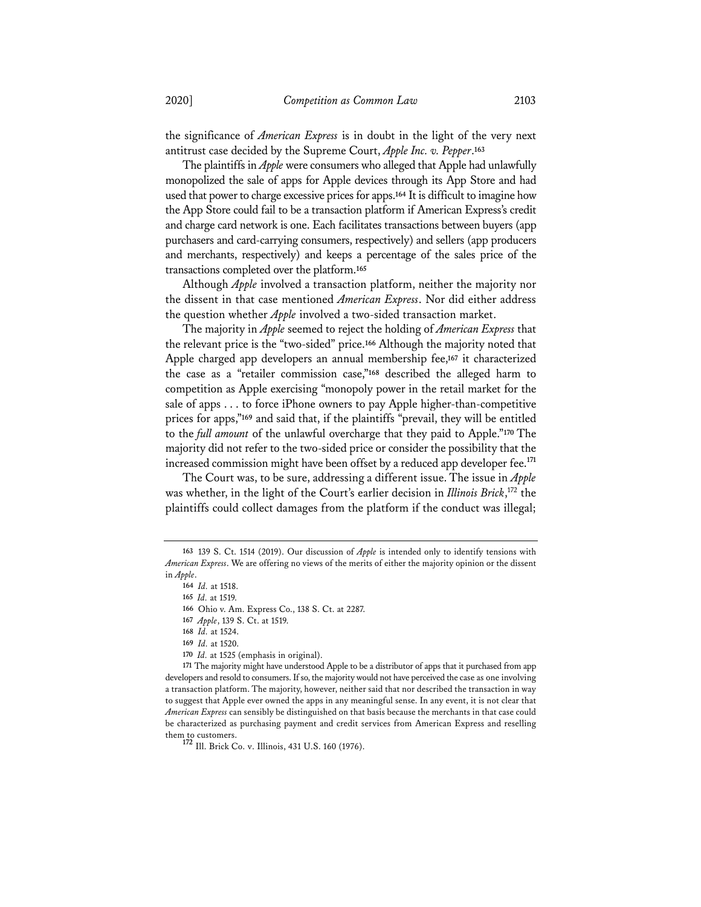the significance of *American Express* is in doubt in the light of the very next antitrust case decided by the Supreme Court, *Apple Inc. v. Pepper*.**<sup>163</sup>**

The plaintiffs in *Apple* were consumers who alleged that Apple had unlawfully monopolized the sale of apps for Apple devices through its App Store and had used that power to charge excessive prices for apps.**<sup>164</sup>** It is difficult to imagine how the App Store could fail to be a transaction platform if American Express's credit and charge card network is one. Each facilitates transactions between buyers (app purchasers and card-carrying consumers, respectively) and sellers (app producers and merchants, respectively) and keeps a percentage of the sales price of the transactions completed over the platform.**<sup>165</sup>**

Although *Apple* involved a transaction platform, neither the majority nor the dissent in that case mentioned *American Express*. Nor did either address the question whether *Apple* involved a two-sided transaction market.

The majority in *Apple* seemed to reject the holding of *American Express* that the relevant price is the "two-sided" price.**<sup>166</sup>** Although the majority noted that Apple charged app developers an annual membership fee,**<sup>167</sup>** it characterized the case as a "retailer commission case,"**<sup>168</sup>** described the alleged harm to competition as Apple exercising "monopoly power in the retail market for the sale of apps . . . to force iPhone owners to pay Apple higher-than-competitive prices for apps,"**<sup>169</sup>** and said that, if the plaintiffs "prevail, they will be entitled to the *full amount* of the unlawful overcharge that they paid to Apple."**<sup>170</sup>** The majority did not refer to the two-sided price or consider the possibility that the increased commission might have been offset by a reduced app developer fee.**<sup>171</sup>**

The Court was, to be sure, addressing a different issue. The issue in *Apple* was whether, in the light of the Court's earlier decision in *Illinois Brick*, <sup>172</sup> the plaintiffs could collect damages from the platform if the conduct was illegal;

**170** *Id.* at 1525 (emphasis in original).

**171** The majority might have understood Apple to be a distributor of apps that it purchased from app developers and resold to consumers. If so, the majority would not have perceived the case as one involving a transaction platform. The majority, however, neither said that nor described the transaction in way to suggest that Apple ever owned the apps in any meaningful sense. In any event, it is not clear that *American Express* can sensibly be distinguished on that basis because the merchants in that case could be characterized as purchasing payment and credit services from American Express and reselling them to customers. **<sup>172</sup>** Ill. Brick Co. v. Illinois, 431 U.S. 160 (1976).

**<sup>163</sup>** 139 S. Ct. 1514 (2019). Our discussion of *Apple* is intended only to identify tensions with *American Express*. We are offering no views of the merits of either the majority opinion or the dissent in *Apple*.

**<sup>164</sup>** *Id.* at 1518.

**<sup>165</sup>** *Id.* at 1519.

**<sup>166</sup>** Ohio v. Am. Express Co., 138 S. Ct. at 2287.

**<sup>167</sup>** *Apple*, 139 S. Ct. at 1519.

**<sup>168</sup>** *Id.* at 1524.

**<sup>169</sup>** *Id.* at 1520.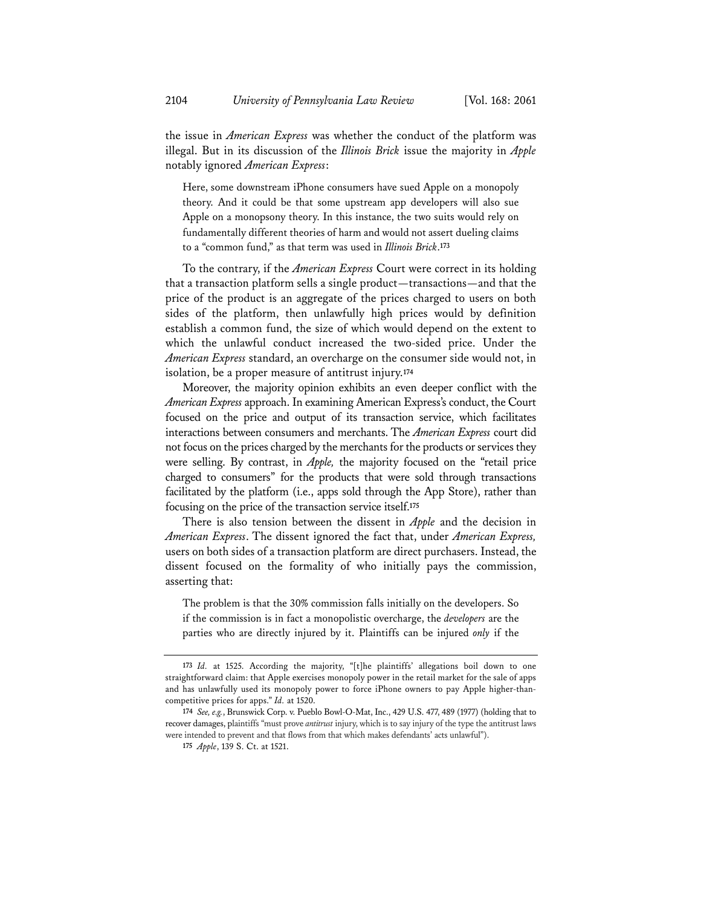the issue in *American Express* was whether the conduct of the platform was illegal. But in its discussion of the *Illinois Brick* issue the majority in *Apple* notably ignored *American Express*:

Here, some downstream iPhone consumers have sued Apple on a monopoly theory. And it could be that some upstream app developers will also sue Apple on a monopsony theory. In this instance, the two suits would rely on fundamentally different theories of harm and would not assert dueling claims to a "common fund," as that term was used in *Illinois Brick*.**<sup>173</sup>**

To the contrary, if the *American Express* Court were correct in its holding that a transaction platform sells a single product—transactions—and that the price of the product is an aggregate of the prices charged to users on both sides of the platform, then unlawfully high prices would by definition establish a common fund, the size of which would depend on the extent to which the unlawful conduct increased the two-sided price. Under the *American Express* standard, an overcharge on the consumer side would not, in isolation, be a proper measure of antitrust injury.**<sup>174</sup>**

Moreover, the majority opinion exhibits an even deeper conflict with the *American Express* approach. In examining American Express's conduct, the Court focused on the price and output of its transaction service, which facilitates interactions between consumers and merchants. The *American Express* court did not focus on the prices charged by the merchants for the products or services they were selling. By contrast, in *Apple,* the majority focused on the "retail price charged to consumers" for the products that were sold through transactions facilitated by the platform (i.e., apps sold through the App Store), rather than focusing on the price of the transaction service itself.**<sup>175</sup>**

There is also tension between the dissent in *Apple* and the decision in *American Express*. The dissent ignored the fact that, under *American Express,* users on both sides of a transaction platform are direct purchasers. Instead, the dissent focused on the formality of who initially pays the commission, asserting that:

The problem is that the 30% commission falls initially on the developers. So if the commission is in fact a monopolistic overcharge, the *developers* are the parties who are directly injured by it. Plaintiffs can be injured *only* if the

**<sup>173</sup>** *Id.* at 1525. According the majority, "[t]he plaintiffs' allegations boil down to one straightforward claim: that Apple exercises monopoly power in the retail market for the sale of apps and has unlawfully used its monopoly power to force iPhone owners to pay Apple higher-thancompetitive prices for apps." *Id.* at 1520.

**<sup>174</sup>** *See, e.g.*, Brunswick Corp. v. Pueblo Bowl-O-Mat, Inc., 429 U.S. 477, 489 (1977) (holding that to recover damages, plaintiffs "must prove *antitrust* injury, which is to say injury of the type the antitrust laws were intended to prevent and that flows from that which makes defendants' acts unlawful").

**<sup>175</sup>** *Apple*, 139 S. Ct. at 1521.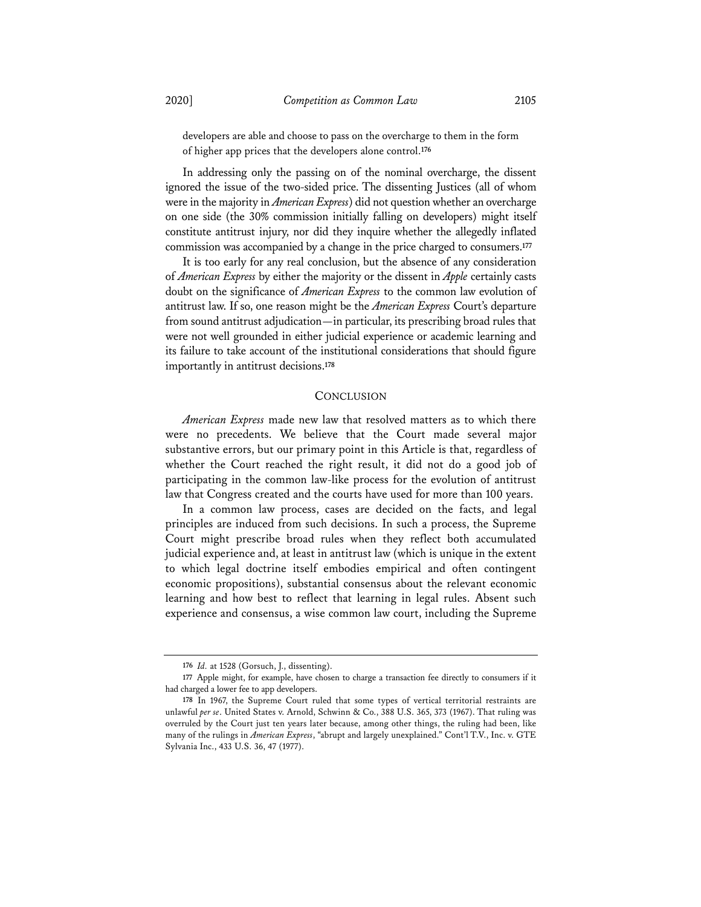developers are able and choose to pass on the overcharge to them in the form of higher app prices that the developers alone control.**<sup>176</sup>**

In addressing only the passing on of the nominal overcharge, the dissent ignored the issue of the two-sided price. The dissenting Justices (all of whom were in the majority in *American Express*) did not question whether an overcharge on one side (the 30% commission initially falling on developers) might itself constitute antitrust injury, nor did they inquire whether the allegedly inflated commission was accompanied by a change in the price charged to consumers.**<sup>177</sup>**

It is too early for any real conclusion, but the absence of any consideration of *American Express* by either the majority or the dissent in *Apple* certainly casts doubt on the significance of *American Express* to the common law evolution of antitrust law. If so, one reason might be the *American Express* Court's departure from sound antitrust adjudication—in particular, its prescribing broad rules that were not well grounded in either judicial experience or academic learning and its failure to take account of the institutional considerations that should figure importantly in antitrust decisions.**<sup>178</sup>**

#### **CONCLUSION**

*American Express* made new law that resolved matters as to which there were no precedents. We believe that the Court made several major substantive errors, but our primary point in this Article is that, regardless of whether the Court reached the right result, it did not do a good job of participating in the common law-like process for the evolution of antitrust law that Congress created and the courts have used for more than 100 years.

In a common law process, cases are decided on the facts, and legal principles are induced from such decisions. In such a process, the Supreme Court might prescribe broad rules when they reflect both accumulated judicial experience and, at least in antitrust law (which is unique in the extent to which legal doctrine itself embodies empirical and often contingent economic propositions), substantial consensus about the relevant economic learning and how best to reflect that learning in legal rules. Absent such experience and consensus, a wise common law court, including the Supreme

**<sup>176</sup>** *Id.* at 1528 (Gorsuch, J., dissenting).

**<sup>177</sup>** Apple might, for example, have chosen to charge a transaction fee directly to consumers if it had charged a lower fee to app developers.

**<sup>178</sup>** In 1967, the Supreme Court ruled that some types of vertical territorial restraints are unlawful *per se*. United States v. Arnold, Schwinn & Co., 388 U.S. 365, 373 (1967). That ruling was overruled by the Court just ten years later because, among other things, the ruling had been, like many of the rulings in *American Express*, "abrupt and largely unexplained." Cont'l T.V., Inc. v. GTE Sylvania Inc., 433 U.S. 36, 47 (1977).